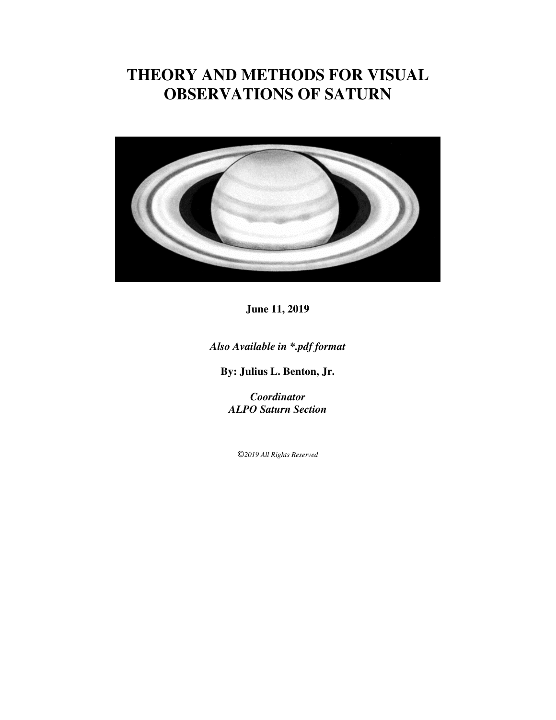# **THEORY AND METHODS FOR VISUAL OBSERVATIONS OF SATURN**



**June 11, 2019**

*Also Available in \*.pdf format* 

**By: Julius L. Benton, Jr.**

*Coordinator ALPO Saturn Section*

©*2019 All Rights Reserved*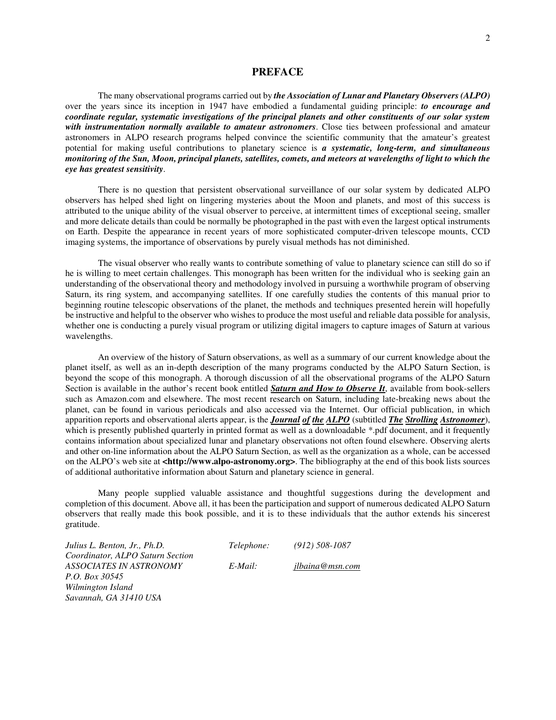#### **PREFACE**

 The many observational programs carried out by *the Association of Lunar and Planetary Observers (ALPO)* over the years since its inception in 1947 have embodied a fundamental guiding principle: *to encourage and coordinate regular, systematic investigations of the principal planets and other constituents of our solar system with instrumentation normally available to amateur astronomers*. Close ties between professional and amateur astronomers in ALPO research programs helped convince the scientific community that the amateur's greatest potential for making useful contributions to planetary science is *a systematic, long-term, and simultaneous monitoring of the Sun, Moon, principal planets, satellites, comets, and meteors at wavelengths of light to which the eye has greatest sensitivity*.

 There is no question that persistent observational surveillance of our solar system by dedicated ALPO observers has helped shed light on lingering mysteries about the Moon and planets, and most of this success is attributed to the unique ability of the visual observer to perceive, at intermittent times of exceptional seeing, smaller and more delicate details than could be normally be photographed in the past with even the largest optical instruments on Earth. Despite the appearance in recent years of more sophisticated computer-driven telescope mounts, CCD imaging systems, the importance of observations by purely visual methods has not diminished.

 The visual observer who really wants to contribute something of value to planetary science can still do so if he is willing to meet certain challenges. This monograph has been written for the individual who is seeking gain an understanding of the observational theory and methodology involved in pursuing a worthwhile program of observing Saturn, its ring system, and accompanying satellites. If one carefully studies the contents of this manual prior to beginning routine telescopic observations of the planet, the methods and techniques presented herein will hopefully be instructive and helpful to the observer who wishes to produce the most useful and reliable data possible for analysis, whether one is conducting a purely visual program or utilizing digital imagers to capture images of Saturn at various wavelengths.

 An overview of the history of Saturn observations, as well as a summary of our current knowledge about the planet itself, as well as an in-depth description of the many programs conducted by the ALPO Saturn Section, is beyond the scope of this monograph. A thorough discussion of all the observational programs of the ALPO Saturn Section is available in the author's recent book entitled *Saturn and How to Observe It*, available from book-sellers such as Amazon.com and elsewhere. The most recent research on Saturn, including late-breaking news about the planet, can be found in various periodicals and also accessed via the Internet. Our official publication, in which apparition reports and observational alerts appear, is the *Journal of the ALPO* (subtitled *The Strolling Astronomer*), which is presently published quarterly in printed format as well as a downloadable \*.pdf document, and it frequently contains information about specialized lunar and planetary observations not often found elsewhere. Observing alerts and other on-line information about the ALPO Saturn Section, as well as the organization as a whole, can be accessed on the ALPO's web site at **<http://www.alpo-astronomy.org>**. The bibliography at the end of this book lists sources of additional authoritative information about Saturn and planetary science in general.

 Many people supplied valuable assistance and thoughtful suggestions during the development and completion of this document. Above all, it has been the participation and support of numerous dedicated ALPO Saturn observers that really made this book possible, and it is to these individuals that the author extends his sincerest gratitude.

*Julius L. Benton, Jr., Ph.D. Telephone: (912) 508-1087 Coordinator, ALPO Saturn Section P.O. Box 30545 Wilmington Island Savannah, GA 31410 USA* 

*ASSOCIATES IN ASTRONOMY E-Mail: jlbaina@msn.com* 

2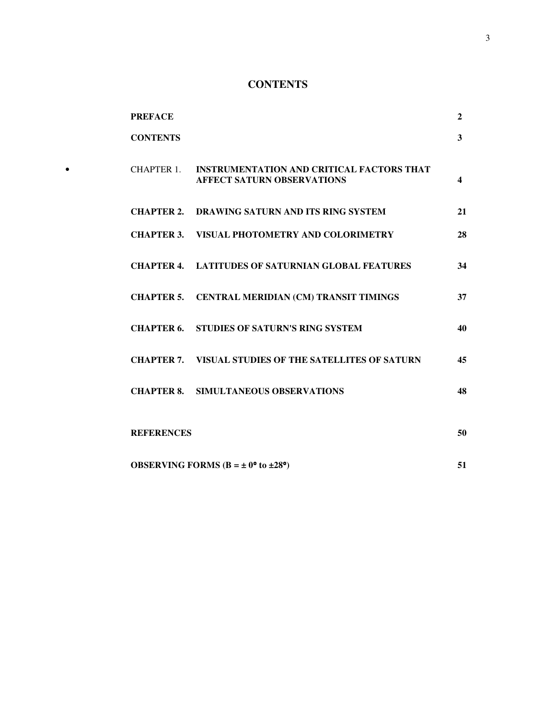# **CONTENTS**

|           | <b>PREFACE</b>    |                                                                                       | $\mathbf{2}$            |
|-----------|-------------------|---------------------------------------------------------------------------------------|-------------------------|
|           | <b>CONTENTS</b>   |                                                                                       | $\mathbf{3}$            |
| $\bullet$ | CHAPTER 1.        | <b>INSTRUMENTATION AND CRITICAL FACTORS THAT</b><br><b>AFFECT SATURN OBSERVATIONS</b> | $\overline{\mathbf{4}}$ |
|           |                   | <b>CHAPTER 2. DRAWING SATURN AND ITS RING SYSTEM</b>                                  | 21                      |
|           |                   | <b>CHAPTER 3. VISUAL PHOTOMETRY AND COLORIMETRY</b>                                   | 28                      |
|           |                   | <b>CHAPTER 4. LATITUDES OF SATURNIAN GLOBAL FEATURES</b>                              | 34                      |
|           |                   | CHAPTER 5. CENTRAL MERIDIAN (CM) TRANSIT TIMINGS                                      | 37                      |
|           |                   | <b>CHAPTER 6. STUDIES OF SATURN'S RING SYSTEM</b>                                     | 40                      |
|           |                   | <b>CHAPTER 7. VISUAL STUDIES OF THE SATELLITES OF SATURN</b>                          | 45                      |
|           |                   | <b>CHAPTER 8. SIMULTANEOUS OBSERVATIONS</b>                                           | 48                      |
|           | <b>REFERENCES</b> |                                                                                       | 50                      |
|           |                   | <b>OBSERVING FORMS</b> ( $B = \pm 0$ ° to $\pm 28$ °)                                 | 51                      |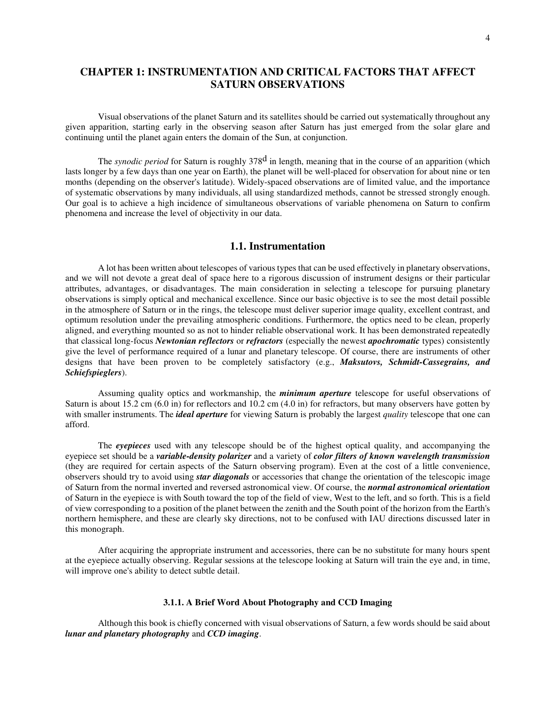# **CHAPTER 1: INSTRUMENTATION AND CRITICAL FACTORS THAT AFFECT SATURN OBSERVATIONS**

 Visual observations of the planet Saturn and its satellites should be carried out systematically throughout any given apparition, starting early in the observing season after Saturn has just emerged from the solar glare and continuing until the planet again enters the domain of the Sun, at conjunction.

The *synodic period* for Saturn is roughly 378<sup>d</sup> in length, meaning that in the course of an apparition (which lasts longer by a few days than one year on Earth), the planet will be well-placed for observation for about nine or ten months (depending on the observer's latitude). Widely-spaced observations are of limited value, and the importance of systematic observations by many individuals, all using standardized methods, cannot be stressed strongly enough. Our goal is to achieve a high incidence of simultaneous observations of variable phenomena on Saturn to confirm phenomena and increase the level of objectivity in our data.

#### **1.1. Instrumentation**

 A lot has been written about telescopes of various types that can be used effectively in planetary observations, and we will not devote a great deal of space here to a rigorous discussion of instrument designs or their particular attributes, advantages, or disadvantages. The main consideration in selecting a telescope for pursuing planetary observations is simply optical and mechanical excellence. Since our basic objective is to see the most detail possible in the atmosphere of Saturn or in the rings, the telescope must deliver superior image quality, excellent contrast, and optimum resolution under the prevailing atmospheric conditions. Furthermore, the optics need to be clean, properly aligned, and everything mounted so as not to hinder reliable observational work. It has been demonstrated repeatedly that classical long-focus *Newtonian reflectors* or *refractors* (especially the newest *apochromatic* types) consistently give the level of performance required of a lunar and planetary telescope. Of course, there are instruments of other designs that have been proven to be completely satisfactory (e.g., *Maksutovs, Schmidt-Cassegrains, and Schiefspieglers*).

 Assuming quality optics and workmanship, the *minimum aperture* telescope for useful observations of Saturn is about 15.2 cm (6.0 in) for reflectors and 10.2 cm (4.0 in) for refractors, but many observers have gotten by with smaller instruments. The *ideal aperture* for viewing Saturn is probably the largest *quality* telescope that one can afford.

 The *eyepieces* used with any telescope should be of the highest optical quality, and accompanying the eyepiece set should be a *variable-density polarizer* and a variety of *color filters of known wavelength transmission*  (they are required for certain aspects of the Saturn observing program). Even at the cost of a little convenience, observers should try to avoid using *star diagonals* or accessories that change the orientation of the telescopic image of Saturn from the normal inverted and reversed astronomical view. Of course, the *normal astronomical orientation* of Saturn in the eyepiece is with South toward the top of the field of view, West to the left, and so forth. This is a field of view corresponding to a position of the planet between the zenith and the South point of the horizon from the Earth's northern hemisphere, and these are clearly sky directions, not to be confused with IAU directions discussed later in this monograph.

 After acquiring the appropriate instrument and accessories, there can be no substitute for many hours spent at the eyepiece actually observing. Regular sessions at the telescope looking at Saturn will train the eye and, in time, will improve one's ability to detect subtle detail.

#### **3.1.1. A Brief Word About Photography and CCD Imaging**

 Although this book is chiefly concerned with visual observations of Saturn, a few words should be said about *lunar and planetary photography* and *CCD imaging*.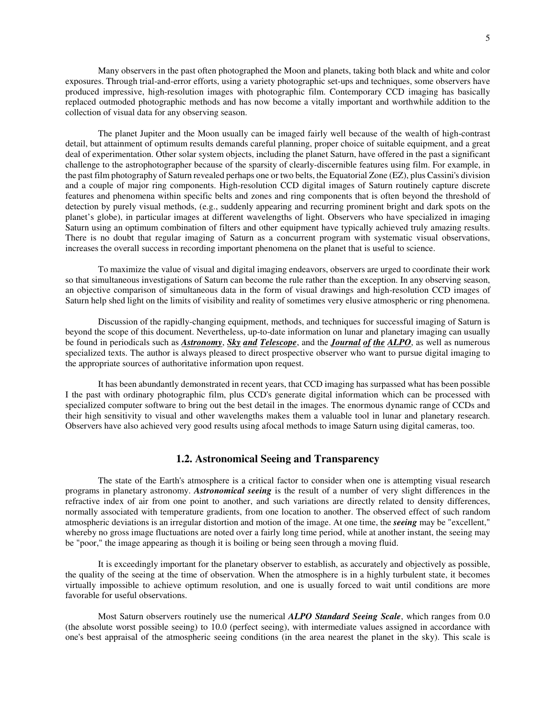Many observers in the past often photographed the Moon and planets, taking both black and white and color exposures. Through trial-and-error efforts, using a variety photographic set-ups and techniques, some observers have produced impressive, high-resolution images with photographic film. Contemporary CCD imaging has basically replaced outmoded photographic methods and has now become a vitally important and worthwhile addition to the collection of visual data for any observing season.

 The planet Jupiter and the Moon usually can be imaged fairly well because of the wealth of high-contrast detail, but attainment of optimum results demands careful planning, proper choice of suitable equipment, and a great deal of experimentation. Other solar system objects, including the planet Saturn, have offered in the past a significant challenge to the astrophotographer because of the sparsity of clearly-discernible features using film. For example, in the past film photography of Saturn revealed perhaps one or two belts, the Equatorial Zone (EZ), plus Cassini's division and a couple of major ring components. High-resolution CCD digital images of Saturn routinely capture discrete features and phenomena within specific belts and zones and ring components that is often beyond the threshold of detection by purely visual methods, (e.g., suddenly appearing and recurring prominent bright and dark spots on the planet's globe), in particular images at different wavelengths of light. Observers who have specialized in imaging Saturn using an optimum combination of filters and other equipment have typically achieved truly amazing results. There is no doubt that regular imaging of Saturn as a concurrent program with systematic visual observations, increases the overall success in recording important phenomena on the planet that is useful to science.

 To maximize the value of visual and digital imaging endeavors, observers are urged to coordinate their work so that simultaneous investigations of Saturn can become the rule rather than the exception. In any observing season, an objective comparison of simultaneous data in the form of visual drawings and high-resolution CCD images of Saturn help shed light on the limits of visibility and reality of sometimes very elusive atmospheric or ring phenomena.

 Discussion of the rapidly-changing equipment, methods, and techniques for successful imaging of Saturn is beyond the scope of this document. Nevertheless, up-to-date information on lunar and planetary imaging can usually be found in periodicals such as *Astronomy*, *Sky and Telescope*, and the *Journal of the ALPO*, as well as numerous specialized texts. The author is always pleased to direct prospective observer who want to pursue digital imaging to the appropriate sources of authoritative information upon request.

 It has been abundantly demonstrated in recent years, that CCD imaging has surpassed what has been possible I the past with ordinary photographic film, plus CCD's generate digital information which can be processed with specialized computer software to bring out the best detail in the images. The enormous dynamic range of CCDs and their high sensitivity to visual and other wavelengths makes them a valuable tool in lunar and planetary research. Observers have also achieved very good results using afocal methods to image Saturn using digital cameras, too.

#### **1.2. Astronomical Seeing and Transparency**

 The state of the Earth's atmosphere is a critical factor to consider when one is attempting visual research programs in planetary astronomy. *Astronomical seeing* is the result of a number of very slight differences in the refractive index of air from one point to another, and such variations are directly related to density differences, normally associated with temperature gradients, from one location to another. The observed effect of such random atmospheric deviations is an irregular distortion and motion of the image. At one time, the *seeing* may be "excellent," whereby no gross image fluctuations are noted over a fairly long time period, while at another instant, the seeing may be "poor," the image appearing as though it is boiling or being seen through a moving fluid.

 It is exceedingly important for the planetary observer to establish, as accurately and objectively as possible, the quality of the seeing at the time of observation. When the atmosphere is in a highly turbulent state, it becomes virtually impossible to achieve optimum resolution, and one is usually forced to wait until conditions are more favorable for useful observations.

 Most Saturn observers routinely use the numerical *ALPO Standard Seeing Scale*, which ranges from 0.0 (the absolute worst possible seeing) to 10.0 (perfect seeing), with intermediate values assigned in accordance with one's best appraisal of the atmospheric seeing conditions (in the area nearest the planet in the sky). This scale is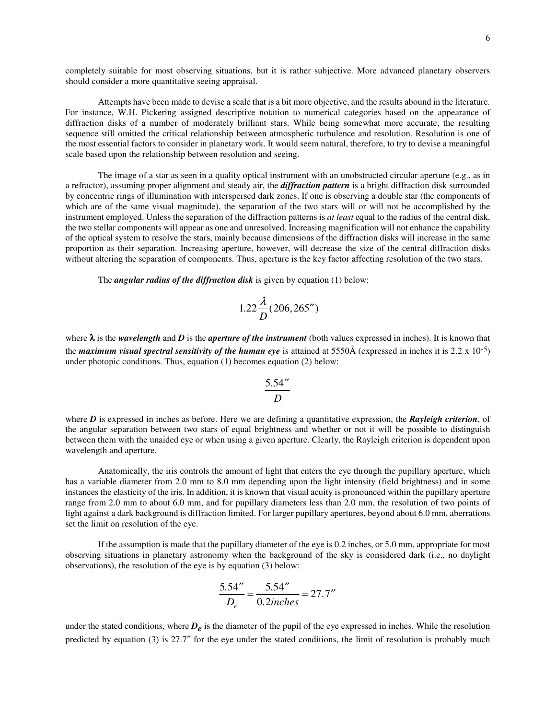completely suitable for most observing situations, but it is rather subjective. More advanced planetary observers should consider a more quantitative seeing appraisal.

 Attempts have been made to devise a scale that is a bit more objective, and the results abound in the literature. For instance, W.H. Pickering assigned descriptive notation to numerical categories based on the appearance of diffraction disks of a number of moderately brilliant stars. While being somewhat more accurate, the resulting sequence still omitted the critical relationship between atmospheric turbulence and resolution. Resolution is one of the most essential factors to consider in planetary work. It would seem natural, therefore, to try to devise a meaningful scale based upon the relationship between resolution and seeing.

 The image of a star as seen in a quality optical instrument with an unobstructed circular aperture (e.g., as in a refractor), assuming proper alignment and steady air, the *diffraction pattern* is a bright diffraction disk surrounded by concentric rings of illumination with interspersed dark zones. If one is observing a double star (the components of which are of the same visual magnitude), the separation of the two stars will or will not be accomplished by the instrument employed. Unless the separation of the diffraction patterns is *at least* equal to the radius of the central disk, the two stellar components will appear as one and unresolved. Increasing magnification will not enhance the capability of the optical system to resolve the stars, mainly because dimensions of the diffraction disks will increase in the same proportion as their separation. Increasing aperture, however, will decrease the size of the central diffraction disks without altering the separation of components. Thus, aperture is the key factor affecting resolution of the two stars.

The *angular radius of the diffraction disk* is given by equation (1) below:

$$
1.22\frac{\lambda}{D}(206, 265'')
$$

where λ is the *wavelength* and *D* is the *aperture of the instrument* (both values expressed in inches). It is known that the *maximum visual spectral sensitivity of the human eye* is attained at 5550 $\AA$  (expressed in inches it is 2.2 x 10<sup>-5</sup>) under photopic conditions. Thus, equation (1) becomes equation (2) below:

$$
\frac{5.54''}{D}
$$

where *D* is expressed in inches as before. Here we are defining a quantitative expression, the *Rayleigh criterion*, of the angular separation between two stars of equal brightness and whether or not it will be possible to distinguish between them with the unaided eye or when using a given aperture. Clearly, the Rayleigh criterion is dependent upon wavelength and aperture.

 Anatomically, the iris controls the amount of light that enters the eye through the pupillary aperture, which has a variable diameter from 2.0 mm to 8.0 mm depending upon the light intensity (field brightness) and in some instances the elasticity of the iris. In addition, it is known that visual acuity is pronounced within the pupillary aperture range from 2.0 mm to about 6.0 mm, and for pupillary diameters less than 2.0 mm, the resolution of two points of light against a dark background is diffraction limited. For larger pupillary apertures, beyond about 6.0 mm, aberrations set the limit on resolution of the eye.

 If the assumption is made that the pupillary diameter of the eye is 0.2 inches, or 5.0 mm, appropriate for most observing situations in planetary astronomy when the background of the sky is considered dark (i.e., no daylight observations), the resolution of the eye is by equation (3) below:

$$
\frac{5.54''}{D_e} = \frac{5.54''}{0.2} = 27.7''
$$

under the stated conditions, where  $D_e$  is the diameter of the pupil of the eye expressed in inches. While the resolution predicted by equation (3) is 27.7″ for the eye under the stated conditions, the limit of resolution is probably much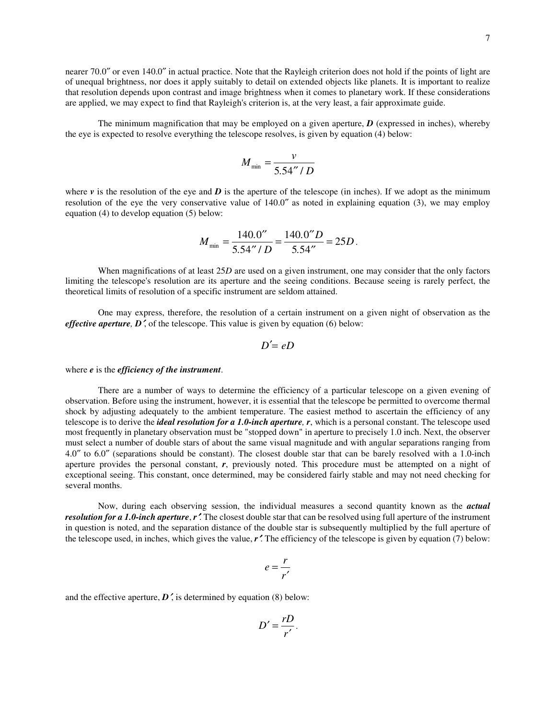nearer 70.0″ or even 140.0″ in actual practice. Note that the Rayleigh criterion does not hold if the points of light are of unequal brightness, nor does it apply suitably to detail on extended objects like planets. It is important to realize that resolution depends upon contrast and image brightness when it comes to planetary work. If these considerations are applied, we may expect to find that Rayleigh's criterion is, at the very least, a fair approximate guide.

 The minimum magnification that may be employed on a given aperture, *D* (expressed in inches), whereby the eye is expected to resolve everything the telescope resolves, is given by equation (4) below:

$$
M_{\min} = \frac{v}{5.54''/D}
$$

where  $\nu$  is the resolution of the eye and  $\vec{D}$  is the aperture of the telescope (in inches). If we adopt as the minimum resolution of the eye the very conservative value of 140.0″ as noted in explaining equation (3), we may employ equation (4) to develop equation (5) below:

$$
M_{\min} = \frac{140.0^{\prime\prime}}{5.54^{\prime\prime}/D} = \frac{140.0^{\prime\prime}D}{5.54^{\prime\prime}} = 25D.
$$

When magnifications of at least 25*D* are used on a given instrument, one may consider that the only factors limiting the telescope's resolution are its aperture and the seeing conditions. Because seeing is rarely perfect, the theoretical limits of resolution of a specific instrument are seldom attained.

 One may express, therefore, the resolution of a certain instrument on a given night of observation as the *effective aperture, D'*, of the telescope. This value is given by equation (6) below:

$$
D'=eD
$$

where *e* is the *efficiency of the instrument*.

 There are a number of ways to determine the efficiency of a particular telescope on a given evening of observation. Before using the instrument, however, it is essential that the telescope be permitted to overcome thermal shock by adjusting adequately to the ambient temperature. The easiest method to ascertain the efficiency of any telescope is to derive the *ideal resolution for a 1.0-inch aperture, r*, which is a personal constant. The telescope used most frequently in planetary observation must be "stopped down" in aperture to precisely 1.0 inch. Next, the observer must select a number of double stars of about the same visual magnitude and with angular separations ranging from 4.0″ to 6.0″ (separations should be constant). The closest double star that can be barely resolved with a 1.0-inch aperture provides the personal constant, *r*, previously noted. This procedure must be attempted on a night of exceptional seeing. This constant, once determined, may be considered fairly stable and may not need checking for several months.

 Now, during each observing session, the individual measures a second quantity known as the *actual resolution for a 1.0-inch aperture, r'*. The closest double star that can be resolved using full aperture of the instrument in question is noted, and the separation distance of the double star is subsequently multiplied by the full aperture of the telescope used, in inches, which gives the value, *r*′. The efficiency of the telescope is given by equation (7) below:

$$
e=\frac{r}{r'}
$$

and the effective aperture,  $D'$ , is determined by equation (8) below:

$$
D'=\frac{rD}{r'}.
$$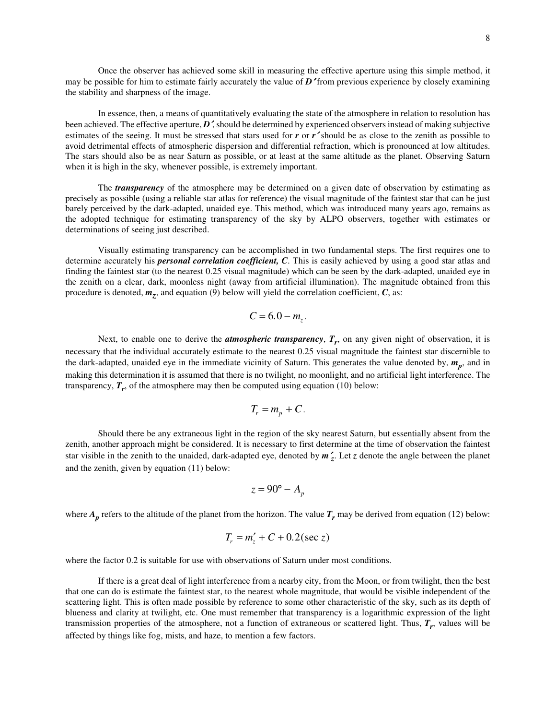In essence, then, a means of quantitatively evaluating the state of the atmosphere in relation to resolution has been achieved. The effective aperture, *D*′, should be determined by experienced observers instead of making subjective estimates of the seeing. It must be stressed that stars used for *r* or *r*<sup>*'*</sup> should be as close to the zenith as possible to avoid detrimental effects of atmospheric dispersion and differential refraction, which is pronounced at low altitudes. The stars should also be as near Saturn as possible, or at least at the same altitude as the planet. Observing Saturn when it is high in the sky, whenever possible, is extremely important.

 The *transparency* of the atmosphere may be determined on a given date of observation by estimating as precisely as possible (using a reliable star atlas for reference) the visual magnitude of the faintest star that can be just barely perceived by the dark-adapted, unaided eye. This method, which was introduced many years ago, remains as the adopted technique for estimating transparency of the sky by ALPO observers, together with estimates or determinations of seeing just described.

 Visually estimating transparency can be accomplished in two fundamental steps. The first requires one to determine accurately his *personal correlation coefficient, C*. This is easily achieved by using a good star atlas and finding the faintest star (to the nearest 0.25 visual magnitude) which can be seen by the dark-adapted, unaided eye in the zenith on a clear, dark, moonless night (away from artificial illumination). The magnitude obtained from this procedure is denoted,  $m_z$ , and equation (9) below will yield the correlation coefficient,  $C$ , as:

$$
C=6.0-m_z.
$$

Next, to enable one to derive the **atmospheric transparency**,  $T_r$ , on any given night of observation, it is necessary that the individual accurately estimate to the nearest 0.25 visual magnitude the faintest star discernible to the dark-adapted, unaided eye in the immediate vicinity of Saturn. This generates the value denoted by, *m<sup>p</sup>* , and in making this determination it is assumed that there is no twilight, no moonlight, and no artificial light interference. The transparency,  $T_r$ , of the atmosphere may then be computed using equation (10) below:

$$
T_r = m_p + C.
$$

 Should there be any extraneous light in the region of the sky nearest Saturn, but essentially absent from the zenith, another approach might be considered. It is necessary to first determine at the time of observation the faintest star visible in the zenith to the unaided, dark-adapted eye, denoted by *m*′ *z* . Let *z* denote the angle between the planet and the zenith, given by equation (11) below:

$$
z = 90^{\circ} - A_p
$$

where  $A_p$  refers to the altitude of the planet from the horizon. The value  $T_r$  may be derived from equation (12) below:

$$
T_r = m'_z + C + 0.2(\sec z)
$$

where the factor 0.2 is suitable for use with observations of Saturn under most conditions.

 If there is a great deal of light interference from a nearby city, from the Moon, or from twilight, then the best that one can do is estimate the faintest star, to the nearest whole magnitude, that would be visible independent of the scattering light. This is often made possible by reference to some other characteristic of the sky, such as its depth of blueness and clarity at twilight, etc. One must remember that transparency is a logarithmic expression of the light transmission properties of the atmosphere, not a function of extraneous or scattered light. Thus, *T<sup>r</sup>* , values will be affected by things like fog, mists, and haze, to mention a few factors.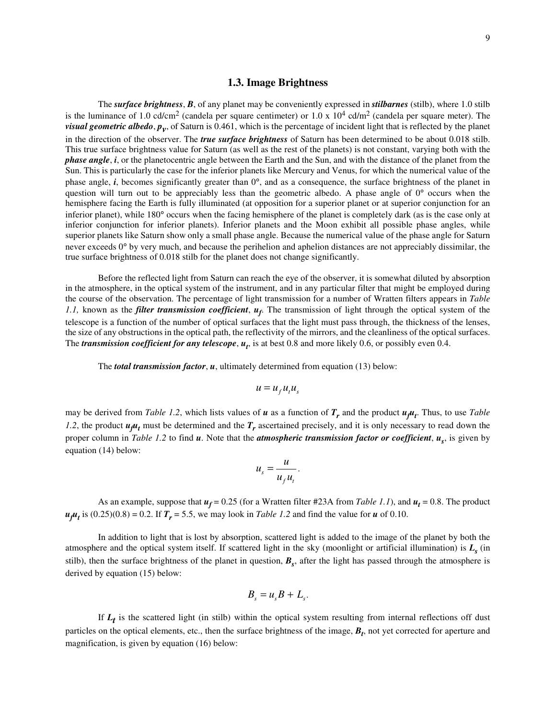#### **1.3. Image Brightness**

 The *surface brightness*, *B*, of any planet may be conveniently expressed in *stilbarnes* (stilb), where 1.0 stilb is the luminance of 1.0 cd/cm<sup>2</sup> (candela per square centimeter) or  $1.0 \times 10^4$  cd/m<sup>2</sup> (candela per square meter). The *visual geometric albedo*,  $p_y$ , of Saturn is 0.461, which is the percentage of incident light that is reflected by the planet in the direction of the observer. The *true surface brightness* of Saturn has been determined to be about 0.018 stilb. This true surface brightness value for Saturn (as well as the rest of the planets) is not constant, varying both with the *phase angle*, *i*, or the planetocentric angle between the Earth and the Sun, and with the distance of the planet from the Sun. This is particularly the case for the inferior planets like Mercury and Venus, for which the numerical value of the phase angle, *i*, becomes significantly greater than 0°, and as a consequence, the surface brightness of the planet in question will turn out to be appreciably less than the geometric albedo. A phase angle of  $0^{\circ}$  occurs when the hemisphere facing the Earth is fully illuminated (at opposition for a superior planet or at superior conjunction for an inferior planet), while 180° occurs when the facing hemisphere of the planet is completely dark (as is the case only at inferior conjunction for inferior planets). Inferior planets and the Moon exhibit all possible phase angles, while superior planets like Saturn show only a small phase angle. Because the numerical value of the phase angle for Saturn never exceeds 0° by very much, and because the perihelion and aphelion distances are not appreciably dissimilar, the true surface brightness of 0.018 stilb for the planet does not change significantly.

 Before the reflected light from Saturn can reach the eye of the observer, it is somewhat diluted by absorption in the atmosphere, in the optical system of the instrument, and in any particular filter that might be employed during the course of the observation. The percentage of light transmission for a number of Wratten filters appears in *Table 1.1,* known as the *filter transmission coefficient*, *u<sup>f</sup>* . The transmission of light through the optical system of the telescope is a function of the number of optical surfaces that the light must pass through, the thickness of the lenses, the size of any obstructions in the optical path, the reflectivity of the mirrors, and the cleanliness of the optical surfaces. The *transmission coefficient for any telescope*,  $u_t$ , is at best 0.8 and more likely 0.6, or possibly even 0.4.

The *total transmission factor*, *u*, ultimately determined from equation (13) below:

$$
u = u_{f} u_{t} u_{s}
$$

may be derived from *Table 1.2*, which lists values of  $u$  as a function of  $T_r$  and the product  $u_f u_t$ . Thus, to use *Table 1.2*, the product  $u_j u_t$  must be determined and the  $T_r$  ascertained precisely, and it is only necessary to read down the proper column in *Table 1.2* to find *u*. Note that the *atmospheric transmission factor or coefficient*, *u<sup>s</sup>* , is given by equation (14) below:

$$
u_s = \frac{u}{u_f u_t}.
$$

As an example, suppose that  $u_f = 0.25$  (for a Wratten filter #23A from *Table 1.1*), and  $u_t = 0.8$ . The product  $u_f u_t$  is  $(0.25)(0.8) = 0.2$ . If  $T_r = 5.5$ , we may look in *Table 1.2* and find the value for *u* of 0.10.

 In addition to light that is lost by absorption, scattered light is added to the image of the planet by both the atmosphere and the optical system itself. If scattered light in the sky (moonlight or artificial illumination) is *L<sup>s</sup>* (in stilb), then the surface brightness of the planet in question,  $B_s$ , after the light has passed through the atmosphere is derived by equation (15) below:

$$
B_s = u_s B + L_s.
$$

If  $L_t$  is the scattered light (in stilb) within the optical system resulting from internal reflections off dust particles on the optical elements, etc., then the surface brightness of the image,  $B_t$ , not yet corrected for aperture and magnification, is given by equation (16) below: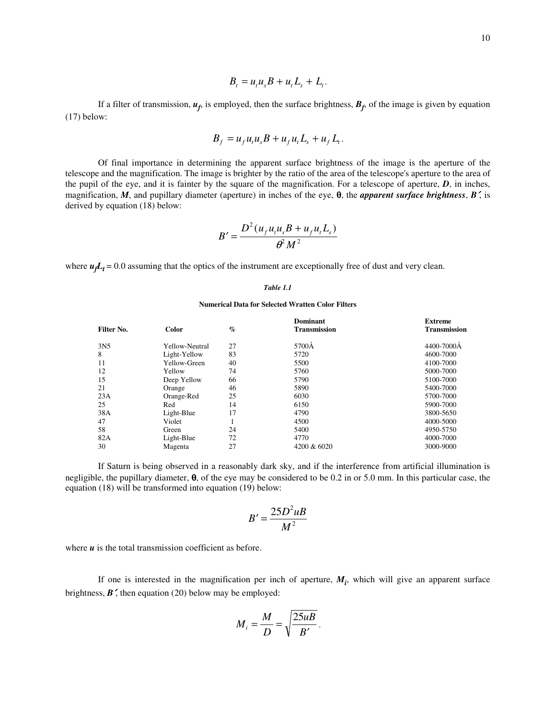$$
B_t = u_t u_s B + u_t L_s + L_t.
$$

If a filter of transmission,  $u_f$ , is employed, then the surface brightness,  $B_f$ , of the image is given by equation (17) below:

$$
B_f = u_f u_t u_s B + u_f u_t L_s + u_f L_t.
$$

 Of final importance in determining the apparent surface brightness of the image is the aperture of the telescope and the magnification. The image is brighter by the ratio of the area of the telescope's aperture to the area of the pupil of the eye, and it is fainter by the square of the magnification. For a telescope of aperture, *D*, in inches, magnification, *M*, and pupillary diameter (aperture) in inches of the eye, θ, the *apparent surface brightness*, *B*′, is derived by equation (18) below:

$$
B' = \frac{D^2(u_f u_t u_s B + u_f u_t L_s)}{\theta^2 M^2}
$$

where  $u_f L_t = 0.0$  assuming that the optics of the instrument are exceptionally free of dust and very clean.

#### *Table 1.1*

#### **Numerical Data for Selected Wratten Color Filters**

|                 |                |      | Dominant            | <b>Extreme</b>      |
|-----------------|----------------|------|---------------------|---------------------|
| Filter No.      | Color          | $\%$ | <b>Transmission</b> | <b>Transmission</b> |
| 3N <sub>5</sub> | Yellow-Neutral | 27   | 5700Å               | 4400-7000Å          |
| 8               | Light-Yellow   | 83   | 5720                | 4600-7000           |
| 11              | Yellow-Green   | 40   | 5500                | 4100-7000           |
| 12              | Yellow         | 74   | 5760                | 5000-7000           |
| 15              | Deep Yellow    | 66   | 5790                | 5100-7000           |
| 21              | Orange         | 46   | 5890                | 5400-7000           |
| 23A             | Orange-Red     | 25   | 6030                | 5700-7000           |
| 25              | Red            | 14   | 6150                | 5900-7000           |
| 38A             | Light-Blue     | 17   | 4790                | 3800-5650           |
| 47              | Violet         |      | 4500                | 4000-5000           |
| 58              | Green          | 24   | 5400                | 4950-5750           |
| 82A             | Light-Blue     | 72   | 4770                | 4000-7000           |
| 30              | Magenta        | 27   | 4200 & 6020         | 3000-9000           |
|                 |                |      |                     |                     |

 If Saturn is being observed in a reasonably dark sky, and if the interference from artificial illumination is negligible, the pupillary diameter, θ, of the eye may be considered to be 0.2 in or 5.0 mm. In this particular case, the equation (18) will be transformed into equation (19) below:

$$
B'=\frac{25D^2uB}{M^2}
$$

where *u* is the total transmission coefficient as before.

If one is interested in the magnification per inch of aperture,  $M_i$ , which will give an apparent surface brightness, *B*′, then equation (20) below may be employed:

$$
M_i = \frac{M}{D} = \sqrt{\frac{25u}{B'}}.
$$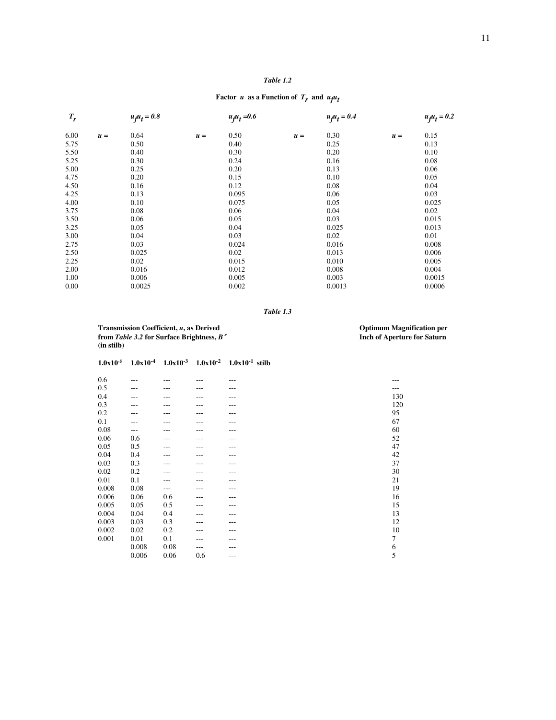#### *Table 1.2*

#### Factor *u* as a Function of  $T_r$  and  $u_f u_f$

| $T_r$ |       | $u_f u_t = 0.8$ |       | $u_{f}u_{t} = 0.6$ |       | $uflut = 0.4$ |       | $u_f u_t = 0.2$ |
|-------|-------|-----------------|-------|--------------------|-------|---------------|-------|-----------------|
| 6.00  | $u =$ | 0.64            | $u =$ | 0.50               | $u =$ | 0.30          | $u =$ | 0.15            |
| 5.75  |       | 0.50            |       | 0.40               |       | 0.25          |       | 0.13            |
| 5.50  |       | 0.40            |       | 0.30               |       | 0.20          |       | 0.10            |
| 5.25  |       | 0.30            |       | 0.24               |       | 0.16          |       | 0.08            |
| 5.00  |       | 0.25            |       | 0.20               |       | 0.13          |       | 0.06            |
| 4.75  |       | 0.20            |       | 0.15               |       | 0.10          |       | 0.05            |
| 4.50  |       | 0.16            |       | 0.12               |       | 0.08          |       | 0.04            |
| 4.25  |       | 0.13            |       | 0.095              |       | 0.06          |       | 0.03            |
| 4.00  |       | 0.10            |       | 0.075              |       | 0.05          |       | 0.025           |
| 3.75  |       | 0.08            |       | 0.06               |       | 0.04          |       | 0.02            |
| 3.50  |       | 0.06            |       | 0.05               |       | 0.03          |       | 0.015           |
| 3.25  |       | 0.05            |       | 0.04               |       | 0.025         |       | 0.013           |
| 3.00  |       | 0.04            |       | 0.03               |       | 0.02          |       | 0.01            |
| 2.75  |       | 0.03            |       | 0.024              |       | 0.016         |       | 0.008           |
| 2.50  |       | 0.025           |       | 0.02               |       | 0.013         |       | 0.006           |
| 2.25  |       | 0.02            |       | 0.015              |       | 0.010         |       | 0.005           |
| 2.00  |       | 0.016           |       | 0.012              |       | 0.008         |       | 0.004           |
| 1.00  |       | 0.006           |       | 0.005              |       | 0.003         |       | 0.0015          |
| 0.00  |       | 0.0025          |       | 0.002              |       | 0.0013        |       | 0.0006          |

*Table 1.3* 

 **Transmission Coefficient,** *u*, as Derived **Coefficient,** *u***, as Derived Coefficient,** *u***, as Derived Coefficient,** *u***, as Derived Coefficient,** *u***, as Derived Coefficient,** *u***, as Derived Coefficient,** *u***, as Derived Co from** *Table 3.2* **for Surface Brightness,** *B*′ **Inch of Aperture for Saturn (in stilb)** 

| $1.0x10^{-5}$ |       |      |     | $1.0x10^{-4}$ $1.0x10^{-3}$ $1.0x10^{-2}$ $1.0x10^{-1}$ stilb |                  |
|---------------|-------|------|-----|---------------------------------------------------------------|------------------|
| 0.6           | ---   |      |     | ---                                                           |                  |
| 0.5           | ---   |      |     |                                                               |                  |
| 0.4           |       |      |     |                                                               | 130              |
| 0.3           | ---   |      |     |                                                               | 120              |
| 0.2           | ---   |      |     | ---                                                           | 95               |
| 0.1           | ---   |      |     |                                                               | 67               |
| 0.08          | ---   |      |     | ---                                                           | 60               |
| 0.06          | 0.6   | ---  |     | ---                                                           | 52               |
| 0.05          | 0.5   | ---  |     | ---                                                           | 47               |
| 0.04          | 0.4   |      |     | ---                                                           | 42               |
| 0.03          | 0.3   |      |     |                                                               | 37               |
| 0.02          | 0.2   | ---  |     | ---                                                           | 30               |
| 0.01          | 0.1   |      |     |                                                               | 21               |
| 0.008         | 0.08  | ---  |     | ---                                                           | 19               |
| 0.006         | 0.06  | 0.6  |     | ---                                                           | 16               |
| 0.005         | 0.05  | 0.5  | --- | ---                                                           | 15               |
| 0.004         | 0.04  | 0.4  |     |                                                               | 13               |
| 0.003         | 0.03  | 0.3  |     | ---                                                           | 12               |
| 0.002         | 0.02  | 0.2  | --- | ---                                                           | 10               |
| 0.001         | 0.01  | 0.1  |     |                                                               | $\boldsymbol{7}$ |
|               | 0.008 | 0.08 | --- |                                                               | $\sqrt{6}$       |
|               | 0.006 | 0.06 | 0.6 | $---$                                                         | 5                |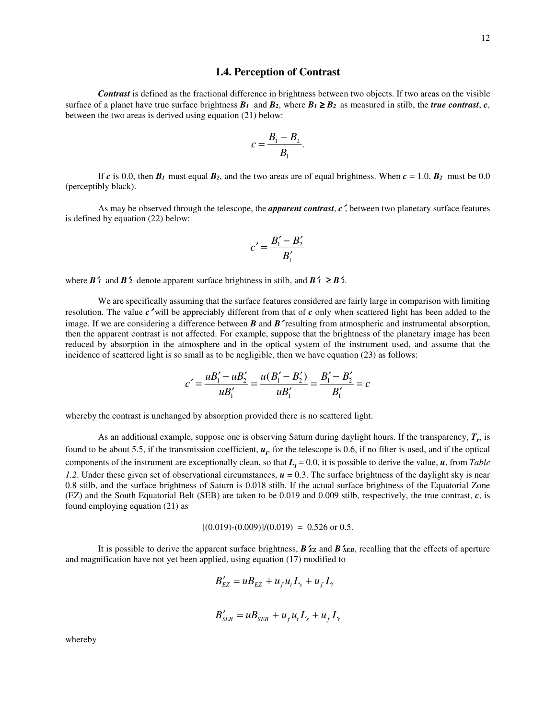*Contrast* is defined as the fractional difference in brightness between two objects. If two areas on the visible surface of a planet have true surface brightness  $B_1$  and  $B_2$ , where  $B_1 \ge B_2$  as measured in stilb, the *true contrast*, *c*, between the two areas is derived using equation (21) below:

$$
c=\frac{B_1-B_2}{B_1}.
$$

If *c* is 0.0, then  $B_1$  must equal  $B_2$ , and the two areas are of equal brightness. When  $c = 1.0$ ,  $B_2$  must be 0.0 (perceptibly black).

 As may be observed through the telescope, the *apparent contrast*, *c*′, between two planetary surface features is defined by equation (22) below:

$$
c' = \frac{B_1' - B_2'}{B_1'}
$$

where  $\mathbf{B}'_1$  and  $\mathbf{B}'_2$  denote apparent surface brightness in stilb, and  $\mathbf{B}'_1 \geq \mathbf{B}'_2$ .

We are specifically assuming that the surface features considered are fairly large in comparison with limiting resolution. The value *c*′ will be appreciably different from that of *c* only when scattered light has been added to the image. If we are considering a difference between *B* and *B*′ resulting from atmospheric and instrumental absorption, then the apparent contrast is not affected. For example, suppose that the brightness of the planetary image has been reduced by absorption in the atmosphere and in the optical system of the instrument used, and assume that the incidence of scattered light is so small as to be negligible, then we have equation (23) as follows:

$$
c' = \frac{uB_1' - uB_2'}{uB_1'} = \frac{u(B_1' - B_2')}{uB_1'} = \frac{B_1' - B_2'}{B_1'} = c
$$

whereby the contrast is unchanged by absorption provided there is no scattered light.

 As an additional example, suppose one is observing Saturn during daylight hours. If the transparency, *T<sup>r</sup>* , is found to be about 5.5, if the transmission coefficient,  $u_t$ , for the telescope is 0.6, if no filter is used, and if the optical components of the instrument are exceptionally clean, so that  $L_t = 0.0$ , it is possible to derive the value,  $u$ , from *Table 1.2.* Under these given set of observational circumstances,  $\mathbf{u} = 0.3$ . The surface brightness of the daylight sky is near 0.8 stilb, and the surface brightness of Saturn is 0.018 stilb. If the actual surface brightness of the Equatorial Zone (EZ) and the South Equatorial Belt (SEB) are taken to be 0.019 and 0.009 stilb, respectively, the true contrast, *c*, is found employing equation (21) as

 $[(0.019)-(0.009)]/(0.019) = 0.526$  or 0.5.

 It is possible to derive the apparent surface brightness, *B*′*EZ* and *B*′*SEB*, recalling that the effects of aperture and magnification have not yet been applied, using equation (17) modified to

$$
B'_{EZ} = uB_{EZ} + u_f u_t L_s + u_f L_t
$$

$$
B'_{SEB} = uB_{SEB} + u_f u_t L_s + u_f L_t
$$

whereby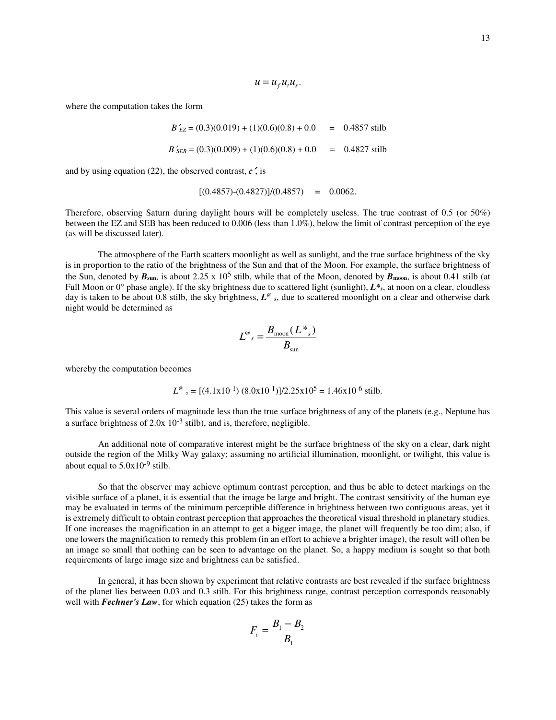$$
u = u_{f} u_{t} u_{s}.
$$

where the computation takes the form

$$
B'_{EZ} = (0.3)(0.019) + (1)(0.6)(0.8) + 0.0 = 0.4857 \text{ still}
$$
  

$$
B'_{SEB} = (0.3)(0.009) + (1)(0.6)(0.8) + 0.0 = 0.4827 \text{ still}
$$

and by using equation (22), the observed contrast,  $c$ , is

$$
[(0.4857)-(0.4827)]/(0.4857) = 0.0062.
$$

Therefore, observing Saturn during daylight hours will be completely useless. The true contrast of 0.5 (or 50%) between the EZ and SEB has been reduced to 0.006 (less than 1.0%), below the limit of contrast perception of the eye (as will be discussed later).

 The atmosphere of the Earth scatters moonlight as well as sunlight, and the true surface brightness of the sky is in proportion to the ratio of the brightness of the Sun and that of the Moon. For example, the surface brightness of the Sun, denoted by  $B_{\text{sun}}$ , is about 2.25 x 10<sup>5</sup> stilb, while that of the Moon, denoted by  $B_{\text{moon}}$ , is about 0.41 stilb (at Full Moon or  $0^{\circ}$  phase angle). If the sky brightness due to scattered light (sunlight),  $L^*$ <sub>s</sub>, at noon on a clear, cloudless day is taken to be about 0.8 stilb, the sky brightness, *L @ <sup>s</sup>*, due to scattered moonlight on a clear and otherwise dark night would be determined as

$$
L^{\omega}{}_{s} = \frac{B_{\text{moon}}(L^*{}_{s})}{B_{\text{sun}}}
$$

whereby the computation becomes

$$
L^{\omega} = [(4.1 \times 10^{-1}) (8.0 \times 10^{-1})]/2.25 \times 10^5 = 1.46 \times 10^{-6} \text{ still.}
$$

This value is several orders of magnitude less than the true surface brightness of any of the planets (e.g., Neptune has a surface brightness of 2.0x 10-3 stilb), and is, therefore, negligible.

 An additional note of comparative interest might be the surface brightness of the sky on a clear, dark night outside the region of the Milky Way galaxy; assuming no artificial illumination, moonlight, or twilight, this value is about equal to  $5.0x10^{-9}$  stilb.

 So that the observer may achieve optimum contrast perception, and thus be able to detect markings on the visible surface of a planet, it is essential that the image be large and bright. The contrast sensitivity of the human eye may be evaluated in terms of the minimum perceptible difference in brightness between two contiguous areas, yet it is extremely difficult to obtain contrast perception that approaches the theoretical visual threshold in planetary studies. If one increases the magnification in an attempt to get a bigger image, the planet will frequently be too dim; also, if one lowers the magnification to remedy this problem (in an effort to achieve a brighter image), the result will often be an image so small that nothing can be seen to advantage on the planet. So, a happy medium is sought so that both requirements of large image size and brightness can be satisfied.

 In general, it has been shown by experiment that relative contrasts are best revealed if the surface brightness of the planet lies between 0.03 and 0.3 stilb. For this brightness range, contrast perception corresponds reasonably well with *Fechner's Law*, for which equation (25) takes the form as

$$
F_c = \frac{B_1 - B_2}{B_1}
$$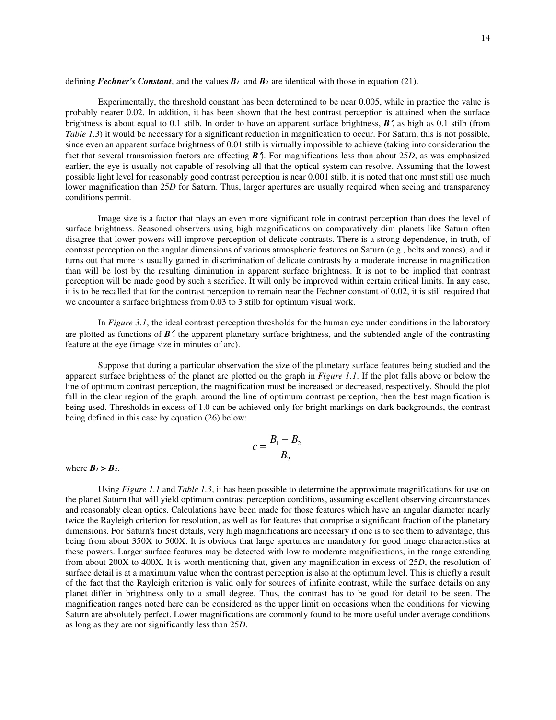defining *Fechner's Constant*, and the values  $B_1$  and  $B_2$  are identical with those in equation (21).

 Experimentally, the threshold constant has been determined to be near 0.005, while in practice the value is probably nearer 0.02. In addition, it has been shown that the best contrast perception is attained when the surface brightness is about equal to 0.1 stilb. In order to have an apparent surface brightness, *B*′, as high as 0.1 stilb (from *Table 1.3*) it would be necessary for a significant reduction in magnification to occur. For Saturn, this is not possible, since even an apparent surface brightness of 0.01 stilb is virtually impossible to achieve (taking into consideration the fact that several transmission factors are affecting *B*′). For magnifications less than about 25*D*, as was emphasized earlier, the eye is usually not capable of resolving all that the optical system can resolve. Assuming that the lowest possible light level for reasonably good contrast perception is near 0.001 stilb, it is noted that one must still use much lower magnification than 25*D* for Saturn. Thus, larger apertures are usually required when seeing and transparency conditions permit.

 Image size is a factor that plays an even more significant role in contrast perception than does the level of surface brightness. Seasoned observers using high magnifications on comparatively dim planets like Saturn often disagree that lower powers will improve perception of delicate contrasts. There is a strong dependence, in truth, of contrast perception on the angular dimensions of various atmospheric features on Saturn (e.g., belts and zones), and it turns out that more is usually gained in discrimination of delicate contrasts by a moderate increase in magnification than will be lost by the resulting diminution in apparent surface brightness. It is not to be implied that contrast perception will be made good by such a sacrifice. It will only be improved within certain critical limits. In any case, it is to be recalled that for the contrast perception to remain near the Fechner constant of 0.02, it is still required that we encounter a surface brightness from 0.03 to 3 stilb for optimum visual work.

In *Figure 3.1*, the ideal contrast perception thresholds for the human eye under conditions in the laboratory are plotted as functions of *B*′, the apparent planetary surface brightness, and the subtended angle of the contrasting feature at the eye (image size in minutes of arc).

 Suppose that during a particular observation the size of the planetary surface features being studied and the apparent surface brightness of the planet are plotted on the graph in *Figure 1.1*. If the plot falls above or below the line of optimum contrast perception, the magnification must be increased or decreased, respectively. Should the plot fall in the clear region of the graph, around the line of optimum contrast perception, then the best magnification is being used. Thresholds in excess of 1.0 can be achieved only for bright markings on dark backgrounds, the contrast being defined in this case by equation (26) below:

$$
c = \frac{B_1 - B_2}{B_2}
$$

where  $B_1 > B_2$ .

 Using *Figure 1.1* and *Table 1.3*, it has been possible to determine the approximate magnifications for use on the planet Saturn that will yield optimum contrast perception conditions, assuming excellent observing circumstances and reasonably clean optics. Calculations have been made for those features which have an angular diameter nearly twice the Rayleigh criterion for resolution, as well as for features that comprise a significant fraction of the planetary dimensions. For Saturn's finest details, very high magnifications are necessary if one is to see them to advantage, this being from about 350X to 500X. It is obvious that large apertures are mandatory for good image characteristics at these powers. Larger surface features may be detected with low to moderate magnifications, in the range extending from about 200X to 400X. It is worth mentioning that, given any magnification in excess of 25*D*, the resolution of surface detail is at a maximum value when the contrast perception is also at the optimum level. This is chiefly a result of the fact that the Rayleigh criterion is valid only for sources of infinite contrast, while the surface details on any planet differ in brightness only to a small degree. Thus, the contrast has to be good for detail to be seen. The magnification ranges noted here can be considered as the upper limit on occasions when the conditions for viewing Saturn are absolutely perfect. Lower magnifications are commonly found to be more useful under average conditions as long as they are not significantly less than 25*D*.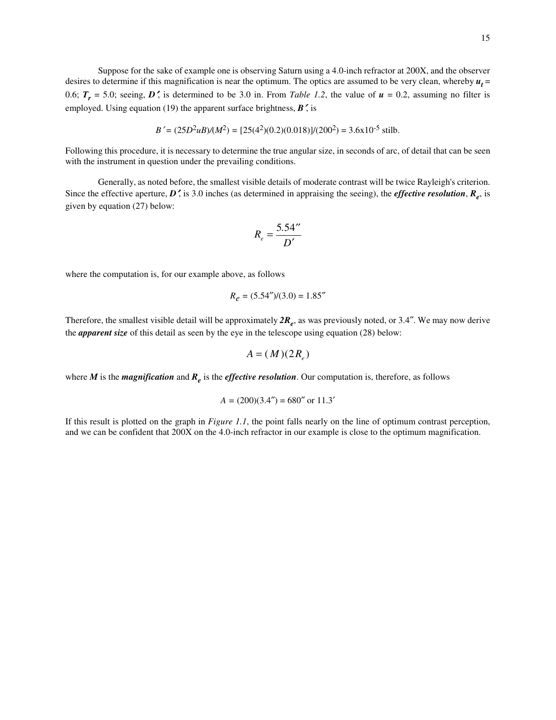Suppose for the sake of example one is observing Saturn using a 4.0-inch refractor at 200X, and the observer desires to determine if this magnification is near the optimum. The optics are assumed to be very clean, whereby  $u_t =$ 0.6;  $T_r = 5.0$ ; seeing, *D*, is determined to be 3.0 in. From *Table 1.2*, the value of  $u = 0.2$ , assuming no filter is employed. Using equation (19) the apparent surface brightness, *B*′, is

$$
B' = (25D^2u) / (M^2) = [25(4^2)(0.2)(0.018)] / (200^2) = 3.6 \times 10^{-5}
$$
 stillb.

Following this procedure, it is necessary to determine the true angular size, in seconds of arc, of detail that can be seen with the instrument in question under the prevailing conditions.

 Generally, as noted before, the smallest visible details of moderate contrast will be twice Rayleigh's criterion. Since the effective aperture, *D*′, is 3.0 inches (as determined in appraising the seeing), the *effective resolution*, *R<sup>e</sup>* , is given by equation (27) below:

$$
R_e = \frac{5.54^{\prime\prime}}{D'}
$$

where the computation is, for our example above, as follows

$$
R_e = (5.54'')/(3.0) = 1.85''
$$

Therefore, the smallest visible detail will be approximately *2R<sup>e</sup>* , as was previously noted, or 3.4″. We may now derive the *apparent size* of this detail as seen by the eye in the telescope using equation (28) below:

$$
A = (M)(2R_e)
$$

where *M* is the *magnification* and  $R_e$  is the *effective resolution*. Our computation is, therefore, as follows

$$
A = (200)(3.4'') = 680''
$$
 or 11.3'

If this result is plotted on the graph in *Figure 1.1*, the point falls nearly on the line of optimum contrast perception, and we can be confident that 200X on the 4.0-inch refractor in our example is close to the optimum magnification.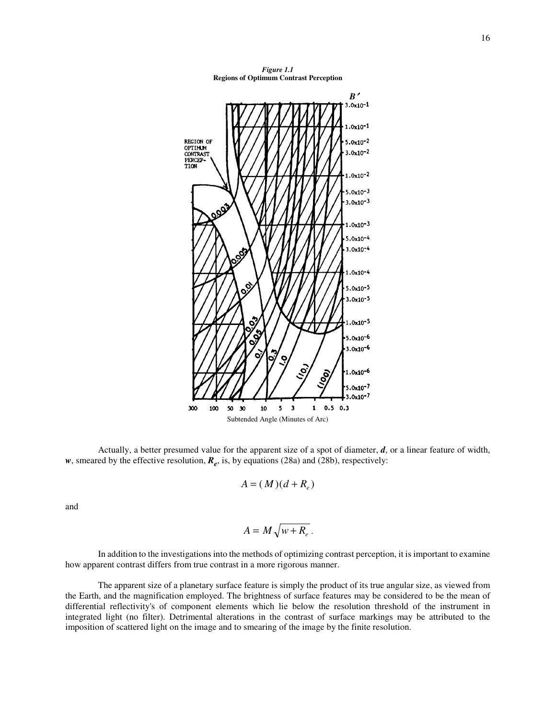

 Actually, a better presumed value for the apparent size of a spot of diameter, *d*, or a linear feature of width, *w*, smeared by the effective resolution, *R<sup>e</sup>* , is, by equations (28a) and (28b), respectively:

$$
A = (M)(d + R_e)
$$

and

$$
A = M \sqrt{w + R_e}.
$$

 In addition to the investigations into the methods of optimizing contrast perception, it is important to examine how apparent contrast differs from true contrast in a more rigorous manner.

 The apparent size of a planetary surface feature is simply the product of its true angular size, as viewed from the Earth, and the magnification employed. The brightness of surface features may be considered to be the mean of differential reflectivity's of component elements which lie below the resolution threshold of the instrument in integrated light (no filter). Detrimental alterations in the contrast of surface markings may be attributed to the imposition of scattered light on the image and to smearing of the image by the finite resolution.

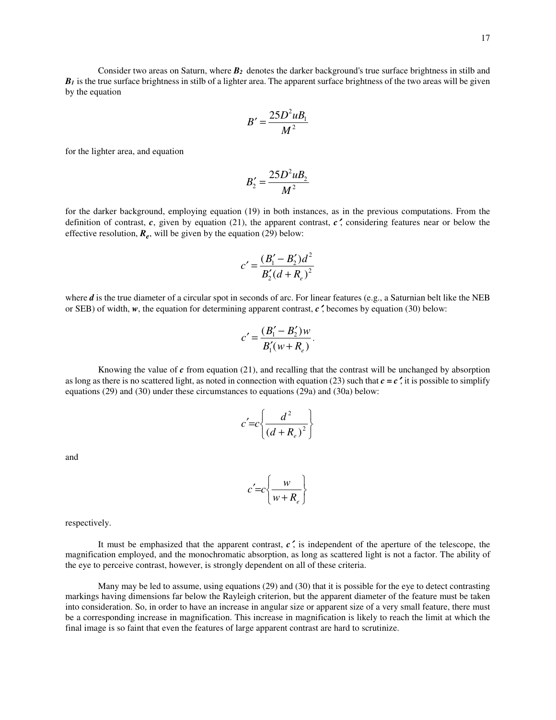Consider two areas on Saturn, where *B2* denotes the darker background's true surface brightness in stilb and  $B_I$  is the true surface brightness in stilb of a lighter area. The apparent surface brightness of the two areas will be given by the equation

$$
B'=\frac{25D^2uB_1}{M^2}
$$

for the lighter area, and equation

$$
B_2'=\frac{25D^2uB_2}{M^2}
$$

for the darker background, employing equation (19) in both instances, as in the previous computations. From the definition of contrast,  $c$ , given by equation (21), the apparent contrast,  $c'$ , considering features near or below the effective resolution,  $R_e$ , will be given by the equation (29) below:

$$
c' = \frac{(B_1' - B_2')d^2}{B_2'(d + R_e)^2}
$$

where *d* is the true diameter of a circular spot in seconds of arc. For linear features (e.g., a Saturnian belt like the NEB or SEB) of width, *w*, the equation for determining apparent contrast, *c*′, becomes by equation (30) below:

$$
c' = \frac{(B_1' - B_2')w}{B_1'(w + R_e)}.
$$

 Knowing the value of *c* from equation (21), and recalling that the contrast will be unchanged by absorption as long as there is no scattered light, as noted in connection with equation (23) such that  $c = c'$ , it is possible to simplify equations (29) and (30) under these circumstances to equations (29a) and (30a) below:

$$
c' = c \left\{ \frac{d^2}{\left(d + R_e\right)^2} \right\}
$$

and

$$
c' = c \left\{ \frac{w}{w + R_e} \right\}
$$

respectively.

It must be emphasized that the apparent contrast,  $c'$ , is independent of the aperture of the telescope, the magnification employed, and the monochromatic absorption, as long as scattered light is not a factor. The ability of the eye to perceive contrast, however, is strongly dependent on all of these criteria.

 Many may be led to assume, using equations (29) and (30) that it is possible for the eye to detect contrasting markings having dimensions far below the Rayleigh criterion, but the apparent diameter of the feature must be taken into consideration. So, in order to have an increase in angular size or apparent size of a very small feature, there must be a corresponding increase in magnification. This increase in magnification is likely to reach the limit at which the final image is so faint that even the features of large apparent contrast are hard to scrutinize.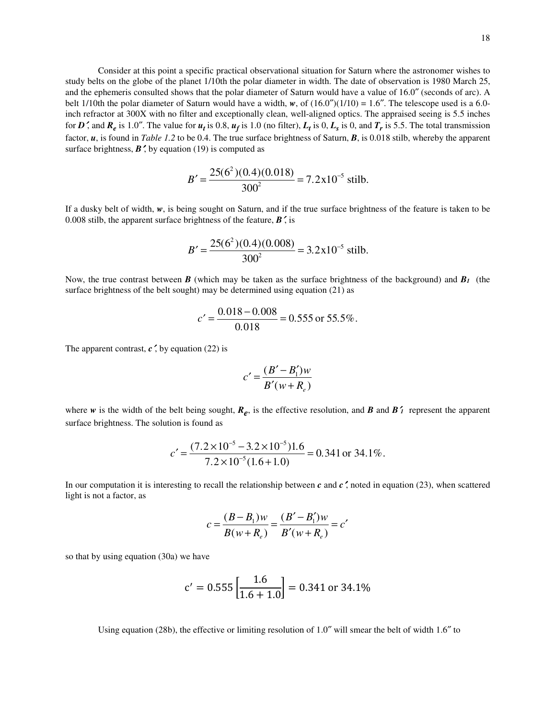Consider at this point a specific practical observational situation for Saturn where the astronomer wishes to study belts on the globe of the planet 1/10th the polar diameter in width. The date of observation is 1980 March 25, and the ephemeris consulted shows that the polar diameter of Saturn would have a value of 16.0″ (seconds of arc). A belt 1/10th the polar diameter of Saturn would have a width,  $w$ , of  $(16.0'')(1/10) = 1.6''$ . The telescope used is a 6.0inch refractor at 300X with no filter and exceptionally clean, well-aligned optics. The appraised seeing is 5.5 inches for *D*<sup> $\prime$ </sup>, and  $R_e$  is 1.0". The value for  $u_t$  is 0.8,  $u_f$  is 1.0 (no filter),  $L_t$  is 0,  $L_s$  is 0, and  $T_r$  is 5.5. The total transmission factor, *u*, is found in *Table 1.2* to be 0.4. The true surface brightness of Saturn, *B*, is 0.018 stilb, whereby the apparent surface brightness,  $\mathbf{B}'$ , by equation (19) is computed as

$$
B' = \frac{25(6^2)(0.4)(0.018)}{300^2} = 7.2 \times 10^{-5}
$$
stilb.

If a dusky belt of width, *w*, is being sought on Saturn, and if the true surface brightness of the feature is taken to be 0.008 stilb, the apparent surface brightness of the feature, *B*′, is

$$
B' = \frac{25(6^2)(0.4)(0.008)}{300^2} = 3.2 \times 10^{-5}
$$
 stillb.

Now, the true contrast between *B* (which may be taken as the surface brightness of the background) and *B1* (the surface brightness of the belt sought) may be determined using equation (21) as

$$
c' = \frac{0.018 - 0.008}{0.018} = 0.555
$$
 or 55.5%.

The apparent contrast,  $c'$ , by equation (22) is

$$
c' = \frac{(B'-B_1')w}{B'(w+R_e)}
$$

where  $w$  is the width of the belt being sought,  $R_e$ , is the effective resolution, and  $B$  and  $B'$ <sub>1</sub> represent the apparent surface brightness. The solution is found as

$$
c' = \frac{(7.2 \times 10^{-5} - 3.2 \times 10^{-5})1.6}{7.2 \times 10^{-5}(1.6 + 1.0)} = 0.341 \text{ or } 34.1\%.
$$

In our computation it is interesting to recall the relationship between  $c$  and  $c'$ , noted in equation (23), when scattered light is not a factor, as

$$
c = \frac{(B - B_1)w}{B(w + R_e)} = \frac{(B' - B_1')w}{B'(w + R_e)} = c'
$$

so that by using equation (30a) we have

$$
c' = 0.555 \left[ \frac{1.6}{1.6 + 1.0} \right] = 0.341 \text{ or } 34.1\%
$$

Using equation (28b), the effective or limiting resolution of 1.0″ will smear the belt of width 1.6″ to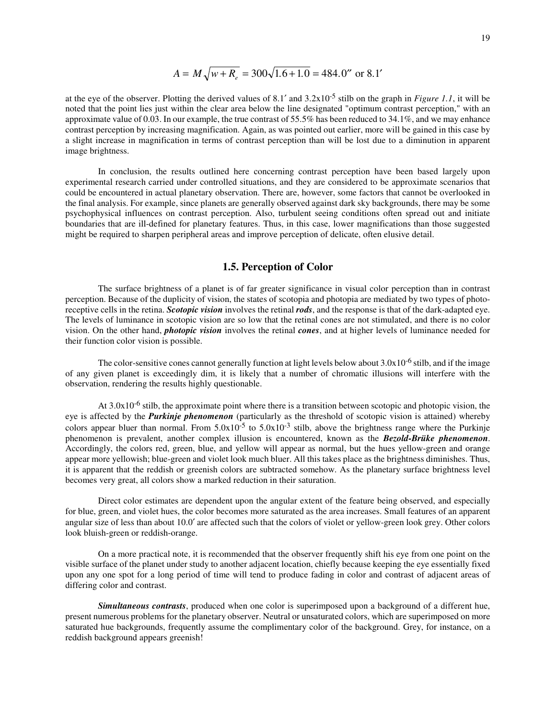$$
A = M\sqrt{w + R_e} = 300\sqrt{1.6 + 1.0} = 484.0''
$$
 or 8.1'

at the eye of the observer. Plotting the derived values of 8.1′ and 3.2x10-5 stilb on the graph in *Figure 1.1*, it will be noted that the point lies just within the clear area below the line designated "optimum contrast perception," with an approximate value of 0.03. In our example, the true contrast of 55.5% has been reduced to 34.1%, and we may enhance contrast perception by increasing magnification. Again, as was pointed out earlier, more will be gained in this case by a slight increase in magnification in terms of contrast perception than will be lost due to a diminution in apparent image brightness.

 In conclusion, the results outlined here concerning contrast perception have been based largely upon experimental research carried under controlled situations, and they are considered to be approximate scenarios that could be encountered in actual planetary observation. There are, however, some factors that cannot be overlooked in the final analysis. For example, since planets are generally observed against dark sky backgrounds, there may be some psychophysical influences on contrast perception. Also, turbulent seeing conditions often spread out and initiate boundaries that are ill-defined for planetary features. Thus, in this case, lower magnifications than those suggested might be required to sharpen peripheral areas and improve perception of delicate, often elusive detail.

### **1.5. Perception of Color**

 The surface brightness of a planet is of far greater significance in visual color perception than in contrast perception. Because of the duplicity of vision, the states of scotopia and photopia are mediated by two types of photoreceptive cells in the retina. *Scotopic vision* involves the retinal *rods*, and the response is that of the dark-adapted eye. The levels of luminance in scotopic vision are so low that the retinal cones are not stimulated, and there is no color vision. On the other hand, *photopic vision* involves the retinal *cones*, and at higher levels of luminance needed for their function color vision is possible.

The color-sensitive cones cannot generally function at light levels below about  $3.0x10^{-6}$  stilb, and if the image of any given planet is exceedingly dim, it is likely that a number of chromatic illusions will interfere with the observation, rendering the results highly questionable.

At  $3.0x10^{-6}$  stilb, the approximate point where there is a transition between scotopic and photopic vision, the eye is affected by the *Purkinje phenomenon* (particularly as the threshold of scotopic vision is attained) whereby colors appear bluer than normal. From  $5.0x10^{-5}$  to  $5.0x10^{-3}$  stilb, above the brightness range where the Purkinje phenomenon is prevalent, another complex illusion is encountered, known as the *Bezold-Brüke phenomenon*. Accordingly, the colors red, green, blue, and yellow will appear as normal, but the hues yellow-green and orange appear more yellowish; blue-green and violet look much bluer. All this takes place as the brightness diminishes. Thus, it is apparent that the reddish or greenish colors are subtracted somehow. As the planetary surface brightness level becomes very great, all colors show a marked reduction in their saturation.

 Direct color estimates are dependent upon the angular extent of the feature being observed, and especially for blue, green, and violet hues, the color becomes more saturated as the area increases. Small features of an apparent angular size of less than about 10.0′ are affected such that the colors of violet or yellow-green look grey. Other colors look bluish-green or reddish-orange.

 On a more practical note, it is recommended that the observer frequently shift his eye from one point on the visible surface of the planet under study to another adjacent location, chiefly because keeping the eye essentially fixed upon any one spot for a long period of time will tend to produce fading in color and contrast of adjacent areas of differing color and contrast.

 *Simultaneous contrasts*, produced when one color is superimposed upon a background of a different hue, present numerous problems for the planetary observer. Neutral or unsaturated colors, which are superimposed on more saturated hue backgrounds, frequently assume the complimentary color of the background. Grey, for instance, on a reddish background appears greenish!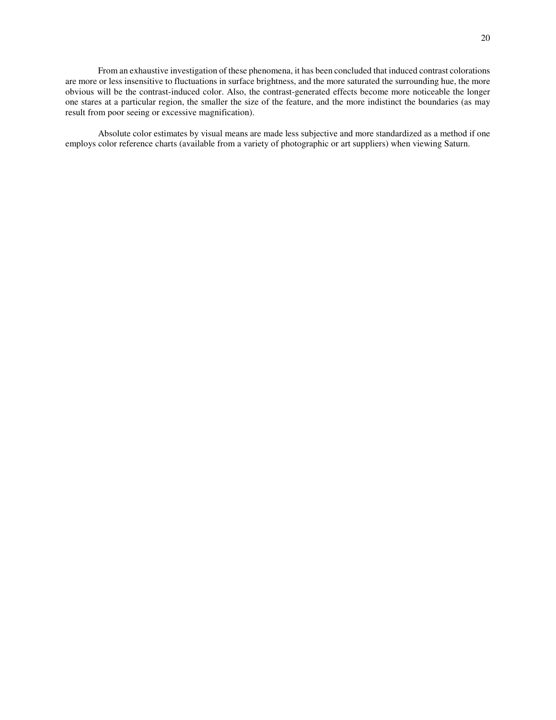From an exhaustive investigation of these phenomena, it has been concluded that induced contrast colorations are more or less insensitive to fluctuations in surface brightness, and the more saturated the surrounding hue, the more obvious will be the contrast-induced color. Also, the contrast-generated effects become more noticeable the longer one stares at a particular region, the smaller the size of the feature, and the more indistinct the boundaries (as may result from poor seeing or excessive magnification).

 Absolute color estimates by visual means are made less subjective and more standardized as a method if one employs color reference charts (available from a variety of photographic or art suppliers) when viewing Saturn.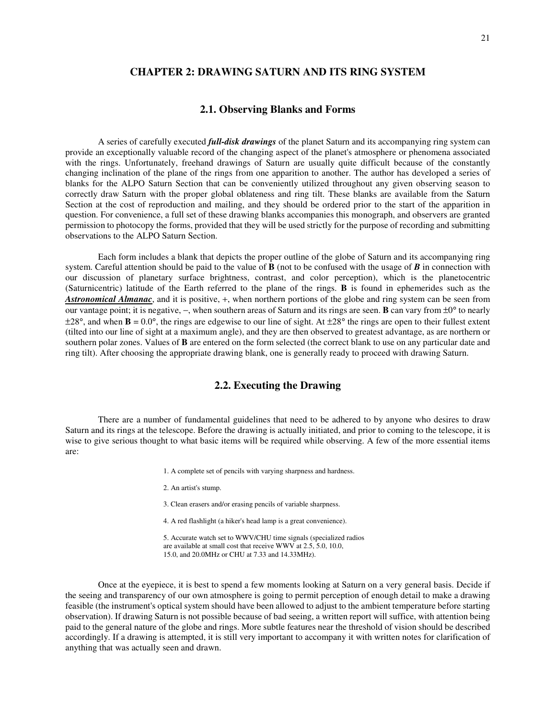## **CHAPTER 2: DRAWING SATURN AND ITS RING SYSTEM**

#### **2.1. Observing Blanks and Forms**

 A series of carefully executed *full-disk drawings* of the planet Saturn and its accompanying ring system can provide an exceptionally valuable record of the changing aspect of the planet's atmosphere or phenomena associated with the rings. Unfortunately, freehand drawings of Saturn are usually quite difficult because of the constantly changing inclination of the plane of the rings from one apparition to another. The author has developed a series of blanks for the ALPO Saturn Section that can be conveniently utilized throughout any given observing season to correctly draw Saturn with the proper global oblateness and ring tilt. These blanks are available from the Saturn Section at the cost of reproduction and mailing, and they should be ordered prior to the start of the apparition in question. For convenience, a full set of these drawing blanks accompanies this monograph, and observers are granted permission to photocopy the forms, provided that they will be used strictly for the purpose of recording and submitting observations to the ALPO Saturn Section.

 Each form includes a blank that depicts the proper outline of the globe of Saturn and its accompanying ring system. Careful attention should be paid to the value of **B** (not to be confused with the usage of *B* in connection with our discussion of planetary surface brightness, contrast, and color perception), which is the planetocentric (Saturnicentric) latitude of the Earth referred to the plane of the rings. **B** is found in ephemerides such as the *Astronomical Almanac*, and it is positive, +, when northern portions of the globe and ring system can be seen from our vantage point; it is negative, −, when southern areas of Saturn and its rings are seen. **B** can vary from ±0° to nearly  $\pm 28^\circ$ , and when  $\bf{B} = 0.0^\circ$ , the rings are edgewise to our line of sight. At  $\pm 28^\circ$  the rings are open to their fullest extent (tilted into our line of sight at a maximum angle), and they are then observed to greatest advantage, as are northern or southern polar zones. Values of **B** are entered on the form selected (the correct blank to use on any particular date and ring tilt). After choosing the appropriate drawing blank, one is generally ready to proceed with drawing Saturn.

### **2.2. Executing the Drawing**

 There are a number of fundamental guidelines that need to be adhered to by anyone who desires to draw Saturn and its rings at the telescope. Before the drawing is actually initiated, and prior to coming to the telescope, it is wise to give serious thought to what basic items will be required while observing. A few of the more essential items are:

- 1. A complete set of pencils with varying sharpness and hardness.
- 2. An artist's stump.
- 3. Clean erasers and/or erasing pencils of variable sharpness.
- 4. A red flashlight (a hiker's head lamp is a great convenience).
- 5. Accurate watch set to WWV/CHU time signals (specialized radios are available at small cost that receive WWV at 2.5, 5.0, 10.0, 15.0, and 20.0MHz or CHU at 7.33 and 14.33MHz).

 Once at the eyepiece, it is best to spend a few moments looking at Saturn on a very general basis. Decide if the seeing and transparency of our own atmosphere is going to permit perception of enough detail to make a drawing feasible (the instrument's optical system should have been allowed to adjust to the ambient temperature before starting observation). If drawing Saturn is not possible because of bad seeing, a written report will suffice, with attention being paid to the general nature of the globe and rings. More subtle features near the threshold of vision should be described accordingly. If a drawing is attempted, it is still very important to accompany it with written notes for clarification of anything that was actually seen and drawn.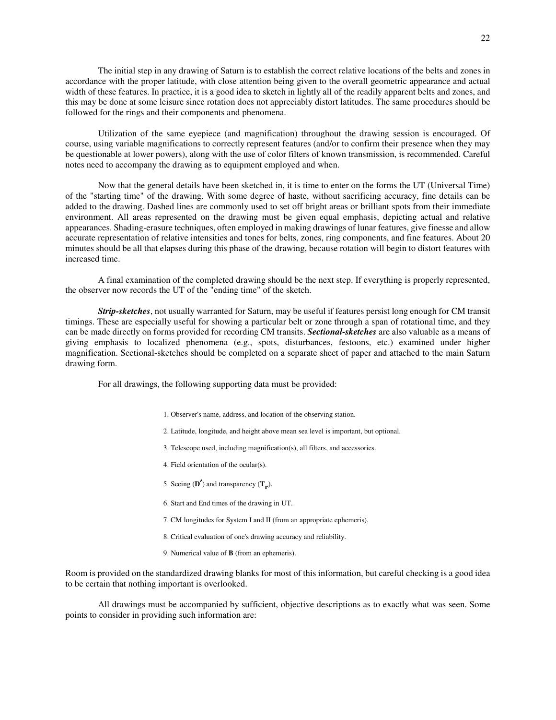The initial step in any drawing of Saturn is to establish the correct relative locations of the belts and zones in accordance with the proper latitude, with close attention being given to the overall geometric appearance and actual width of these features. In practice, it is a good idea to sketch in lightly all of the readily apparent belts and zones, and this may be done at some leisure since rotation does not appreciably distort latitudes. The same procedures should be followed for the rings and their components and phenomena.

 Utilization of the same eyepiece (and magnification) throughout the drawing session is encouraged. Of course, using variable magnifications to correctly represent features (and/or to confirm their presence when they may be questionable at lower powers), along with the use of color filters of known transmission, is recommended. Careful notes need to accompany the drawing as to equipment employed and when.

 Now that the general details have been sketched in, it is time to enter on the forms the UT (Universal Time) of the "starting time" of the drawing. With some degree of haste, without sacrificing accuracy, fine details can be added to the drawing. Dashed lines are commonly used to set off bright areas or brilliant spots from their immediate environment. All areas represented on the drawing must be given equal emphasis, depicting actual and relative appearances. Shading-erasure techniques, often employed in making drawings of lunar features, give finesse and allow accurate representation of relative intensities and tones for belts, zones, ring components, and fine features. About 20 minutes should be all that elapses during this phase of the drawing, because rotation will begin to distort features with increased time.

 A final examination of the completed drawing should be the next step. If everything is properly represented, the observer now records the UT of the "ending time" of the sketch.

 *Strip-sketches*, not usually warranted for Saturn, may be useful if features persist long enough for CM transit timings. These are especially useful for showing a particular belt or zone through a span of rotational time, and they can be made directly on forms provided for recording CM transits. *Sectional-sketches* are also valuable as a means of giving emphasis to localized phenomena (e.g., spots, disturbances, festoons, etc.) examined under higher magnification. Sectional-sketches should be completed on a separate sheet of paper and attached to the main Saturn drawing form.

For all drawings, the following supporting data must be provided:

- 1. Observer's name, address, and location of the observing station.
- 2. Latitude, longitude, and height above mean sea level is important, but optional.
- 3. Telescope used, including magnification(s), all filters, and accessories.
- 4. Field orientation of the ocular(s).
- 5. Seeing (**D**′) and transparency (**Tr** ).
	- 6. Start and End times of the drawing in UT.
	- 7. CM longitudes for System I and II (from an appropriate ephemeris).
	- 8. Critical evaluation of one's drawing accuracy and reliability.
	- 9. Numerical value of **B** (from an ephemeris).

Room is provided on the standardized drawing blanks for most of this information, but careful checking is a good idea to be certain that nothing important is overlooked.

 All drawings must be accompanied by sufficient, objective descriptions as to exactly what was seen. Some points to consider in providing such information are: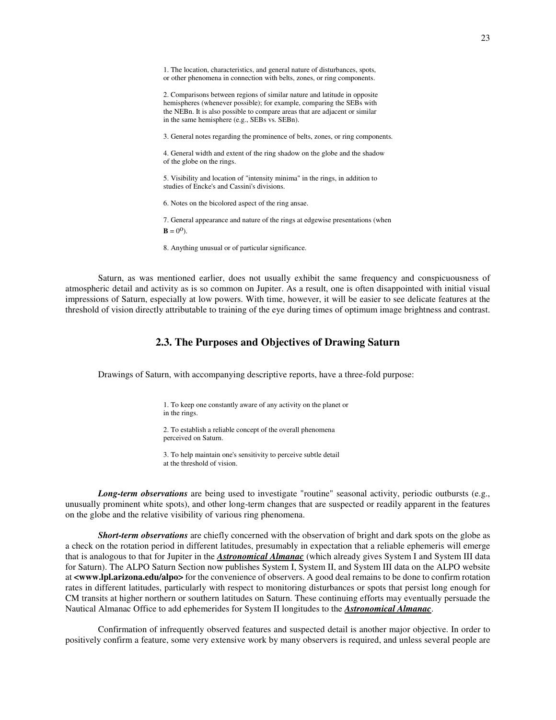1. The location, characteristics, and general nature of disturbances, spots, or other phenomena in connection with belts, zones, or ring components.

 2. Comparisons between regions of similar nature and latitude in opposite hemispheres (whenever possible); for example, comparing the SEBs with the NEBn. It is also possible to compare areas that are adjacent or similar in the same hemisphere (e.g., SEBs vs. SEBn).

3. General notes regarding the prominence of belts, zones, or ring components.

 4. General width and extent of the ring shadow on the globe and the shadow of the globe on the rings.

 5. Visibility and location of "intensity minima" in the rings, in addition to studies of Encke's and Cassini's divisions.

6. Notes on the bicolored aspect of the ring ansae.

7. General appearance and nature of the rings at edgewise presentations (when

**.** 

8. Anything unusual or of particular significance.

 Saturn, as was mentioned earlier, does not usually exhibit the same frequency and conspicuousness of atmospheric detail and activity as is so common on Jupiter. As a result, one is often disappointed with initial visual impressions of Saturn, especially at low powers. With time, however, it will be easier to see delicate features at the threshold of vision directly attributable to training of the eye during times of optimum image brightness and contrast.

# **2.3. The Purposes and Objectives of Drawing Saturn**

Drawings of Saturn, with accompanying descriptive reports, have a three-fold purpose:

 1. To keep one constantly aware of any activity on the planet or in the rings.

 2. To establish a reliable concept of the overall phenomena perceived on Saturn.

 3. To help maintain one's sensitivity to perceive subtle detail at the threshold of vision.

 *Long-term observations* are being used to investigate "routine" seasonal activity, periodic outbursts (e.g., unusually prominent white spots), and other long-term changes that are suspected or readily apparent in the features on the globe and the relative visibility of various ring phenomena.

 *Short-term observations* are chiefly concerned with the observation of bright and dark spots on the globe as a check on the rotation period in different latitudes, presumably in expectation that a reliable ephemeris will emerge that is analogous to that for Jupiter in the *Astronomical Almanac* (which already gives System I and System III data for Saturn). The ALPO Saturn Section now publishes System I, System II, and System III data on the ALPO website at **<www.lpl.arizona.edu/alpo>** for the convenience of observers. A good deal remains to be done to confirm rotation rates in different latitudes, particularly with respect to monitoring disturbances or spots that persist long enough for CM transits at higher northern or southern latitudes on Saturn. These continuing efforts may eventually persuade the Nautical Almanac Office to add ephemerides for System II longitudes to the *Astronomical Almanac*.

 Confirmation of infrequently observed features and suspected detail is another major objective. In order to positively confirm a feature, some very extensive work by many observers is required, and unless several people are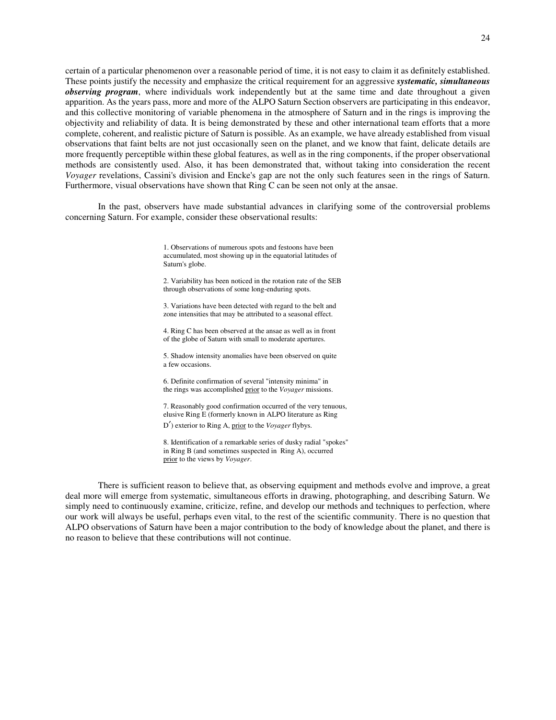certain of a particular phenomenon over a reasonable period of time, it is not easy to claim it as definitely established. These points justify the necessity and emphasize the critical requirement for an aggressive *systematic, simultaneous observing program*, where individuals work independently but at the same time and date throughout a given apparition. As the years pass, more and more of the ALPO Saturn Section observers are participating in this endeavor, and this collective monitoring of variable phenomena in the atmosphere of Saturn and in the rings is improving the objectivity and reliability of data. It is being demonstrated by these and other international team efforts that a more complete, coherent, and realistic picture of Saturn is possible. As an example, we have already established from visual observations that faint belts are not just occasionally seen on the planet, and we know that faint, delicate details are more frequently perceptible within these global features, as well as in the ring components, if the proper observational methods are consistently used. Also, it has been demonstrated that, without taking into consideration the recent *Voyager* revelations, Cassini's division and Encke's gap are not the only such features seen in the rings of Saturn. Furthermore, visual observations have shown that Ring C can be seen not only at the ansae.

 In the past, observers have made substantial advances in clarifying some of the controversial problems concerning Saturn. For example, consider these observational results:

> 1. Observations of numerous spots and festoons have been accumulated, most showing up in the equatorial latitudes of Saturn's globe.

 2. Variability has been noticed in the rotation rate of the SEB through observations of some long-enduring spots.

 3. Variations have been detected with regard to the belt and zone intensities that may be attributed to a seasonal effect.

 4. Ring C has been observed at the ansae as well as in front of the globe of Saturn with small to moderate apertures.

 5. Shadow intensity anomalies have been observed on quite a few occasions.

 6. Definite confirmation of several "intensity minima" in the rings was accomplished prior to the *Voyager* missions.

 7. Reasonably good confirmation occurred of the very tenuous, elusive Ring E (formerly known in ALPO literature as Ring <sup>D</sup>′) exterior to Ring A, prior to the *Voyager* flybys.

 8. Identification of a remarkable series of dusky radial "spokes" in Ring B (and sometimes suspected in Ring A), occurred prior to the views by *Voyager*.

 There is sufficient reason to believe that, as observing equipment and methods evolve and improve, a great deal more will emerge from systematic, simultaneous efforts in drawing, photographing, and describing Saturn. We simply need to continuously examine, criticize, refine, and develop our methods and techniques to perfection, where our work will always be useful, perhaps even vital, to the rest of the scientific community. There is no question that ALPO observations of Saturn have been a major contribution to the body of knowledge about the planet, and there is no reason to believe that these contributions will not continue.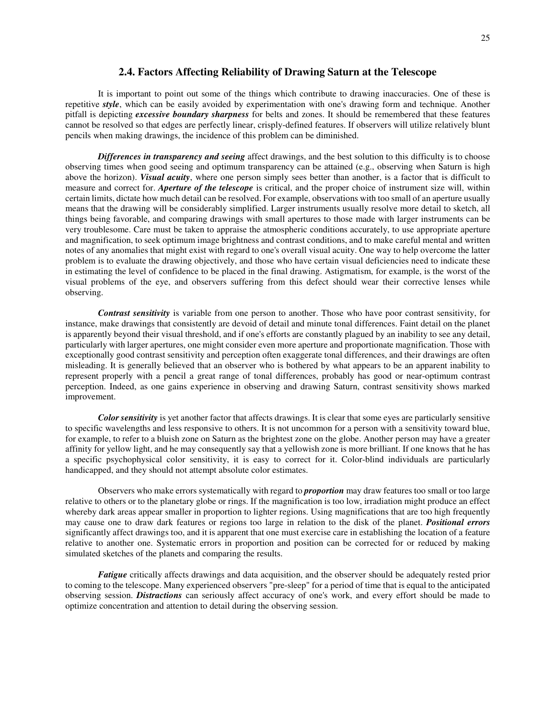#### **2.4. Factors Affecting Reliability of Drawing Saturn at the Telescope**

 It is important to point out some of the things which contribute to drawing inaccuracies. One of these is repetitive *style*, which can be easily avoided by experimentation with one's drawing form and technique. Another pitfall is depicting *excessive boundary sharpness* for belts and zones. It should be remembered that these features cannot be resolved so that edges are perfectly linear, crisply-defined features. If observers will utilize relatively blunt pencils when making drawings, the incidence of this problem can be diminished.

 *Differences in transparency and seeing* affect drawings, and the best solution to this difficulty is to choose observing times when good seeing and optimum transparency can be attained (e.g., observing when Saturn is high above the horizon). *Visual acuity*, where one person simply sees better than another, is a factor that is difficult to measure and correct for. *Aperture of the telescope* is critical, and the proper choice of instrument size will, within certain limits, dictate how much detail can be resolved. For example, observations with too small of an aperture usually means that the drawing will be considerably simplified. Larger instruments usually resolve more detail to sketch, all things being favorable, and comparing drawings with small apertures to those made with larger instruments can be very troublesome. Care must be taken to appraise the atmospheric conditions accurately, to use appropriate aperture and magnification, to seek optimum image brightness and contrast conditions, and to make careful mental and written notes of any anomalies that might exist with regard to one's overall visual acuity. One way to help overcome the latter problem is to evaluate the drawing objectively, and those who have certain visual deficiencies need to indicate these in estimating the level of confidence to be placed in the final drawing. Astigmatism, for example, is the worst of the visual problems of the eye, and observers suffering from this defect should wear their corrective lenses while observing.

 *Contrast sensitivity* is variable from one person to another. Those who have poor contrast sensitivity, for instance, make drawings that consistently are devoid of detail and minute tonal differences. Faint detail on the planet is apparently beyond their visual threshold, and if one's efforts are constantly plagued by an inability to see any detail, particularly with larger apertures, one might consider even more aperture and proportionate magnification. Those with exceptionally good contrast sensitivity and perception often exaggerate tonal differences, and their drawings are often misleading. It is generally believed that an observer who is bothered by what appears to be an apparent inability to represent properly with a pencil a great range of tonal differences, probably has good or near-optimum contrast perception. Indeed, as one gains experience in observing and drawing Saturn, contrast sensitivity shows marked improvement.

*Color sensitivity* is yet another factor that affects drawings. It is clear that some eyes are particularly sensitive to specific wavelengths and less responsive to others. It is not uncommon for a person with a sensitivity toward blue, for example, to refer to a bluish zone on Saturn as the brightest zone on the globe. Another person may have a greater affinity for yellow light, and he may consequently say that a yellowish zone is more brilliant. If one knows that he has a specific psychophysical color sensitivity, it is easy to correct for it. Color-blind individuals are particularly handicapped, and they should not attempt absolute color estimates.

 Observers who make errors systematically with regard to *proportion* may draw features too small or too large relative to others or to the planetary globe or rings. If the magnification is too low, irradiation might produce an effect whereby dark areas appear smaller in proportion to lighter regions. Using magnifications that are too high frequently may cause one to draw dark features or regions too large in relation to the disk of the planet. *Positional errors* significantly affect drawings too, and it is apparent that one must exercise care in establishing the location of a feature relative to another one. Systematic errors in proportion and position can be corrected for or reduced by making simulated sketches of the planets and comparing the results.

 *Fatigue* critically affects drawings and data acquisition, and the observer should be adequately rested prior to coming to the telescope. Many experienced observers "pre-sleep" for a period of time that is equal to the anticipated observing session. *Distractions* can seriously affect accuracy of one's work, and every effort should be made to optimize concentration and attention to detail during the observing session.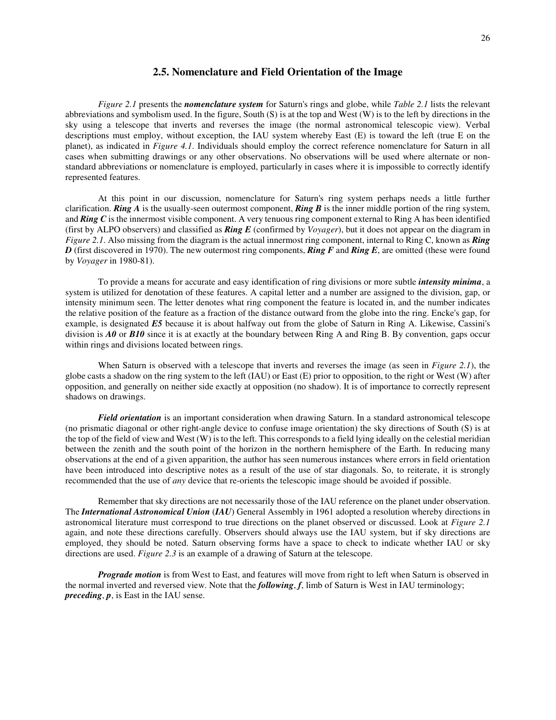#### **2.5. Nomenclature and Field Orientation of the Image**

 *Figure 2.1* presents the *nomenclature system* for Saturn's rings and globe, while *Table 2.1* lists the relevant abbreviations and symbolism used. In the figure, South (S) is at the top and West (W) is to the left by directions in the sky using a telescope that inverts and reverses the image (the normal astronomical telescopic view). Verbal descriptions must employ, without exception, the IAU system whereby East (E) is toward the left (true E on the planet), as indicated in *Figure 4.1*. Individuals should employ the correct reference nomenclature for Saturn in all cases when submitting drawings or any other observations. No observations will be used where alternate or nonstandard abbreviations or nomenclature is employed, particularly in cases where it is impossible to correctly identify represented features.

 At this point in our discussion, nomenclature for Saturn's ring system perhaps needs a little further clarification. *Ring A* is the usually-seen outermost component, *Ring B* is the inner middle portion of the ring system, and *Ring C* is the innermost visible component. A very tenuous ring component external to Ring A has been identified (first by ALPO observers) and classified as *Ring E* (confirmed by *Voyager*), but it does not appear on the diagram in *Figure 2.1*. Also missing from the diagram is the actual innermost ring component, internal to Ring C, known as *Ring D* (first discovered in 1970). The new outermost ring components, *Ring F* and *Ring E*, are omitted (these were found by *Voyager* in 1980-81).

 To provide a means for accurate and easy identification of ring divisions or more subtle *intensity minima*, a system is utilized for denotation of these features. A capital letter and a number are assigned to the division, gap, or intensity minimum seen. The letter denotes what ring component the feature is located in, and the number indicates the relative position of the feature as a fraction of the distance outward from the globe into the ring. Encke's gap, for example, is designated *E5* because it is about halfway out from the globe of Saturn in Ring A. Likewise, Cassini's division is *A0* or *B10* since it is at exactly at the boundary between Ring A and Ring B. By convention, gaps occur within rings and divisions located between rings.

 When Saturn is observed with a telescope that inverts and reverses the image (as seen in *Figure 2.1*), the globe casts a shadow on the ring system to the left (IAU) or East (E) prior to opposition, to the right or West (W) after opposition, and generally on neither side exactly at opposition (no shadow). It is of importance to correctly represent shadows on drawings.

 *Field orientation* is an important consideration when drawing Saturn. In a standard astronomical telescope (no prismatic diagonal or other right-angle device to confuse image orientation) the sky directions of South (S) is at the top of the field of view and West (W) is to the left. This corresponds to a field lying ideally on the celestial meridian between the zenith and the south point of the horizon in the northern hemisphere of the Earth. In reducing many observations at the end of a given apparition, the author has seen numerous instances where errors in field orientation have been introduced into descriptive notes as a result of the use of star diagonals. So, to reiterate, it is strongly recommended that the use of *any* device that re-orients the telescopic image should be avoided if possible.

 Remember that sky directions are not necessarily those of the IAU reference on the planet under observation. The *International Astronomical Union* (*IAU*) General Assembly in 1961 adopted a resolution whereby directions in astronomical literature must correspond to true directions on the planet observed or discussed. Look at *Figure 2.1* again, and note these directions carefully. Observers should always use the IAU system, but if sky directions are employed, they should be noted. Saturn observing forms have a space to check to indicate whether IAU or sky directions are used. *Figure 2.3* is an example of a drawing of Saturn at the telescope.

 *Prograde motion* is from West to East, and features will move from right to left when Saturn is observed in the normal inverted and reversed view. Note that the *following*, *f*, limb of Saturn is West in IAU terminology; *preceding*, *p*, is East in the IAU sense.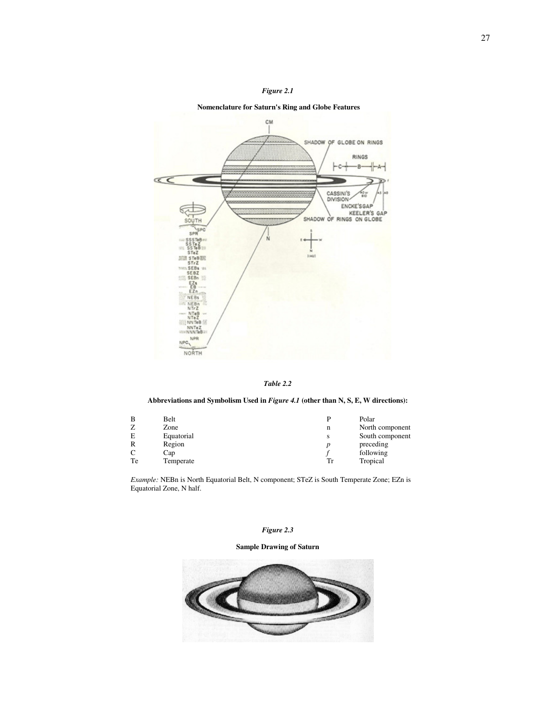

#### **Nomenclature for Saturn's Ring and Globe Features**



*Table 2.2* 

#### **Abbreviations and Symbolism Used in** *Figure 4.1* **(other than N, S, E, W directions):**

| в  | Belt       | D  | Polar           |
|----|------------|----|-----------------|
|    | Zone       | n  | North component |
| E  | Equatorial | S  | South component |
| R  | Region     |    | preceding       |
| C  | Cap        |    | following       |
| Te | Temperate  | Tr | Tropical        |

 *Example:* NEBn is North Equatorial Belt, N component; STeZ is South Temperate Zone; EZn is Equatorial Zone, N half.

#### *Figure 2.3*

#### **Sample Drawing of Saturn**

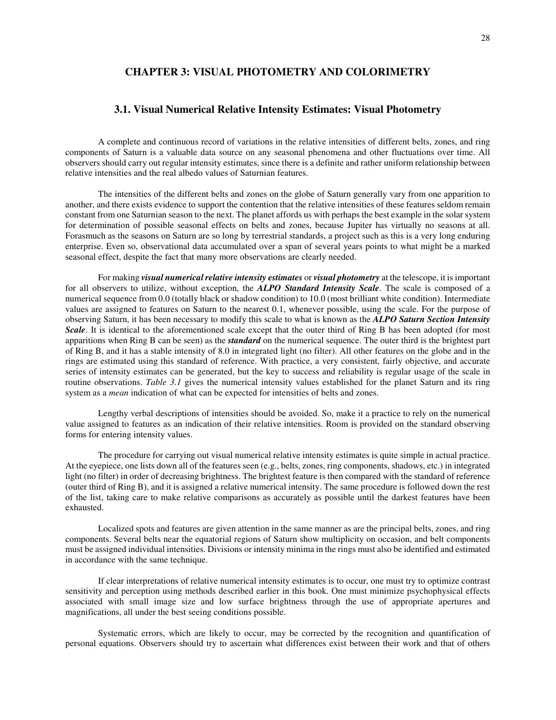## **CHAPTER 3: VISUAL PHOTOMETRY AND COLORIMETRY**

## **3.1. Visual Numerical Relative Intensity Estimates: Visual Photometry**

 A complete and continuous record of variations in the relative intensities of different belts, zones, and ring components of Saturn is a valuable data source on any seasonal phenomena and other fluctuations over time. All observers should carry out regular intensity estimates, since there is a definite and rather uniform relationship between relative intensities and the real albedo values of Saturnian features.

 The intensities of the different belts and zones on the globe of Saturn generally vary from one apparition to another, and there exists evidence to support the contention that the relative intensities of these features seldom remain constant from one Saturnian season to the next. The planet affords us with perhaps the best example in the solar system for determination of possible seasonal effects on belts and zones, because Jupiter has virtually no seasons at all. Forasmuch as the seasons on Saturn are so long by terrestrial standards, a project such as this is a very long enduring enterprise. Even so, observational data accumulated over a span of several years points to what might be a marked seasonal effect, despite the fact that many more observations are clearly needed.

 For making *visual numerical relative intensity estimates* or *visual photometry* at the telescope, it is important for all observers to utilize, without exception, the *ALPO Standard Intensity Scale*. The scale is composed of a numerical sequence from 0.0 (totally black or shadow condition) to 10.0 (most brilliant white condition). Intermediate values are assigned to features on Saturn to the nearest 0.1, whenever possible, using the scale. For the purpose of observing Saturn, it has been necessary to modify this scale to what is known as the *ALPO Saturn Section Intensity Scale*. It is identical to the aforementioned scale except that the outer third of Ring B has been adopted (for most apparitions when Ring B can be seen) as the *standard* on the numerical sequence. The outer third is the brightest part of Ring B, and it has a stable intensity of 8.0 in integrated light (no filter). All other features on the globe and in the rings are estimated using this standard of reference. With practice, a very consistent, fairly objective, and accurate series of intensity estimates can be generated, but the key to success and reliability is regular usage of the scale in routine observations. *Table 3.1* gives the numerical intensity values established for the planet Saturn and its ring system as a *mean* indication of what can be expected for intensities of belts and zones.

 Lengthy verbal descriptions of intensities should be avoided. So, make it a practice to rely on the numerical value assigned to features as an indication of their relative intensities. Room is provided on the standard observing forms for entering intensity values.

 The procedure for carrying out visual numerical relative intensity estimates is quite simple in actual practice. At the eyepiece, one lists down all of the features seen (e.g., belts, zones, ring components, shadows, etc.) in integrated light (no filter) in order of decreasing brightness. The brightest feature is then compared with the standard of reference (outer third of Ring B), and it is assigned a relative numerical intensity. The same procedure is followed down the rest of the list, taking care to make relative comparisons as accurately as possible until the darkest features have been exhausted.

 Localized spots and features are given attention in the same manner as are the principal belts, zones, and ring components. Several belts near the equatorial regions of Saturn show multiplicity on occasion, and belt components must be assigned individual intensities. Divisions or intensity minima in the rings must also be identified and estimated in accordance with the same technique.

 If clear interpretations of relative numerical intensity estimates is to occur, one must try to optimize contrast sensitivity and perception using methods described earlier in this book. One must minimize psychophysical effects associated with small image size and low surface brightness through the use of appropriate apertures and magnifications, all under the best seeing conditions possible.

 Systematic errors, which are likely to occur, may be corrected by the recognition and quantification of personal equations. Observers should try to ascertain what differences exist between their work and that of others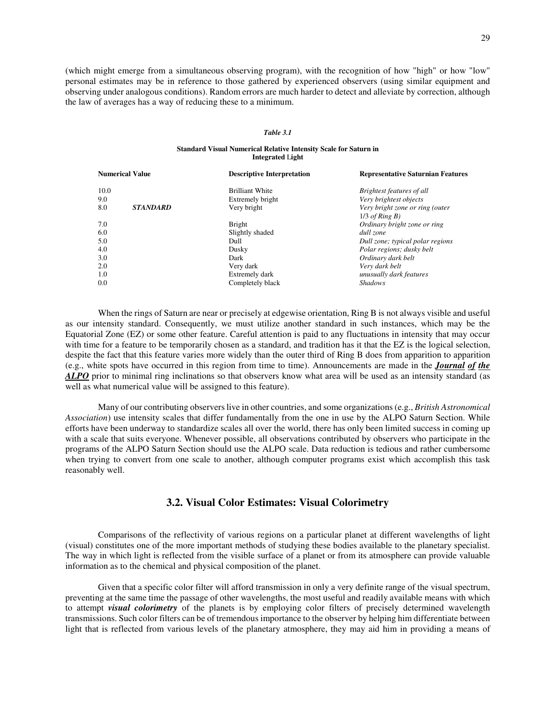(which might emerge from a simultaneous observing program), with the recognition of how "high" or how "low" personal estimates may be in reference to those gathered by experienced observers (using similar equipment and observing under analogous conditions). Random errors are much harder to detect and alleviate by correction, although the law of averages has a way of reducing these to a minimum.

#### *Table 3.1*

#### **Standard Visual Numerical Relative Intensity Scale for Saturn in Integrated** L**ight**

|      | <b>Numerical Value</b> | <b>Descriptive Interpretation</b> | <b>Representative Saturnian Features</b> |
|------|------------------------|-----------------------------------|------------------------------------------|
| 10.0 |                        | <b>Brilliant White</b>            | Brightest features of all                |
| 9.0  |                        | Extremely bright                  | Very brightest objects                   |
| 8.0  | <b>STANDARD</b>        | Very bright                       | Very bright zone or ring (outer          |
|      |                        |                                   | $1/3$ of Ring B)                         |
| 7.0  |                        | <b>Bright</b>                     | Ordinary bright zone or ring             |
| 6.0  |                        | Slightly shaded                   | dull zone                                |
| 5.0  |                        | Dull                              | Dull zone; typical polar regions         |
| 4.0  |                        | Dusky                             | Polar regions; dusky belt                |
| 3.0  |                        | Dark                              | Ordinary dark belt                       |
| 2.0  |                        | Very dark                         | Very dark belt                           |
| 1.0  |                        | Extremely dark                    | unusually dark features                  |
| 0.0  |                        | Completely black                  | <b>Shadows</b>                           |
|      |                        |                                   |                                          |

 When the rings of Saturn are near or precisely at edgewise orientation, Ring B is not always visible and useful as our intensity standard. Consequently, we must utilize another standard in such instances, which may be the Equatorial Zone (EZ) or some other feature. Careful attention is paid to any fluctuations in intensity that may occur with time for a feature to be temporarily chosen as a standard, and tradition has it that the EZ is the logical selection, despite the fact that this feature varies more widely than the outer third of Ring B does from apparition to apparition (e.g., white spots have occurred in this region from time to time). Announcements are made in the *Journal of the ALPO* prior to minimal ring inclinations so that observers know what area will be used as an intensity standard (as well as what numerical value will be assigned to this feature).

 Many of our contributing observers live in other countries, and some organizations (e.g., *British Astronomical Association*) use intensity scales that differ fundamentally from the one in use by the ALPO Saturn Section. While efforts have been underway to standardize scales all over the world, there has only been limited success in coming up with a scale that suits everyone. Whenever possible, all observations contributed by observers who participate in the programs of the ALPO Saturn Section should use the ALPO scale. Data reduction is tedious and rather cumbersome when trying to convert from one scale to another, although computer programs exist which accomplish this task reasonably well.

#### **3.2. Visual Color Estimates: Visual Colorimetry**

 Comparisons of the reflectivity of various regions on a particular planet at different wavelengths of light (visual) constitutes one of the more important methods of studying these bodies available to the planetary specialist. The way in which light is reflected from the visible surface of a planet or from its atmosphere can provide valuable information as to the chemical and physical composition of the planet.

 Given that a specific color filter will afford transmission in only a very definite range of the visual spectrum, preventing at the same time the passage of other wavelengths, the most useful and readily available means with which to attempt *visual colorimetry* of the planets is by employing color filters of precisely determined wavelength transmissions. Such color filters can be of tremendous importance to the observer by helping him differentiate between light that is reflected from various levels of the planetary atmosphere, they may aid him in providing a means of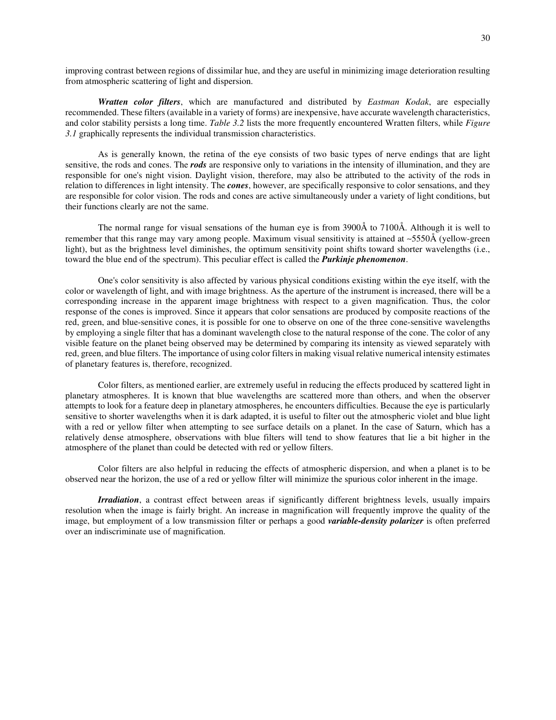improving contrast between regions of dissimilar hue, and they are useful in minimizing image deterioration resulting from atmospheric scattering of light and dispersion.

*Wratten color filters*, which are manufactured and distributed by *Eastman Kodak*, are especially recommended. These filters (available in a variety of forms) are inexpensive, have accurate wavelength characteristics, and color stability persists a long time. *Table 3.2* lists the more frequently encountered Wratten filters, while *Figure 3.1* graphically represents the individual transmission characteristics.

 As is generally known, the retina of the eye consists of two basic types of nerve endings that are light sensitive, the rods and cones. The *rods* are responsive only to variations in the intensity of illumination, and they are responsible for one's night vision. Daylight vision, therefore, may also be attributed to the activity of the rods in relation to differences in light intensity. The *cones*, however, are specifically responsive to color sensations, and they are responsible for color vision. The rods and cones are active simultaneously under a variety of light conditions, but their functions clearly are not the same.

 The normal range for visual sensations of the human eye is from 3900Å to 7100Å. Although it is well to remember that this range may vary among people. Maximum visual sensitivity is attained at ∼5550Å (yellow-green light), but as the brightness level diminishes, the optimum sensitivity point shifts toward shorter wavelengths (i.e., toward the blue end of the spectrum). This peculiar effect is called the *Purkinje phenomenon*.

 One's color sensitivity is also affected by various physical conditions existing within the eye itself, with the color or wavelength of light, and with image brightness. As the aperture of the instrument is increased, there will be a corresponding increase in the apparent image brightness with respect to a given magnification. Thus, the color response of the cones is improved. Since it appears that color sensations are produced by composite reactions of the red, green, and blue-sensitive cones, it is possible for one to observe on one of the three cone-sensitive wavelengths by employing a single filter that has a dominant wavelength close to the natural response of the cone. The color of any visible feature on the planet being observed may be determined by comparing its intensity as viewed separately with red, green, and blue filters. The importance of using color filters in making visual relative numerical intensity estimates of planetary features is, therefore, recognized.

 Color filters, as mentioned earlier, are extremely useful in reducing the effects produced by scattered light in planetary atmospheres. It is known that blue wavelengths are scattered more than others, and when the observer attempts to look for a feature deep in planetary atmospheres, he encounters difficulties. Because the eye is particularly sensitive to shorter wavelengths when it is dark adapted, it is useful to filter out the atmospheric violet and blue light with a red or yellow filter when attempting to see surface details on a planet. In the case of Saturn, which has a relatively dense atmosphere, observations with blue filters will tend to show features that lie a bit higher in the atmosphere of the planet than could be detected with red or yellow filters.

 Color filters are also helpful in reducing the effects of atmospheric dispersion, and when a planet is to be observed near the horizon, the use of a red or yellow filter will minimize the spurious color inherent in the image.

 *Irradiation*, a contrast effect between areas if significantly different brightness levels, usually impairs resolution when the image is fairly bright. An increase in magnification will frequently improve the quality of the image, but employment of a low transmission filter or perhaps a good *variable-density polarizer* is often preferred over an indiscriminate use of magnification.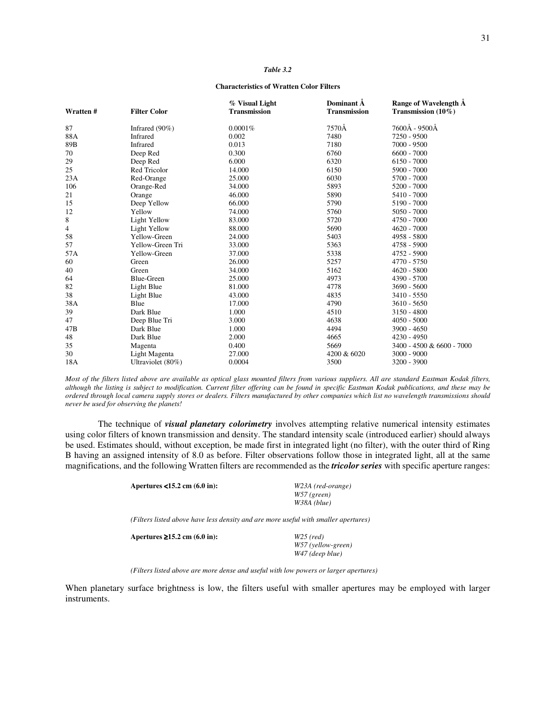#### *Table 3.2*

#### **Characteristics of Wratten Color Filters**

| Wratten # | <b>Filter Color</b> | % Visual Light<br><b>Transmission</b> | Dominant A<br><b>Transmission</b> | Range of Wavelength A<br>Transmission $(10\%)$ |
|-----------|---------------------|---------------------------------------|-----------------------------------|------------------------------------------------|
| 87        | Infrared $(90\%)$   | 0.0001%                               | 7570Ă                             | 7600Å - 9500Å                                  |
| 88A       | Infrared            | 0.002                                 | 7480                              | 7250 - 9500                                    |
| 89B       | Infrared            | 0.013                                 | 7180                              | 7000 - 9500                                    |
| 70        | Deep Red            | 0.300                                 | 6760                              | $6600 - 7000$                                  |
| 29        | Deep Red            | 6.000                                 | 6320                              | $6150 - 7000$                                  |
| 25        | Red Tricolor        | 14.000                                | 6150                              | 5900 - 7000                                    |
| 23A       | Red-Orange          | 25.000                                | 6030                              | 5700 - 7000                                    |
| 106       | Orange-Red          | 34.000                                | 5893                              | $5200 - 7000$                                  |
| 21        | Orange              | 46.000                                | 5890                              | 5410 - 7000                                    |
| 15        | Deep Yellow         | 66.000                                | 5790                              | 5190 - 7000                                    |
| 12        | Yellow              | 74.000                                | 5760                              | 5050 - 7000                                    |
| 8         | Light Yellow        | 83.000                                | 5720                              | 4750 - 7000                                    |
| 4         | Light Yellow        | 88.000                                | 5690                              | $4620 - 7000$                                  |
| 58        | Yellow-Green        | 24.000                                | 5403                              | 4958 - 5800                                    |
| 57        | Yellow-Green Tri    | 33.000                                | 5363                              | 4758 - 5900                                    |
| 57A       | Yellow-Green        | 37.000                                | 5338                              | $4752 - 5900$                                  |
| 60        | Green               | 26.000                                | 5257                              | 4770 - 5750                                    |
| 40        | Green               | 34.000                                | 5162                              | $4620 - 5800$                                  |
| 64        | <b>Blue-Green</b>   | 25.000                                | 4973                              | 4390 - 5700                                    |
| 82        | Light Blue          | 81.000                                | 4778                              | 3690 - 5600                                    |
| 38        | Light Blue          | 43.000                                | 4835                              | 3410 - 5550                                    |
| 38A       | Blue                | 17.000                                | 4790                              | 3610 - 5650                                    |
| 39        | Dark Blue           | 1.000                                 | 4510                              | $3150 - 4800$                                  |
| 47        | Deep Blue Tri       | 3.000                                 | 4638                              | $4050 - 5000$                                  |
| 47B       | Dark Blue           | 1.000                                 | 4494                              | 3900 - 4650                                    |
| 48        | Dark Blue           | 2.000                                 | 4665                              | $4230 - 4950$                                  |
| 35        | Magenta             | 0.400                                 | 5669                              | 3400 - 4500 & 6600 - 7000                      |
| 30        | Light Magenta       | 27.000                                | 4200 & 6020                       | 3000 - 9000                                    |
| 18A       | Ultraviolet (80%)   | 0.0004                                | 3500                              | 3200 - 3900                                    |

*Most of the filters listed above are available as optical glass mounted filters from various suppliers. All are standard Eastman Kodak filters, although the listing is subject to modification. Current filter offering can be found in specific Eastman Kodak publications, and these may be ordered through local camera supply stores or dealers. Filters manufactured by other companies which list no wavelength transmissions should never be used for observing the planets!* 

 The technique of *visual planetary colorimetry* involves attempting relative numerical intensity estimates using color filters of known transmission and density. The standard intensity scale (introduced earlier) should always be used. Estimates should, without exception, be made first in integrated light (no filter), with the outer third of Ring B having an assigned intensity of 8.0 as before. Filter observations follow those in integrated light, all at the same magnifications, and the following Wratten filters are recommended as the *tricolor series* with specific aperture ranges:

| Apertures $<$ 15.2 cm $(6.0 \text{ in})$ :                                          | W23A (red-orange)  |
|-------------------------------------------------------------------------------------|--------------------|
|                                                                                     | $W57$ (green)      |
|                                                                                     | W38A (blue)        |
| (Filters listed above have less density and are more useful with smaller apertures) |                    |
| Apertures $\geq 15.2$ cm (6.0 in):                                                  | $W25$ (red)        |
|                                                                                     | W57 (yellow-green) |

 *W47 (deep blue)* 

 *(Filters listed above are more dense and useful with low powers or larger apertures)* 

When planetary surface brightness is low, the filters useful with smaller apertures may be employed with larger instruments.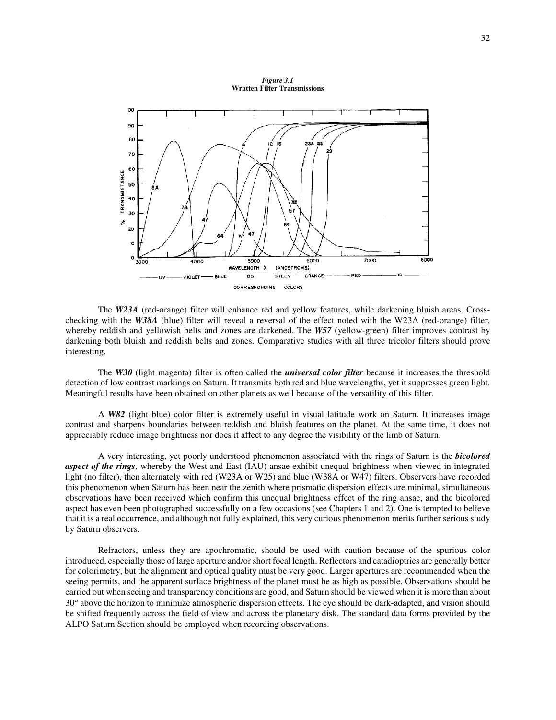*Figure 3.1*  **Wratten Filter Transmissions**



 The *W23A* (red-orange) filter will enhance red and yellow features, while darkening bluish areas. Crosschecking with the *W38A* (blue) filter will reveal a reversal of the effect noted with the W23A (red-orange) filter, whereby reddish and yellowish belts and zones are darkened. The *W57* (yellow-green) filter improves contrast by darkening both bluish and reddish belts and zones. Comparative studies with all three tricolor filters should prove interesting.

 The *W30* (light magenta) filter is often called the *universal color filter* because it increases the threshold detection of low contrast markings on Saturn. It transmits both red and blue wavelengths, yet it suppresses green light. Meaningful results have been obtained on other planets as well because of the versatility of this filter.

 A *W82* (light blue) color filter is extremely useful in visual latitude work on Saturn. It increases image contrast and sharpens boundaries between reddish and bluish features on the planet. At the same time, it does not appreciably reduce image brightness nor does it affect to any degree the visibility of the limb of Saturn.

 A very interesting, yet poorly understood phenomenon associated with the rings of Saturn is the *bicolored aspect of the rings*, whereby the West and East (IAU) ansae exhibit unequal brightness when viewed in integrated light (no filter), then alternately with red (W23A or W25) and blue (W38A or W47) filters. Observers have recorded this phenomenon when Saturn has been near the zenith where prismatic dispersion effects are minimal, simultaneous observations have been received which confirm this unequal brightness effect of the ring ansae, and the bicolored aspect has even been photographed successfully on a few occasions (see Chapters 1 and 2). One is tempted to believe that it is a real occurrence, and although not fully explained, this very curious phenomenon merits further serious study by Saturn observers.

 Refractors, unless they are apochromatic, should be used with caution because of the spurious color introduced, especially those of large aperture and/or short focal length. Reflectors and catadioptrics are generally better for colorimetry, but the alignment and optical quality must be very good. Larger apertures are recommended when the seeing permits, and the apparent surface brightness of the planet must be as high as possible. Observations should be carried out when seeing and transparency conditions are good, and Saturn should be viewed when it is more than about 30° above the horizon to minimize atmospheric dispersion effects. The eye should be dark-adapted, and vision should be shifted frequently across the field of view and across the planetary disk. The standard data forms provided by the ALPO Saturn Section should be employed when recording observations.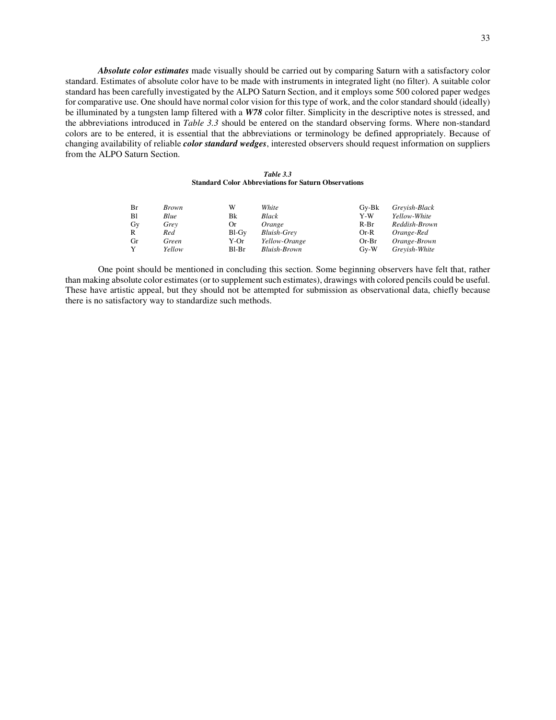*Absolute color estimates* made visually should be carried out by comparing Saturn with a satisfactory color standard. Estimates of absolute color have to be made with instruments in integrated light (no filter). A suitable color standard has been carefully investigated by the ALPO Saturn Section, and it employs some 500 colored paper wedges for comparative use. One should have normal color vision for this type of work, and the color standard should (ideally) be illuminated by a tungsten lamp filtered with a *W78* color filter. Simplicity in the descriptive notes is stressed, and the abbreviations introduced in *Table 3.3* should be entered on the standard observing forms. Where non-standard colors are to be entered, it is essential that the abbreviations or terminology be defined appropriately. Because of changing availability of reliable *color standard wedges*, interested observers should request information on suppliers from the ALPO Saturn Section.

#### *Table 3.3* **Standard Color Abbreviations for Saturn Observations**

| Br | <b>Brown</b> | W     | White                | $Gv-Bk$ | Grevish-Black |
|----|--------------|-------|----------------------|---------|---------------|
| B1 | Blue         | Bk    | Black                | Y-W     | Yellow-White  |
| Gy | Grey         | Or    | Orange               | $R-Br$  | Reddish-Brown |
| R  | Red          | Bl-Gy | <b>Bluish-Grey</b>   | $Or-R$  | Orange-Red    |
| Gr | Green        | Y-Or  | <i>Yellow-Orange</i> | $Or-Br$ | Orange-Brown  |
|    | Yellow       | Bl-Br | Bluish-Brown         | $Gv-W$  | Grevish-White |

 One point should be mentioned in concluding this section. Some beginning observers have felt that, rather than making absolute color estimates (or to supplement such estimates), drawings with colored pencils could be useful. These have artistic appeal, but they should not be attempted for submission as observational data, chiefly because there is no satisfactory way to standardize such methods.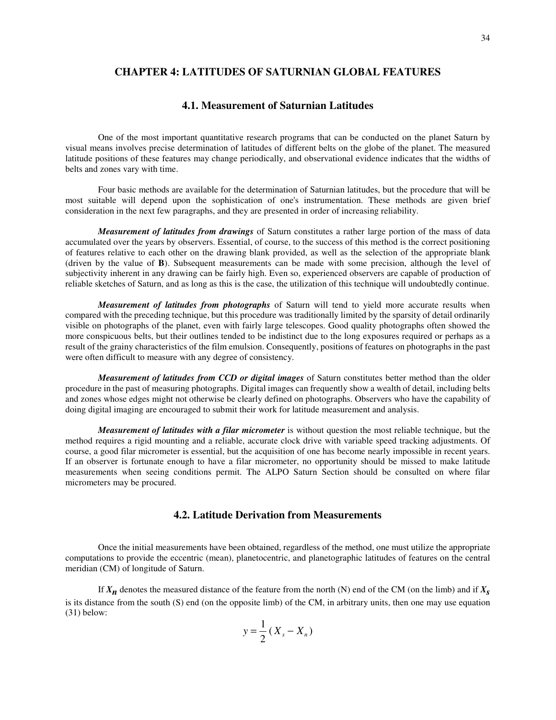# **CHAPTER 4: LATITUDES OF SATURNIAN GLOBAL FEATURES**

# **4.1. Measurement of Saturnian Latitudes**

 One of the most important quantitative research programs that can be conducted on the planet Saturn by visual means involves precise determination of latitudes of different belts on the globe of the planet. The measured latitude positions of these features may change periodically, and observational evidence indicates that the widths of belts and zones vary with time.

 Four basic methods are available for the determination of Saturnian latitudes, but the procedure that will be most suitable will depend upon the sophistication of one's instrumentation. These methods are given brief consideration in the next few paragraphs, and they are presented in order of increasing reliability.

 *Measurement of latitudes from drawings* of Saturn constitutes a rather large portion of the mass of data accumulated over the years by observers. Essential, of course, to the success of this method is the correct positioning of features relative to each other on the drawing blank provided, as well as the selection of the appropriate blank (driven by the value of **B**). Subsequent measurements can be made with some precision, although the level of subjectivity inherent in any drawing can be fairly high. Even so, experienced observers are capable of production of reliable sketches of Saturn, and as long as this is the case, the utilization of this technique will undoubtedly continue.

 *Measurement of latitudes from photographs* of Saturn will tend to yield more accurate results when compared with the preceding technique, but this procedure was traditionally limited by the sparsity of detail ordinarily visible on photographs of the planet, even with fairly large telescopes. Good quality photographs often showed the more conspicuous belts, but their outlines tended to be indistinct due to the long exposures required or perhaps as a result of the grainy characteristics of the film emulsion. Consequently, positions of features on photographs in the past were often difficult to measure with any degree of consistency.

 *Measurement of latitudes from CCD or digital images* of Saturn constitutes better method than the older procedure in the past of measuring photographs. Digital images can frequently show a wealth of detail, including belts and zones whose edges might not otherwise be clearly defined on photographs. Observers who have the capability of doing digital imaging are encouraged to submit their work for latitude measurement and analysis.

 *Measurement of latitudes with a filar micrometer* is without question the most reliable technique, but the method requires a rigid mounting and a reliable, accurate clock drive with variable speed tracking adjustments. Of course, a good filar micrometer is essential, but the acquisition of one has become nearly impossible in recent years. If an observer is fortunate enough to have a filar micrometer, no opportunity should be missed to make latitude measurements when seeing conditions permit. The ALPO Saturn Section should be consulted on where filar micrometers may be procured.

# **4.2. Latitude Derivation from Measurements**

 Once the initial measurements have been obtained, regardless of the method, one must utilize the appropriate computations to provide the eccentric (mean), planetocentric, and planetographic latitudes of features on the central meridian (CM) of longitude of Saturn.

If  $X_n$  denotes the measured distance of the feature from the north (N) end of the CM (on the limb) and if  $X_s$ is its distance from the south (S) end (on the opposite limb) of the CM, in arbitrary units, then one may use equation (31) below:

$$
y = \frac{1}{2} (X_s - X_n)
$$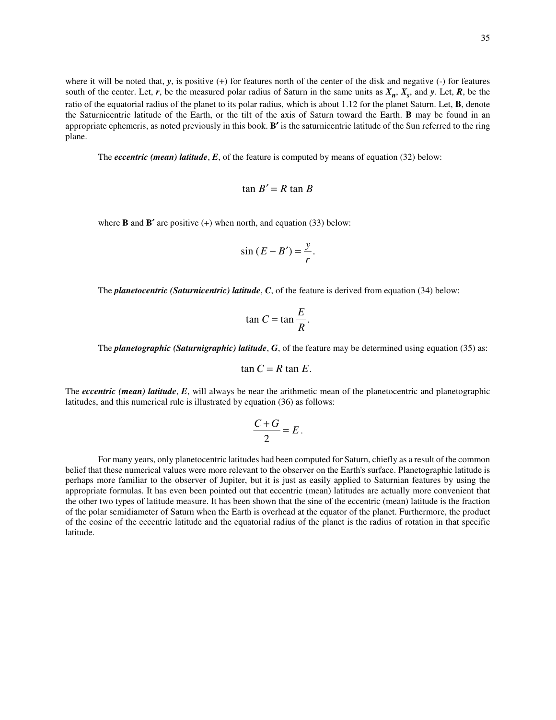where it will be noted that,  $\bf{v}$ , is positive (+) for features north of the center of the disk and negative (-) for features south of the center. Let,  $r$ , be the measured polar radius of Saturn in the same units as  $X_n$ ,  $X_s$ , and  $y$ . Let,  $R$ , be the ratio of the equatorial radius of the planet to its polar radius, which is about 1.12 for the planet Saturn. Let, **B**, denote the Saturnicentric latitude of the Earth, or the tilt of the axis of Saturn toward the Earth. **B** may be found in an appropriate ephemeris, as noted previously in this book. **B**′ is the saturnicentric latitude of the Sun referred to the ring plane.

The *eccentric (mean) latitude*, *E*, of the feature is computed by means of equation (32) below:

$$
\tan B' = R \tan B
$$

where **B** and **B'** are positive  $(+)$  when north, and equation  $(33)$  below:

$$
\sin(E - B') = \frac{y}{r}.
$$

The *planetocentric (Saturnicentric) latitude*, *C*, of the feature is derived from equation (34) below:

$$
\tan C = \tan \frac{E}{R}.
$$

The *planetographic (Saturnigraphic) latitude*, *G*, of the feature may be determined using equation (35) as:

$$
\tan C = R \tan E.
$$

The *eccentric (mean) latitude*, *E*, will always be near the arithmetic mean of the planetocentric and planetographic latitudes, and this numerical rule is illustrated by equation (36) as follows:

$$
\frac{C+G}{2}=E.
$$

 For many years, only planetocentric latitudes had been computed for Saturn, chiefly as a result of the common belief that these numerical values were more relevant to the observer on the Earth's surface. Planetographic latitude is perhaps more familiar to the observer of Jupiter, but it is just as easily applied to Saturnian features by using the appropriate formulas. It has even been pointed out that eccentric (mean) latitudes are actually more convenient that the other two types of latitude measure. It has been shown that the sine of the eccentric (mean) latitude is the fraction of the polar semidiameter of Saturn when the Earth is overhead at the equator of the planet. Furthermore, the product of the cosine of the eccentric latitude and the equatorial radius of the planet is the radius of rotation in that specific latitude.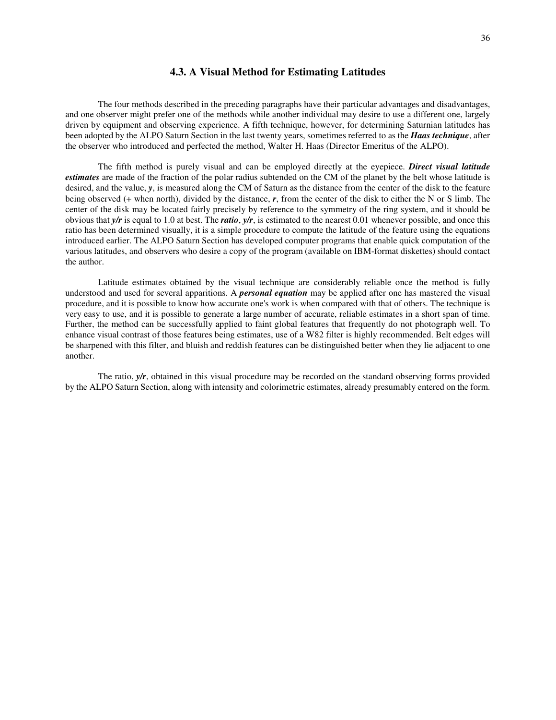#### **4.3. A Visual Method for Estimating Latitudes**

 The four methods described in the preceding paragraphs have their particular advantages and disadvantages, and one observer might prefer one of the methods while another individual may desire to use a different one, largely driven by equipment and observing experience. A fifth technique, however, for determining Saturnian latitudes has been adopted by the ALPO Saturn Section in the last twenty years, sometimes referred to as the *Haas technique*, after the observer who introduced and perfected the method, Walter H. Haas (Director Emeritus of the ALPO).

 The fifth method is purely visual and can be employed directly at the eyepiece. *Direct visual latitude estimates* are made of the fraction of the polar radius subtended on the CM of the planet by the belt whose latitude is desired, and the value, *y*, is measured along the CM of Saturn as the distance from the center of the disk to the feature being observed (+ when north), divided by the distance, *r*, from the center of the disk to either the N or S limb. The center of the disk may be located fairly precisely by reference to the symmetry of the ring system, and it should be obvious that *y/r* is equal to 1.0 at best. The *ratio*, *y/r*, is estimated to the nearest 0.01 whenever possible, and once this ratio has been determined visually, it is a simple procedure to compute the latitude of the feature using the equations introduced earlier. The ALPO Saturn Section has developed computer programs that enable quick computation of the various latitudes, and observers who desire a copy of the program (available on IBM-format diskettes) should contact the author.

 Latitude estimates obtained by the visual technique are considerably reliable once the method is fully understood and used for several apparitions. A *personal equation* may be applied after one has mastered the visual procedure, and it is possible to know how accurate one's work is when compared with that of others. The technique is very easy to use, and it is possible to generate a large number of accurate, reliable estimates in a short span of time. Further, the method can be successfully applied to faint global features that frequently do not photograph well. To enhance visual contrast of those features being estimates, use of a W82 filter is highly recommended. Belt edges will be sharpened with this filter, and bluish and reddish features can be distinguished better when they lie adjacent to one another.

The ratio,  $v/r$ , obtained in this visual procedure may be recorded on the standard observing forms provided by the ALPO Saturn Section, along with intensity and colorimetric estimates, already presumably entered on the form.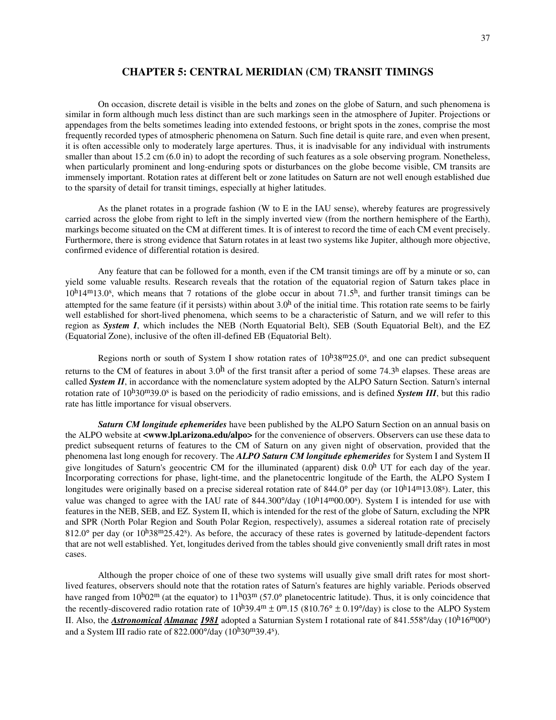#### **CHAPTER 5: CENTRAL MERIDIAN (CM) TRANSIT TIMINGS**

 On occasion, discrete detail is visible in the belts and zones on the globe of Saturn, and such phenomena is similar in form although much less distinct than are such markings seen in the atmosphere of Jupiter. Projections or appendages from the belts sometimes leading into extended festoons, or bright spots in the zones, comprise the most frequently recorded types of atmospheric phenomena on Saturn. Such fine detail is quite rare, and even when present, it is often accessible only to moderately large apertures. Thus, it is inadvisable for any individual with instruments smaller than about 15.2 cm (6.0 in) to adopt the recording of such features as a sole observing program. Nonetheless, when particularly prominent and long-enduring spots or disturbances on the globe become visible, CM transits are immensely important. Rotation rates at different belt or zone latitudes on Saturn are not well enough established due to the sparsity of detail for transit timings, especially at higher latitudes.

 As the planet rotates in a prograde fashion (W to E in the IAU sense), whereby features are progressively carried across the globe from right to left in the simply inverted view (from the northern hemisphere of the Earth), markings become situated on the CM at different times. It is of interest to record the time of each CM event precisely. Furthermore, there is strong evidence that Saturn rotates in at least two systems like Jupiter, although more objective, confirmed evidence of differential rotation is desired.

 Any feature that can be followed for a month, even if the CM transit timings are off by a minute or so, can yield some valuable results. Research reveals that the rotation of the equatorial region of Saturn takes place in  $10<sup>h</sup>14<sup>m</sup>13.0<sup>s</sup>$ , which means that 7 rotations of the globe occur in about 71.5<sup>h</sup>, and further transit timings can be attempted for the same feature (if it persists) within about 3.0h of the initial time. This rotation rate seems to be fairly well established for short-lived phenomena, which seems to be a characteristic of Saturn, and we will refer to this region as *System I*, which includes the NEB (North Equatorial Belt), SEB (South Equatorial Belt), and the EZ (Equatorial Zone), inclusive of the often ill-defined EB (Equatorial Belt).

Regions north or south of System I show rotation rates of  $10h38m25.0s$ , and one can predict subsequent returns to the CM of features in about  $3.0<sup>h</sup>$  of the first transit after a period of some 74.3<sup>h</sup> elapses. These areas are called *System II*, in accordance with the nomenclature system adopted by the ALPO Saturn Section. Saturn's internal rotation rate of 10<sup>h</sup>30<sup>m</sup>39.0<sup>s</sup> is based on the periodicity of radio emissions, and is defined *System III*, but this radio rate has little importance for visual observers.

*Saturn CM longitude ephemerides* have been published by the ALPO Saturn Section on an annual basis on the ALPO website at **<www.lpl.arizona.edu/alpo>** for the convenience of observers. Observers can use these data to predict subsequent returns of features to the CM of Saturn on any given night of observation, provided that the phenomena last long enough for recovery. The *ALPO Saturn CM longitude ephemerides* for System I and System II give longitudes of Saturn's geocentric CM for the illuminated (apparent) disk  $0.0<sup>h</sup>$  UT for each day of the year. Incorporating corrections for phase, light-time, and the planetocentric longitude of the Earth, the ALPO System I longitudes were originally based on a precise sidereal rotation rate of 844.0° per day (or  $10^h14^m13.08^s$ ). Later, this value was changed to agree with the IAU rate of  $844.300^{\circ}/day$  ( $10^{\text{h}}14^{\text{m}}00.00^{\text{s}}$ ). System I is intended for use with features in the NEB, SEB, and EZ. System II, which is intended for the rest of the globe of Saturn, excluding the NPR and SPR (North Polar Region and South Polar Region, respectively), assumes a sidereal rotation rate of precisely  $812.0^\circ$  per day (or  $10^\text{h}38^\text{m}25.42^\text{s}$ ). As before, the accuracy of these rates is governed by latitude-dependent factors that are not well established. Yet, longitudes derived from the tables should give conveniently small drift rates in most cases.

 Although the proper choice of one of these two systems will usually give small drift rates for most shortlived features, observers should note that the rotation rates of Saturn's features are highly variable. Periods observed have ranged from  $10^{h}02^m$  (at the equator) to  $11^{h}03^m$  (57.0° planetocentric latitude). Thus, it is only coincidence that the recently-discovered radio rotation rate of  $10^{h}39.4^m \pm 0^m.15$  (810.76°  $\pm$  0.19°/day) is close to the ALPO System II. Also, the *Astronomical Almanac 1981* adopted a Saturnian System I rotational rate of 841.558°/day (10<sup>h</sup>16<sup>m</sup>00°) and a System III radio rate of  $822.000^{\circ}/day$  ( $10^{\circ}/30^{\circ}/39.4^{\circ}$ ).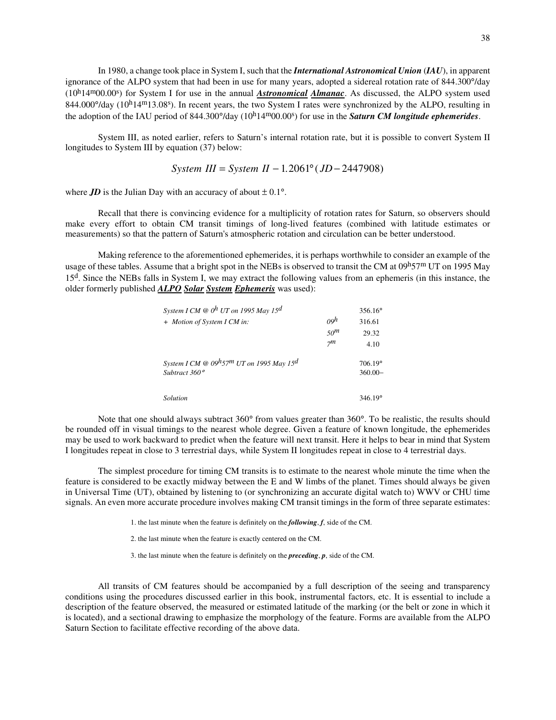In 1980, a change took place in System I, such that the *International Astronomical Union* (*IAU*), in apparent ignorance of the ALPO system that had been in use for many years, adopted a sidereal rotation rate of 844.300°/day (10h14m00.00s ) for System I for use in the annual *Astronomical Almanac*. As discussed, the ALPO system used 844.000°/day (10<sup>h</sup>14<sup>m</sup>13.08°). In recent years, the two System I rates were synchronized by the ALPO, resulting in the adoption of the IAU period of 844.300°/day (10<sup>h</sup>14<sup>m</sup>00.00°) for use in the **Saturn CM longitude ephemerides**.

 System III, as noted earlier, refers to Saturn's internal rotation rate, but it is possible to convert System II longitudes to System III by equation (37) below:

$$
System III = System II - 1.2061^{\circ} (JD - 2447908)
$$

where *JD* is the Julian Day with an accuracy of about  $\pm 0.1^{\circ}$ .

 Recall that there is convincing evidence for a multiplicity of rotation rates for Saturn, so observers should make every effort to obtain CM transit timings of long-lived features (combined with latitude estimates or measurements) so that the pattern of Saturn's atmospheric rotation and circulation can be better understood.

 Making reference to the aforementioned ephemerides, it is perhaps worthwhile to consider an example of the usage of these tables. Assume that a bright spot in the NEBs is observed to transit the CM at 09h57<sup>m</sup> UT on 1995 May 15d. Since the NEBs falls in System I, we may extract the following values from an ephemeris (in this instance, the older formerly published *ALPO Solar System Ephemeris* was used):

| System I CM $\omega$ O <sup>h</sup> UT on 1995 May 15 <sup>d</sup>                   |                 | $356.16^{\circ}$ |
|--------------------------------------------------------------------------------------|-----------------|------------------|
| + Motion of System I CM in:                                                          | $\omega$        | 316.61           |
|                                                                                      | 50 <sup>m</sup> | 29.32            |
|                                                                                      | 7 <sub>m</sub>  | 4.10             |
| System I CM $\otimes$ 09 <sup>h</sup> 57 <sup>m</sup> UT on 1995 May 15 <sup>d</sup> |                 | 706.19°          |
| Subtract $360^\circ$                                                                 |                 | $360.00 -$       |
|                                                                                      |                 |                  |
| Solution                                                                             |                 | $346.19^{\circ}$ |

 Note that one should always subtract 360° from values greater than 360°. To be realistic, the results should be rounded off in visual timings to the nearest whole degree. Given a feature of known longitude, the ephemerides may be used to work backward to predict when the feature will next transit. Here it helps to bear in mind that System I longitudes repeat in close to 3 terrestrial days, while System II longitudes repeat in close to 4 terrestrial days.

 The simplest procedure for timing CM transits is to estimate to the nearest whole minute the time when the feature is considered to be exactly midway between the E and W limbs of the planet. Times should always be given in Universal Time (UT), obtained by listening to (or synchronizing an accurate digital watch to) WWV or CHU time signals. An even more accurate procedure involves making CM transit timings in the form of three separate estimates:

1. the last minute when the feature is definitely on the *following*, *f*, side of the CM.

2. the last minute when the feature is exactly centered on the CM.

3. the last minute when the feature is definitely on the *preceding*, *p*, side of the CM.

 All transits of CM features should be accompanied by a full description of the seeing and transparency conditions using the procedures discussed earlier in this book, instrumental factors, etc. It is essential to include a description of the feature observed, the measured or estimated latitude of the marking (or the belt or zone in which it is located), and a sectional drawing to emphasize the morphology of the feature. Forms are available from the ALPO Saturn Section to facilitate effective recording of the above data.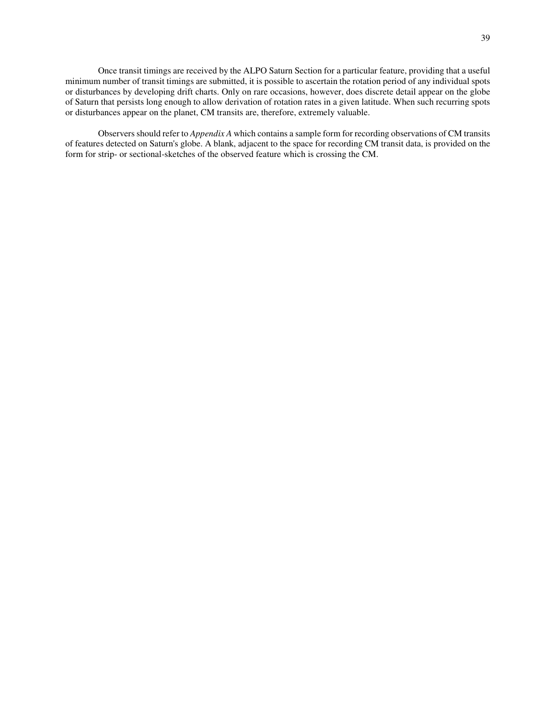Once transit timings are received by the ALPO Saturn Section for a particular feature, providing that a useful minimum number of transit timings are submitted, it is possible to ascertain the rotation period of any individual spots or disturbances by developing drift charts. Only on rare occasions, however, does discrete detail appear on the globe of Saturn that persists long enough to allow derivation of rotation rates in a given latitude. When such recurring spots or disturbances appear on the planet, CM transits are, therefore, extremely valuable.

 Observers should refer to *Appendix A* which contains a sample form for recording observations of CM transits of features detected on Saturn's globe. A blank, adjacent to the space for recording CM transit data, is provided on the form for strip- or sectional-sketches of the observed feature which is crossing the CM.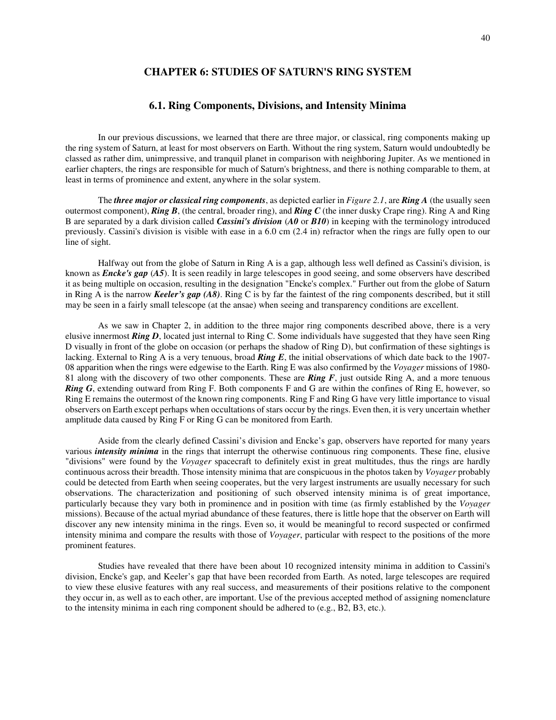## **CHAPTER 6: STUDIES OF SATURN'S RING SYSTEM**

### **6.1. Ring Components, Divisions, and Intensity Minima**

 In our previous discussions, we learned that there are three major, or classical, ring components making up the ring system of Saturn, at least for most observers on Earth. Without the ring system, Saturn would undoubtedly be classed as rather dim, unimpressive, and tranquil planet in comparison with neighboring Jupiter. As we mentioned in earlier chapters, the rings are responsible for much of Saturn's brightness, and there is nothing comparable to them, at least in terms of prominence and extent, anywhere in the solar system.

 The *three major or classical ring components*, as depicted earlier in *Figure 2.1*, are *Ring A* (the usually seen outermost component), *Ring B*, (the central, broader ring), and *Ring C* (the inner dusky Crape ring). Ring A and Ring B are separated by a dark division called *Cassini's division* (*A0* or *B10*) in keeping with the terminology introduced previously. Cassini's division is visible with ease in a 6.0 cm (2.4 in) refractor when the rings are fully open to our line of sight.

 Halfway out from the globe of Saturn in Ring A is a gap, although less well defined as Cassini's division, is known as *Encke's gap* (*A5*). It is seen readily in large telescopes in good seeing, and some observers have described it as being multiple on occasion, resulting in the designation "Encke's complex." Further out from the globe of Saturn in Ring A is the narrow *Keeler's gap (A8)*. Ring C is by far the faintest of the ring components described, but it still may be seen in a fairly small telescope (at the ansae) when seeing and transparency conditions are excellent.

 As we saw in Chapter 2, in addition to the three major ring components described above, there is a very elusive innermost *Ring D*, located just internal to Ring C. Some individuals have suggested that they have seen Ring D visually in front of the globe on occasion (or perhaps the shadow of Ring D), but confirmation of these sightings is lacking. External to Ring A is a very tenuous, broad *Ring E*, the initial observations of which date back to the 1907- 08 apparition when the rings were edgewise to the Earth. Ring E was also confirmed by the *Voyager* missions of 1980- 81 along with the discovery of two other components. These are *Ring F*, just outside Ring A, and a more tenuous *Ring G*, extending outward from Ring F. Both components F and G are within the confines of Ring E, however, so Ring E remains the outermost of the known ring components. Ring F and Ring G have very little importance to visual observers on Earth except perhaps when occultations of stars occur by the rings. Even then, it is very uncertain whether amplitude data caused by Ring F or Ring G can be monitored from Earth.

 Aside from the clearly defined Cassini's division and Encke's gap, observers have reported for many years various *intensity minima* in the rings that interrupt the otherwise continuous ring components. These fine, elusive "divisions" were found by the *Voyager* spacecraft to definitely exist in great multitudes, thus the rings are hardly continuous across their breadth. Those intensity minima that are conspicuous in the photos taken by *Voyager* probably could be detected from Earth when seeing cooperates, but the very largest instruments are usually necessary for such observations. The characterization and positioning of such observed intensity minima is of great importance, particularly because they vary both in prominence and in position with time (as firmly established by the *Voyager* missions). Because of the actual myriad abundance of these features, there is little hope that the observer on Earth will discover any new intensity minima in the rings. Even so, it would be meaningful to record suspected or confirmed intensity minima and compare the results with those of *Voyager*, particular with respect to the positions of the more prominent features.

 Studies have revealed that there have been about 10 recognized intensity minima in addition to Cassini's division, Encke's gap, and Keeler's gap that have been recorded from Earth. As noted, large telescopes are required to view these elusive features with any real success, and measurements of their positions relative to the component they occur in, as well as to each other, are important. Use of the previous accepted method of assigning nomenclature to the intensity minima in each ring component should be adhered to (e.g., B2, B3, etc.).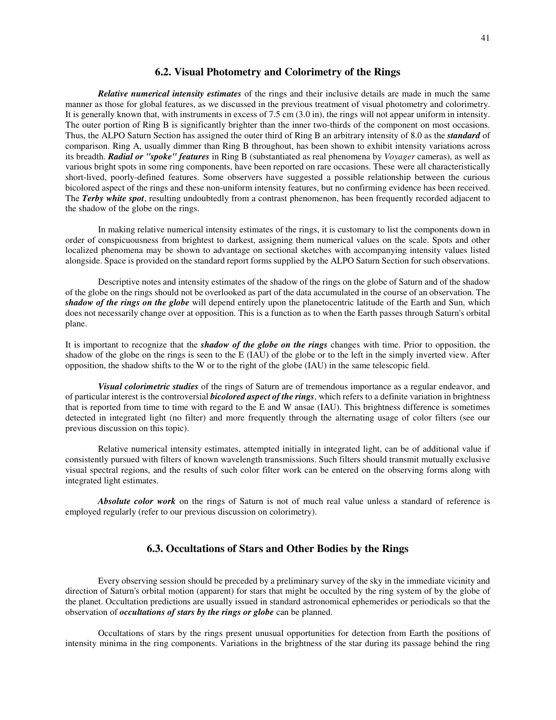#### **6.2. Visual Photometry and Colorimetry of the Rings**

 *Relative numerical intensity estimates* of the rings and their inclusive details are made in much the same manner as those for global features, as we discussed in the previous treatment of visual photometry and colorimetry. It is generally known that, with instruments in excess of 7.5 cm (3.0 in), the rings will not appear uniform in intensity. The outer portion of Ring B is significantly brighter than the inner two-thirds of the component on most occasions. Thus, the ALPO Saturn Section has assigned the outer third of Ring B an arbitrary intensity of 8.0 as the *standard* of comparison. Ring A, usually dimmer than Ring B throughout, has been shown to exhibit intensity variations across its breadth. *Radial or "spoke" features* in Ring B (substantiated as real phenomena by *Voyager* cameras), as well as various bright spots in some ring components, have been reported on rare occasions. These were all characteristically short-lived, poorly-defined features. Some observers have suggested a possible relationship between the curious bicolored aspect of the rings and these non-uniform intensity features, but no confirming evidence has been received. The *Terby white spot*, resulting undoubtedly from a contrast phenomenon, has been frequently recorded adjacent to the shadow of the globe on the rings.

 In making relative numerical intensity estimates of the rings, it is customary to list the components down in order of conspicuousness from brightest to darkest, assigning them numerical values on the scale. Spots and other localized phenomena may be shown to advantage on sectional sketches with accompanying intensity values listed alongside. Space is provided on the standard report forms supplied by the ALPO Saturn Section for such observations.

 Descriptive notes and intensity estimates of the shadow of the rings on the globe of Saturn and of the shadow of the globe on the rings should not be overlooked as part of the data accumulated in the course of an observation. The *shadow of the rings on the globe* will depend entirely upon the planetocentric latitude of the Earth and Sun, which does not necessarily change over at opposition. This is a function as to when the Earth passes through Saturn's orbital plane.

It is important to recognize that the *shadow of the globe on the rings* changes with time. Prior to opposition, the shadow of the globe on the rings is seen to the E (IAU) of the globe or to the left in the simply inverted view. After opposition, the shadow shifts to the W or to the right of the globe (IAU) in the same telescopic field.

 *Visual colorimetric studies* of the rings of Saturn are of tremendous importance as a regular endeavor, and of particular interest is the controversial *bicolored aspect of the rings*, which refers to a definite variation in brightness that is reported from time to time with regard to the E and W ansae (IAU). This brightness difference is sometimes detected in integrated light (no filter) and more frequently through the alternating usage of color filters (see our previous discussion on this topic).

 Relative numerical intensity estimates, attempted initially in integrated light, can be of additional value if consistently pursued with filters of known wavelength transmissions. Such filters should transmit mutually exclusive visual spectral regions, and the results of such color filter work can be entered on the observing forms along with integrated light estimates.

 *Absolute color work* on the rings of Saturn is not of much real value unless a standard of reference is employed regularly (refer to our previous discussion on colorimetry).

#### **6.3. Occultations of Stars and Other Bodies by the Rings**

 Every observing session should be preceded by a preliminary survey of the sky in the immediate vicinity and direction of Saturn's orbital motion (apparent) for stars that might be occulted by the ring system of by the globe of the planet. Occultation predictions are usually issued in standard astronomical ephemerides or periodicals so that the observation of *occultations of stars by the rings or globe* can be planned.

 Occultations of stars by the rings present unusual opportunities for detection from Earth the positions of intensity minima in the ring components. Variations in the brightness of the star during its passage behind the ring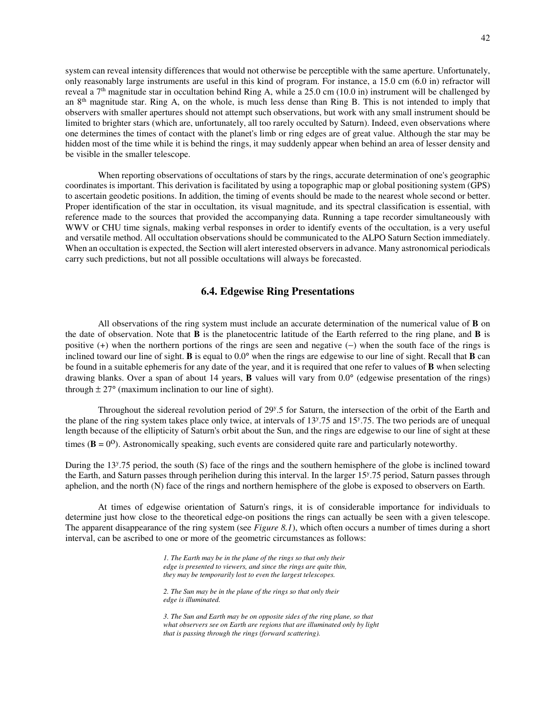system can reveal intensity differences that would not otherwise be perceptible with the same aperture. Unfortunately, only reasonably large instruments are useful in this kind of program. For instance, a 15.0 cm (6.0 in) refractor will reveal a 7<sup>th</sup> magnitude star in occultation behind Ring A, while a 25.0 cm (10.0 in) instrument will be challenged by an 8th magnitude star. Ring A, on the whole, is much less dense than Ring B. This is not intended to imply that observers with smaller apertures should not attempt such observations, but work with any small instrument should be limited to brighter stars (which are, unfortunately, all too rarely occulted by Saturn). Indeed, even observations where one determines the times of contact with the planet's limb or ring edges are of great value. Although the star may be hidden most of the time while it is behind the rings, it may suddenly appear when behind an area of lesser density and be visible in the smaller telescope.

 When reporting observations of occultations of stars by the rings, accurate determination of one's geographic coordinates is important. This derivation is facilitated by using a topographic map or global positioning system (GPS) to ascertain geodetic positions. In addition, the timing of events should be made to the nearest whole second or better. Proper identification of the star in occultation, its visual magnitude, and its spectral classification is essential, with reference made to the sources that provided the accompanying data. Running a tape recorder simultaneously with WWV or CHU time signals, making verbal responses in order to identify events of the occultation, is a very useful and versatile method. All occultation observations should be communicated to the ALPO Saturn Section immediately. When an occultation is expected, the Section will alert interested observers in advance. Many astronomical periodicals carry such predictions, but not all possible occultations will always be forecasted.

#### **6.4. Edgewise Ring Presentations**

 All observations of the ring system must include an accurate determination of the numerical value of **B** on the date of observation. Note that **B** is the planetocentric latitude of the Earth referred to the ring plane, and **B** is positive (+) when the northern portions of the rings are seen and negative (−) when the south face of the rings is inclined toward our line of sight. **B** is equal to 0.0° when the rings are edgewise to our line of sight. Recall that **B** can be found in a suitable ephemeris for any date of the year, and it is required that one refer to values of **B** when selecting drawing blanks. Over a span of about 14 years, **B** values will vary from 0.0° (edgewise presentation of the rings) through  $\pm 27^{\circ}$  (maximum inclination to our line of sight).

 Throughout the sidereal revolution period of 29<sup>y</sup> .5 for Saturn, the intersection of the orbit of the Earth and the plane of the ring system takes place only twice, at intervals of 13<sup>y</sup>.75 and 15<sup>y</sup>.75. The two periods are of unequal length because of the ellipticity of Saturn's orbit about the Sun, and the rings are edgewise to our line of sight at these times  $(**B** = 0<sup>o</sup>)$ . Astronomically speaking, such events are considered quite rare and particularly noteworthy.

During the 13<sup>y</sup>.75 period, the south (S) face of the rings and the southern hemisphere of the globe is inclined toward the Earth, and Saturn passes through perihelion during this interval. In the larger 15<sup>y</sup>.75 period, Saturn passes through aphelion, and the north (N) face of the rings and northern hemisphere of the globe is exposed to observers on Earth.

 At times of edgewise orientation of Saturn's rings, it is of considerable importance for individuals to determine just how close to the theoretical edge-on positions the rings can actually be seen with a given telescope. The apparent disappearance of the ring system (see *Figure 8.1*), which often occurs a number of times during a short interval, can be ascribed to one or more of the geometric circumstances as follows:

> *1. The Earth may be in the plane of the rings so that only their edge is presented to viewers, and since the rings are quite thin, they may be temporarily lost to even the largest telescopes.*

 *2. The Sun may be in the plane of the rings so that only their edge is illuminated.* 

 *3. The Sun and Earth may be on opposite sides of the ring plane, so that what observers see on Earth are regions that are illuminated only by light that is passing through the rings (forward scattering).*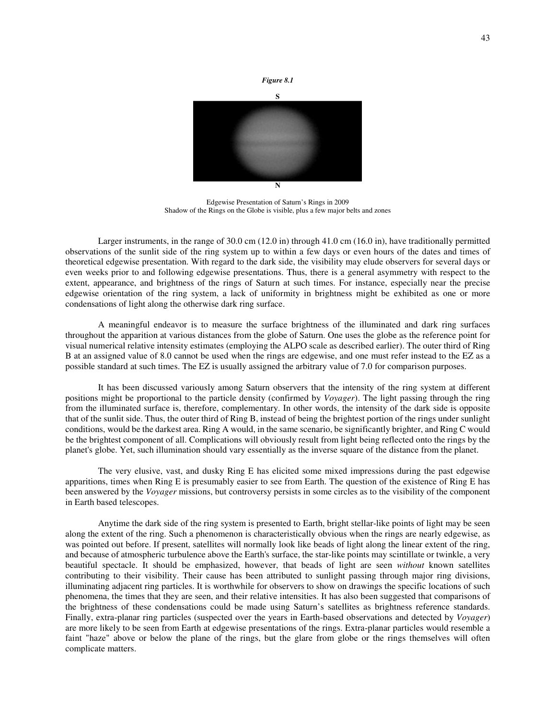

Edgewise Presentation of Saturn's Rings in 2009 Shadow of the Rings on the Globe is visible, plus a few major belts and zones

Larger instruments, in the range of 30.0 cm (12.0 in) through 41.0 cm (16.0 in), have traditionally permitted observations of the sunlit side of the ring system up to within a few days or even hours of the dates and times of theoretical edgewise presentation. With regard to the dark side, the visibility may elude observers for several days or even weeks prior to and following edgewise presentations. Thus, there is a general asymmetry with respect to the extent, appearance, and brightness of the rings of Saturn at such times. For instance, especially near the precise edgewise orientation of the ring system, a lack of uniformity in brightness might be exhibited as one or more condensations of light along the otherwise dark ring surface.

 A meaningful endeavor is to measure the surface brightness of the illuminated and dark ring surfaces throughout the apparition at various distances from the globe of Saturn. One uses the globe as the reference point for visual numerical relative intensity estimates (employing the ALPO scale as described earlier). The outer third of Ring B at an assigned value of 8.0 cannot be used when the rings are edgewise, and one must refer instead to the EZ as a possible standard at such times. The EZ is usually assigned the arbitrary value of 7.0 for comparison purposes.

 It has been discussed variously among Saturn observers that the intensity of the ring system at different positions might be proportional to the particle density (confirmed by *Voyager*). The light passing through the ring from the illuminated surface is, therefore, complementary. In other words, the intensity of the dark side is opposite that of the sunlit side. Thus, the outer third of Ring B, instead of being the brightest portion of the rings under sunlight conditions, would be the darkest area. Ring A would, in the same scenario, be significantly brighter, and Ring C would be the brightest component of all. Complications will obviously result from light being reflected onto the rings by the planet's globe. Yet, such illumination should vary essentially as the inverse square of the distance from the planet.

 The very elusive, vast, and dusky Ring E has elicited some mixed impressions during the past edgewise apparitions, times when Ring E is presumably easier to see from Earth. The question of the existence of Ring E has been answered by the *Voyager* missions, but controversy persists in some circles as to the visibility of the component in Earth based telescopes.

 Anytime the dark side of the ring system is presented to Earth, bright stellar-like points of light may be seen along the extent of the ring. Such a phenomenon is characteristically obvious when the rings are nearly edgewise, as was pointed out before. If present, satellites will normally look like beads of light along the linear extent of the ring, and because of atmospheric turbulence above the Earth's surface, the star-like points may scintillate or twinkle, a very beautiful spectacle. It should be emphasized, however, that beads of light are seen *without* known satellites contributing to their visibility. Their cause has been attributed to sunlight passing through major ring divisions, illuminating adjacent ring particles. It is worthwhile for observers to show on drawings the specific locations of such phenomena, the times that they are seen, and their relative intensities. It has also been suggested that comparisons of the brightness of these condensations could be made using Saturn's satellites as brightness reference standards. Finally, extra-planar ring particles (suspected over the years in Earth-based observations and detected by *Voyager*) are more likely to be seen from Earth at edgewise presentations of the rings. Extra-planar particles would resemble a faint "haze" above or below the plane of the rings, but the glare from globe or the rings themselves will often complicate matters.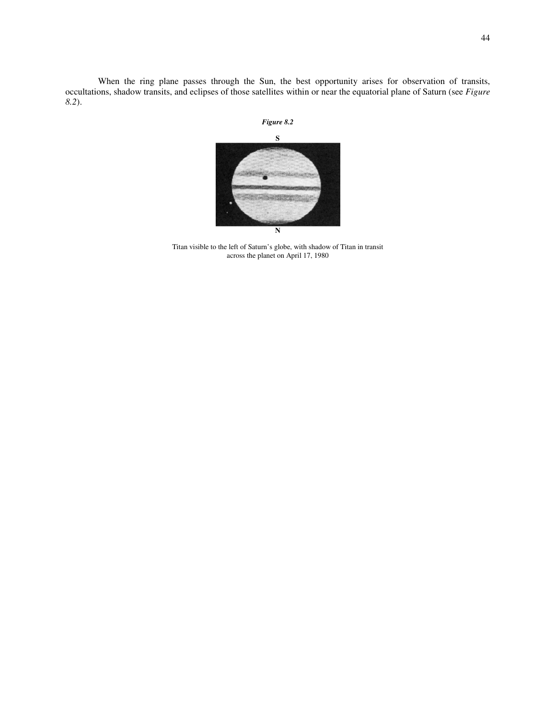When the ring plane passes through the Sun, the best opportunity arises for observation of transits, occultations, shadow transits, and eclipses of those satellites within or near the equatorial plane of Saturn (see *Figure 8.2*).





Titan visible to the left of Saturn's globe, with shadow of Titan in transit across the planet on April 17, 1980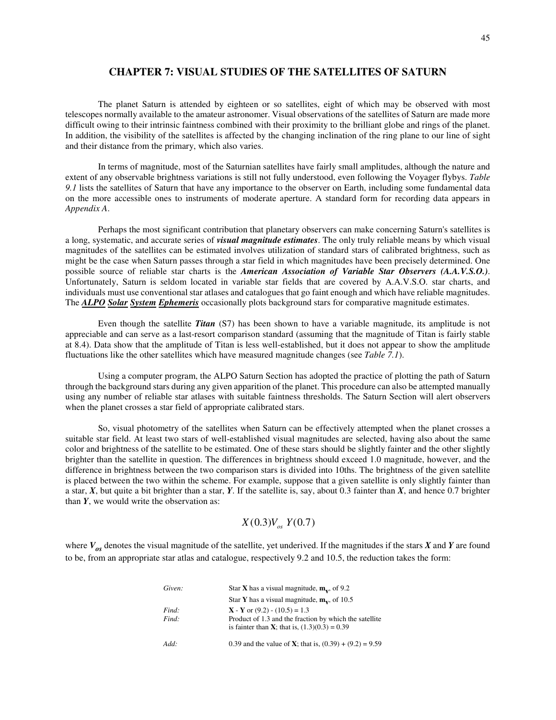## **CHAPTER 7: VISUAL STUDIES OF THE SATELLITES OF SATURN**

 The planet Saturn is attended by eighteen or so satellites, eight of which may be observed with most telescopes normally available to the amateur astronomer. Visual observations of the satellites of Saturn are made more difficult owing to their intrinsic faintness combined with their proximity to the brilliant globe and rings of the planet. In addition, the visibility of the satellites is affected by the changing inclination of the ring plane to our line of sight and their distance from the primary, which also varies.

 In terms of magnitude, most of the Saturnian satellites have fairly small amplitudes, although the nature and extent of any observable brightness variations is still not fully understood, even following the Voyager flybys. *Table 9.1* lists the satellites of Saturn that have any importance to the observer on Earth, including some fundamental data on the more accessible ones to instruments of moderate aperture. A standard form for recording data appears in *Appendix A*.

 Perhaps the most significant contribution that planetary observers can make concerning Saturn's satellites is a long, systematic, and accurate series of *visual magnitude estimates*. The only truly reliable means by which visual magnitudes of the satellites can be estimated involves utilization of standard stars of calibrated brightness, such as might be the case when Saturn passes through a star field in which magnitudes have been precisely determined. One possible source of reliable star charts is the *American Association of Variable Star Observers (A.A.V.S.O.)*. Unfortunately, Saturn is seldom located in variable star fields that are covered by A.A.V.S.O. star charts, and individuals must use conventional star atlases and catalogues that go faint enough and which have reliable magnitudes. The *ALPO Solar System Ephemeris* occasionally plots background stars for comparative magnitude estimates.

 Even though the satellite *Titan* (S7) has been shown to have a variable magnitude, its amplitude is not appreciable and can serve as a last-resort comparison standard (assuming that the magnitude of Titan is fairly stable at 8.4). Data show that the amplitude of Titan is less well-established, but it does not appear to show the amplitude fluctuations like the other satellites which have measured magnitude changes (see *Table 7.1*).

 Using a computer program, the ALPO Saturn Section has adopted the practice of plotting the path of Saturn through the background stars during any given apparition of the planet. This procedure can also be attempted manually using any number of reliable star atlases with suitable faintness thresholds. The Saturn Section will alert observers when the planet crosses a star field of appropriate calibrated stars.

 So, visual photometry of the satellites when Saturn can be effectively attempted when the planet crosses a suitable star field. At least two stars of well-established visual magnitudes are selected, having also about the same color and brightness of the satellite to be estimated. One of these stars should be slightly fainter and the other slightly brighter than the satellite in question. The differences in brightness should exceed 1.0 magnitude, however, and the difference in brightness between the two comparison stars is divided into 10ths. The brightness of the given satellite is placed between the two within the scheme. For example, suppose that a given satellite is only slightly fainter than a star, *X*, but quite a bit brighter than a star, *Y*. If the satellite is, say, about 0.3 fainter than *X*, and hence 0.7 brighter than *Y*, we would write the observation as:

# $X(0.3)V$ <sub>os</sub>  $Y(0.7)$

where *Vos* denotes the visual magnitude of the satellite, yet underived. If the magnitudes if the stars *X* and *Y* are found to be, from an appropriate star atlas and catalogue, respectively 9.2 and 10.5, the reduction takes the form:

| Given:         | Star <b>X</b> has a visual magnitude, $m_v$ , of 9.2                                                                                                 |
|----------------|------------------------------------------------------------------------------------------------------------------------------------------------------|
|                | Star Y has a visual magnitude, $m_v$ , of 10.5                                                                                                       |
| Find:<br>Find: | $X - Y$ or (9.2) - (10.5) = 1.3<br>Product of 1.3 and the fraction by which the satellite<br>is fainter than <b>X</b> ; that is, $(1.3)(0.3) = 0.39$ |
| Add:           | 0.39 and the value of <b>X</b> ; that is, $(0.39) + (9.2) = 9.59$                                                                                    |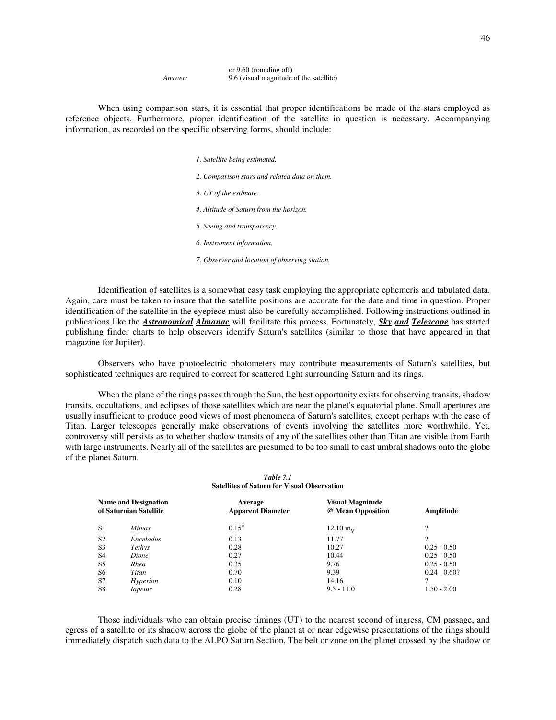|         | or $9.60$ (rounding off)                |
|---------|-----------------------------------------|
| Answer: | 9.6 (visual magnitude of the satellite) |

 When using comparison stars, it is essential that proper identifications be made of the stars employed as reference objects. Furthermore, proper identification of the satellite in question is necessary. Accompanying information, as recorded on the specific observing forms, should include:

| 1. Satellite being estimated.                  |
|------------------------------------------------|
| 2. Comparison stars and related data on them.  |
| 3. UT of the estimate.                         |
| 4. Altitude of Saturn from the horizon.        |
| 5. Seeing and transparency.                    |
| 6. Instrument information.                     |
| 7. Observer and location of observing station. |

 Identification of satellites is a somewhat easy task employing the appropriate ephemeris and tabulated data. Again, care must be taken to insure that the satellite positions are accurate for the date and time in question. Proper identification of the satellite in the eyepiece must also be carefully accomplished. Following instructions outlined in publications like the *Astronomical Almanac* will facilitate this process. Fortunately, *Sky and Telescope* has started publishing finder charts to help observers identify Saturn's satellites (similar to those that have appeared in that magazine for Jupiter).

 Observers who have photoelectric photometers may contribute measurements of Saturn's satellites, but sophisticated techniques are required to correct for scattered light surrounding Saturn and its rings.

When the plane of the rings passes through the Sun, the best opportunity exists for observing transits, shadow transits, occultations, and eclipses of those satellites which are near the planet's equatorial plane. Small apertures are usually insufficient to produce good views of most phenomena of Saturn's satellites, except perhaps with the case of Titan. Larger telescopes generally make observations of events involving the satellites more worthwhile. Yet, controversy still persists as to whether shadow transits of any of the satellites other than Titan are visible from Earth with large instruments. Nearly all of the satellites are presumed to be too small to cast umbral shadows onto the globe of the planet Saturn.

#### *Table 7.1* **Satellites of Saturn for Visual Observation**

|                | <b>Name and Designation</b><br>of Saturnian Satellite | Average<br><b>Apparent Diameter</b> | <b>Visual Magnitude</b><br>@ Mean Opposition | Amplitude      |
|----------------|-------------------------------------------------------|-------------------------------------|----------------------------------------------|----------------|
| S <sub>1</sub> | <i>Mimas</i>                                          | 0.15''                              | $12.10 \text{ m}$ <sub>y</sub>               | 9              |
| S <sub>2</sub> | Enceladus                                             | 0.13                                | 11.77                                        | $\Omega$       |
| S <sub>3</sub> | Tethys                                                | 0.28                                | 10.27                                        | $0.25 - 0.50$  |
| S <sub>4</sub> | Dione                                                 | 0.27                                | 10.44                                        | $0.25 - 0.50$  |
| S <sub>5</sub> | Rhea                                                  | 0.35                                | 9.76                                         | $0.25 - 0.50$  |
| S6             | Titan                                                 | 0.70                                | 9.39                                         | $0.24 - 0.60?$ |
| S7             | Hyperion                                              | 0.10                                | 14.16                                        | 9              |
| S8             | <i>Iapetus</i>                                        | 0.28                                | $9.5 - 11.0$                                 | $1.50 - 2.00$  |

 Those individuals who can obtain precise timings (UT) to the nearest second of ingress, CM passage, and egress of a satellite or its shadow across the globe of the planet at or near edgewise presentations of the rings should immediately dispatch such data to the ALPO Saturn Section. The belt or zone on the planet crossed by the shadow or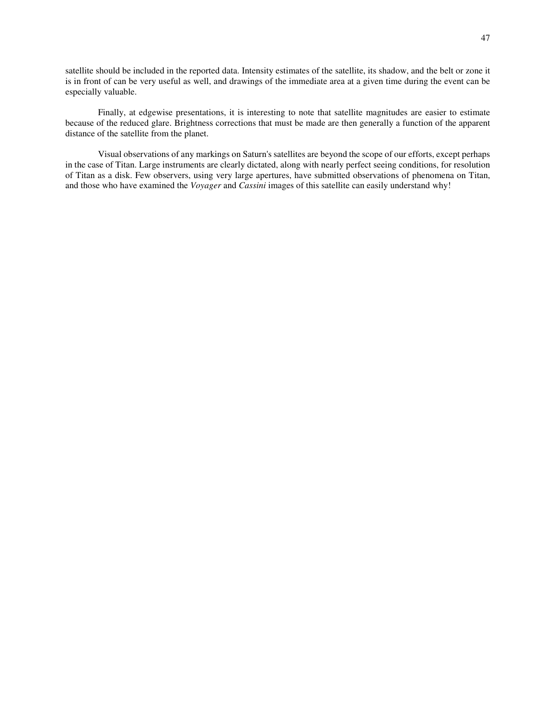satellite should be included in the reported data. Intensity estimates of the satellite, its shadow, and the belt or zone it is in front of can be very useful as well, and drawings of the immediate area at a given time during the event can be especially valuable.

 Finally, at edgewise presentations, it is interesting to note that satellite magnitudes are easier to estimate because of the reduced glare. Brightness corrections that must be made are then generally a function of the apparent distance of the satellite from the planet.

 Visual observations of any markings on Saturn's satellites are beyond the scope of our efforts, except perhaps in the case of Titan. Large instruments are clearly dictated, along with nearly perfect seeing conditions, for resolution of Titan as a disk. Few observers, using very large apertures, have submitted observations of phenomena on Titan, and those who have examined the *Voyager* and *Cassini* images of this satellite can easily understand why!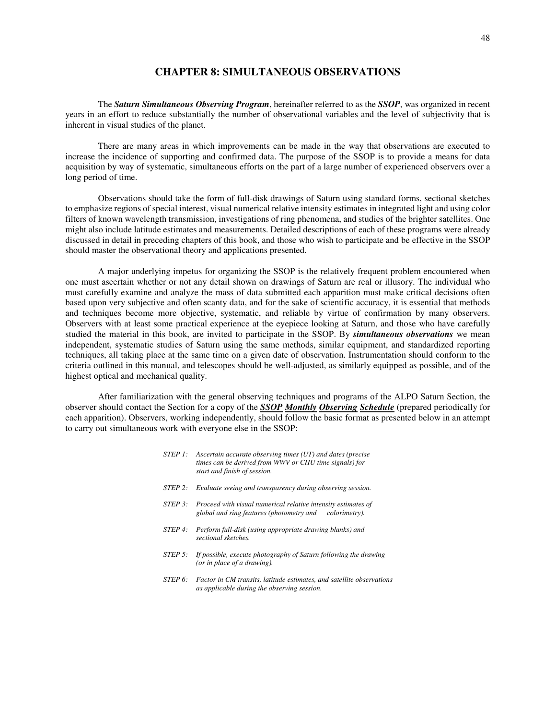### **CHAPTER 8: SIMULTANEOUS OBSERVATIONS**

 The *Saturn Simultaneous Observing Program*, hereinafter referred to as the *SSOP*, was organized in recent years in an effort to reduce substantially the number of observational variables and the level of subjectivity that is inherent in visual studies of the planet.

 There are many areas in which improvements can be made in the way that observations are executed to increase the incidence of supporting and confirmed data. The purpose of the SSOP is to provide a means for data acquisition by way of systematic, simultaneous efforts on the part of a large number of experienced observers over a long period of time.

 Observations should take the form of full-disk drawings of Saturn using standard forms, sectional sketches to emphasize regions of special interest, visual numerical relative intensity estimates in integrated light and using color filters of known wavelength transmission, investigations of ring phenomena, and studies of the brighter satellites. One might also include latitude estimates and measurements. Detailed descriptions of each of these programs were already discussed in detail in preceding chapters of this book, and those who wish to participate and be effective in the SSOP should master the observational theory and applications presented.

 A major underlying impetus for organizing the SSOP is the relatively frequent problem encountered when one must ascertain whether or not any detail shown on drawings of Saturn are real or illusory. The individual who must carefully examine and analyze the mass of data submitted each apparition must make critical decisions often based upon very subjective and often scanty data, and for the sake of scientific accuracy, it is essential that methods and techniques become more objective, systematic, and reliable by virtue of confirmation by many observers. Observers with at least some practical experience at the eyepiece looking at Saturn, and those who have carefully studied the material in this book, are invited to participate in the SSOP. By *simultaneous observations* we mean independent, systematic studies of Saturn using the same methods, similar equipment, and standardized reporting techniques, all taking place at the same time on a given date of observation. Instrumentation should conform to the criteria outlined in this manual, and telescopes should be well-adjusted, as similarly equipped as possible, and of the highest optical and mechanical quality.

 After familiarization with the general observing techniques and programs of the ALPO Saturn Section, the observer should contact the Section for a copy of the *SSOP Monthly Observing Schedule* (prepared periodically for each apparition). Observers, working independently, should follow the basic format as presented below in an attempt to carry out simultaneous work with everyone else in the SSOP:

|         | STEP 1: Ascertain accurate observing times $(UT)$ and dates (precise<br>times can be derived from WWV or CHU time signals) for<br>start and finish of session. |
|---------|----------------------------------------------------------------------------------------------------------------------------------------------------------------|
| STEP 2: | Evaluate seeing and transparency during observing session.                                                                                                     |
| STEP 3: | Proceed with visual numerical relative intensity estimates of<br>global and ring features (photometry and colorimetry).                                        |
| STEP 4: | Perform full-disk (using appropriate drawing blanks) and<br>sectional sketches.                                                                                |
|         | STEP 5: If possible, execute photography of Saturn following the drawing<br>(or in place of a drawing).                                                        |
|         | STEP 6: Factor in CM transits, latitude estimates, and satellite observations                                                                                  |

 *as applicable during the observing session.*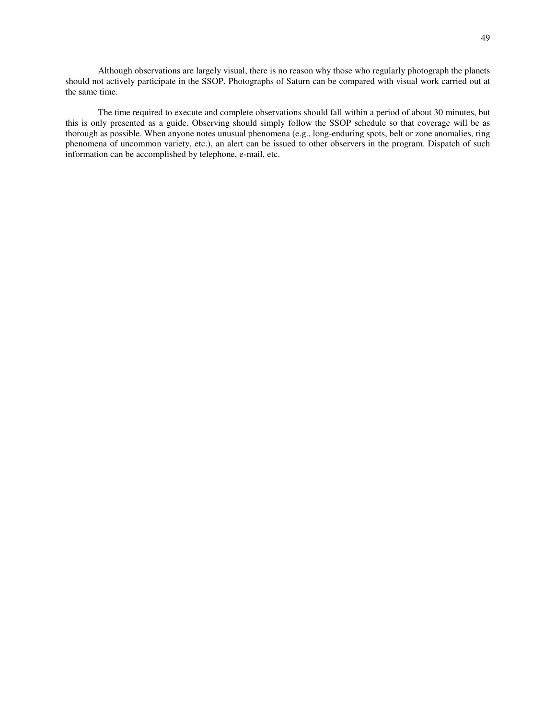Although observations are largely visual, there is no reason why those who regularly photograph the planets should not actively participate in the SSOP. Photographs of Saturn can be compared with visual work carried out at the same time.

 The time required to execute and complete observations should fall within a period of about 30 minutes, but this is only presented as a guide. Observing should simply follow the SSOP schedule so that coverage will be as thorough as possible. When anyone notes unusual phenomena (e.g., long-enduring spots, belt or zone anomalies, ring phenomena of uncommon variety, etc.), an alert can be issued to other observers in the program. Dispatch of such information can be accomplished by telephone, e-mail, etc.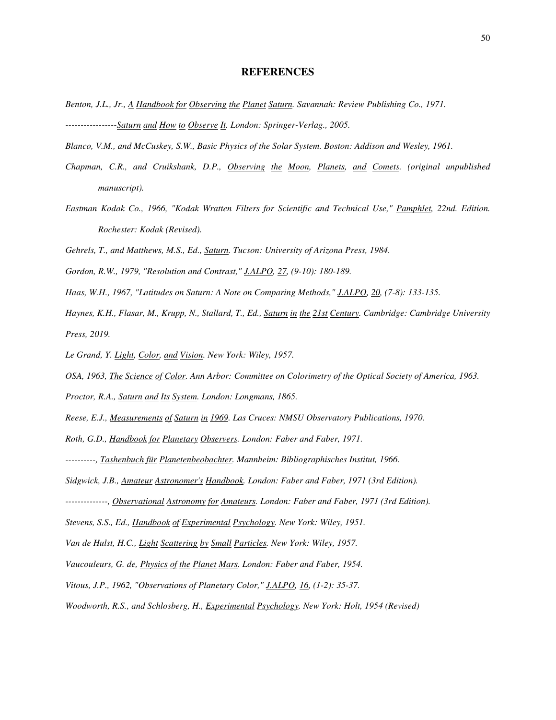#### **REFERENCES**

- *Benton, J.L., Jr., A Handbook for Observing the Planet Saturn. Savannah: Review Publishing Co., 1971. -----------------Saturn and How to Observe It. London: Springer-Verlag., 2005.*
- *Blanco, V.M., and McCuskey, S.W., Basic Physics of the Solar System. Boston: Addison and Wesley, 1961.*
- *Chapman, C.R., and Cruikshank, D.P., Observing the Moon, Planets, and Comets. (original unpublished manuscript).*
- *Eastman Kodak Co., 1966, "Kodak Wratten Filters for Scientific and Technical Use," Pamphlet, 22nd. Edition. Rochester: Kodak (Revised).*
- *Gehrels, T., and Matthews, M.S., Ed., Saturn. Tucson: University of Arizona Press, 1984.*
- *Gordon, R.W., 1979, "Resolution and Contrast," J.ALPO, 27, (9-10): 180-189.*
- *Haas, W.H., 1967, "Latitudes on Saturn: A Note on Comparing Methods," J.ALPO, 20, (7-8): 133-135.*
- *Haynes, K.H., Flasar, M., Krupp, N., Stallard, T., Ed., Saturn in the 21st Century. Cambridge: Cambridge University Press, 2019.*
- *Le Grand, Y. Light, Color, and Vision. New York: Wiley, 1957.*
- *OSA, 1963, The Science of Color. Ann Arbor: Committee on Colorimetry of the Optical Society of America, 1963.*
- *Proctor, R.A., Saturn and Its System. London: Longmans, 1865.*
- *Reese, E.J., Measurements of Saturn in 1969. Las Cruces: NMSU Observatory Publications, 1970.*
- *Roth, G.D., Handbook for Planetary Observers. London: Faber and Faber, 1971.*
- *----------, Tashenbuch für Planetenbeobachter. Mannheim: Bibliographisches Institut, 1966.*
- *Sidgwick, J.B., Amateur Astronomer's Handbook. London: Faber and Faber, 1971 (3rd Edition).*
- *--------------, Observational Astronomy for Amateurs. London: Faber and Faber, 1971 (3rd Edition).*
- *Stevens, S.S., Ed., Handbook of Experimental Psychology. New York: Wiley, 1951.*
- *Van de Hulst, H.C., Light Scattering by Small Particles. New York: Wiley, 1957.*
- *Vaucouleurs, G. de, Physics of the Planet Mars. London: Faber and Faber, 1954.*
- *Vitous, J.P., 1962, "Observations of Planetary Color," J.ALPO, 16, (1-2): 35-37.*
- *Woodworth, R.S., and Schlosberg, H., Experimental Psychology. New York: Holt, 1954 (Revised)*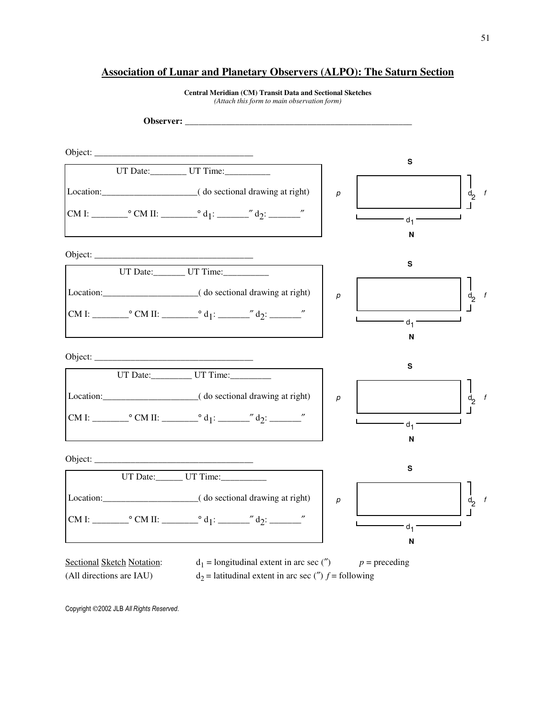# **Association of Lunar and Planetary Observers (ALPO): The Saturn Section**



**Central Meridian (CM) Transit Data and Sectional Sketches**  *(Attach this form to main observation form)*

Copyright 2002 JLB *All Rights Reserved*.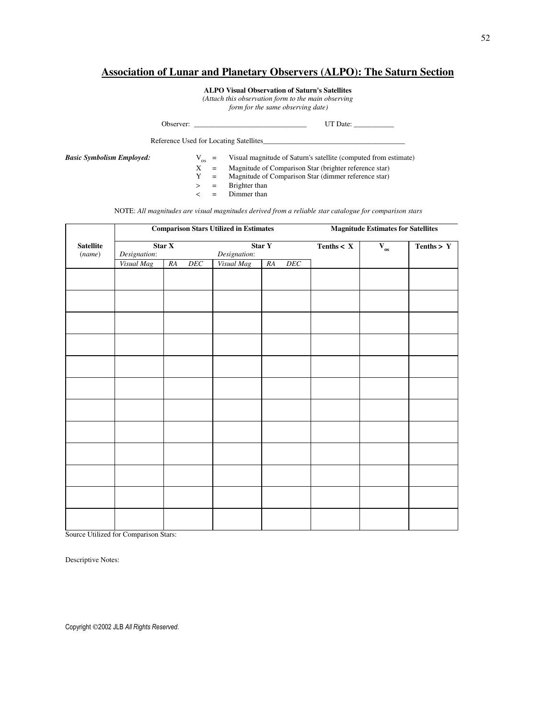# **Association of Lunar and Planetary Observers (ALPO): The Saturn Section**

**ALPO Visual Observation of Saturn's Satellites**

*(Attach this observation form to the main observing*

 *form for the same observing date)* 

| Observer:                | Date <sup>-</sup> |
|--------------------------|-------------------|
| the contract of the con- |                   |

Reference Used for Locating Satellites\_

*Basic Symbolism Employed:*  $V_{OS}$  =  $X$  =  $Y$  =

Visual magnitude of Saturn's satellite (computed from estimate)

- = Magnitude of Comparison Star (brighter reference star)<br>= Magnitude of Comparison Star (dimmer reference star)
- $Y =$  Magnitude of Comparison Star (dimmer reference star)<br>  $>$  = Brighter than<br>  $<$  = Dimmer than
	- Brighter than
	- < = Dimmer than

NOTE: *All magnitudes are visual magnitudes derived from a reliable star catalogue for comparison stars*

|                  |              |           | <b>Comparison Stars Utilized in Estimates</b> | <b>Magnitude Estimates for Satellites</b> |                            |                          |              |
|------------------|--------------|-----------|-----------------------------------------------|-------------------------------------------|----------------------------|--------------------------|--------------|
| <b>Satellite</b> |              | Star X    |                                               | Star Y                                    | Tenths $\langle X \rangle$ | $\mathbf{V}_{\text{os}}$ | Tenths $> Y$ |
| (name)           | Designation: |           | Designation:                                  |                                           |                            |                          |              |
|                  | Visual Mag   | RA<br>DEC | Visual Mag                                    | DEC<br>RA                                 |                            |                          |              |
|                  |              |           |                                               |                                           |                            |                          |              |
|                  |              |           |                                               |                                           |                            |                          |              |
|                  |              |           |                                               |                                           |                            |                          |              |
|                  |              |           |                                               |                                           |                            |                          |              |
|                  |              |           |                                               |                                           |                            |                          |              |
|                  |              |           |                                               |                                           |                            |                          |              |
|                  |              |           |                                               |                                           |                            |                          |              |
|                  |              |           |                                               |                                           |                            |                          |              |
|                  |              |           |                                               |                                           |                            |                          |              |
|                  |              |           |                                               |                                           |                            |                          |              |
|                  |              |           |                                               |                                           |                            |                          |              |
|                  |              |           |                                               |                                           |                            |                          |              |
|                  |              |           |                                               |                                           |                            |                          |              |
|                  |              |           |                                               |                                           |                            |                          |              |

Source Utilized for Comparison Stars:

Descriptive Notes:

Copyright 2002 JLB *All Rights Reserved*.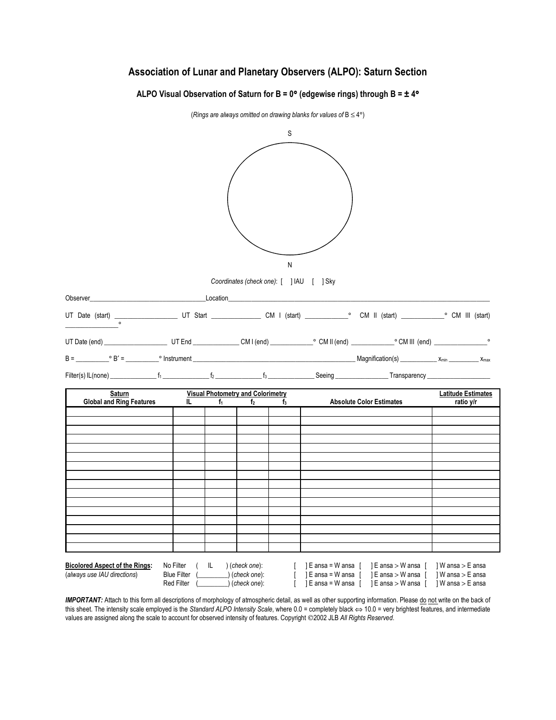# **Association of Lunar and Planetary Observers (ALPO): Saturn Section**

**ALPO Visual Observation of Saturn for B = 0**° **(edgewise rings) through B = ± 4**°



*IMPORTANT:* Attach to this form all descriptions of morphology of atmospheric detail, as well as other supporting information. Please do not write on the back of this sheet. The intensity scale employed is the *Standard ALPO Intensity Scale*, where 0.0 = completely black ⇔ 10.0 = very brightest features, and intermediate values are assigned along the scale to account for observed intensity of features. Copyright 2002 JLB *All Rights Reserved*.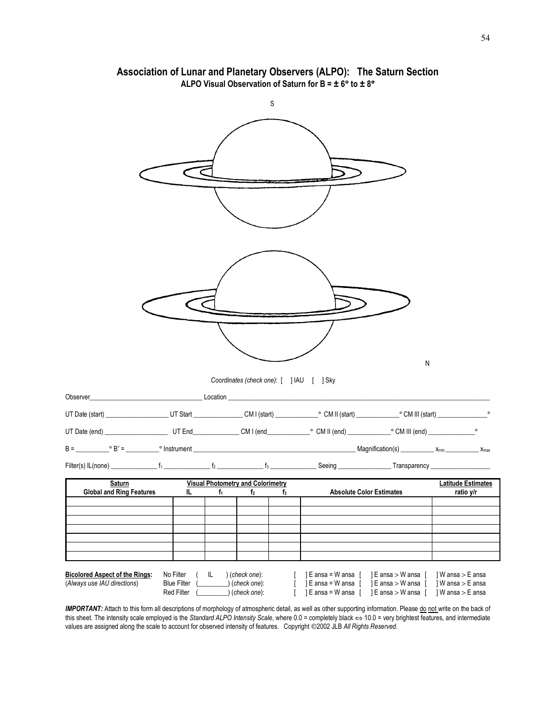

# **Association of Lunar and Planetary Observers (ALPO): The Saturn Section ALPO Visual Observation of Saturn for B = ± 6**° **to ± 8**°

IMPORTANT: Attach to this form all descriptions of morphology of atmospheric detail, as well as other supporting information. Please do not write on the back of this sheet. The intensity scale employed is the *Standard ALPO Intensity Scale*, where 0.0 = completely black ⇔ 10.0 = very brightest features, and intermediate values are assigned along the scale to account for observed intensity of features. Copyright ©2002 JLB *All Rights Reserved.*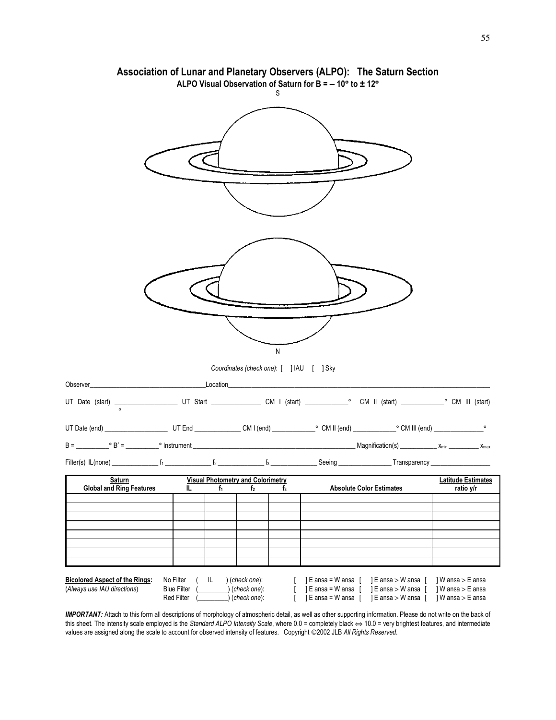|                                                                                                                 |                                                      | S                                                 | Association of Lunar and Planetary Observers (ALPO): The Saturn Section<br>ALPO Visual Observation of Saturn for B = - 10° to ± 12° |                                                             |                                                            |
|-----------------------------------------------------------------------------------------------------------------|------------------------------------------------------|---------------------------------------------------|-------------------------------------------------------------------------------------------------------------------------------------|-------------------------------------------------------------|------------------------------------------------------------|
|                                                                                                                 |                                                      |                                                   |                                                                                                                                     |                                                             |                                                            |
|                                                                                                                 |                                                      | N                                                 |                                                                                                                                     |                                                             |                                                            |
|                                                                                                                 |                                                      | Coordinates (check one): [ ] IAU [ ] Sky          |                                                                                                                                     |                                                             |                                                            |
|                                                                                                                 |                                                      |                                                   |                                                                                                                                     |                                                             |                                                            |
|                                                                                                                 |                                                      |                                                   |                                                                                                                                     |                                                             |                                                            |
|                                                                                                                 |                                                      |                                                   |                                                                                                                                     |                                                             |                                                            |
|                                                                                                                 |                                                      |                                                   |                                                                                                                                     |                                                             |                                                            |
|                                                                                                                 |                                                      |                                                   |                                                                                                                                     |                                                             |                                                            |
| <b>Example 2 Saturn Saturn Manufacture Visual Photometry and Colorimetry</b><br><b>Global and Ring Features</b> | IL<br>$f_1$                                          | f <sub>2</sub><br>$f_3$                           | <b>Absolute Color Estimates</b>                                                                                                     |                                                             | <b>Latitude Estimates</b><br>ratio y/r                     |
|                                                                                                                 |                                                      |                                                   |                                                                                                                                     |                                                             |                                                            |
|                                                                                                                 |                                                      |                                                   |                                                                                                                                     |                                                             |                                                            |
|                                                                                                                 |                                                      |                                                   |                                                                                                                                     |                                                             |                                                            |
|                                                                                                                 |                                                      |                                                   |                                                                                                                                     |                                                             |                                                            |
|                                                                                                                 |                                                      |                                                   |                                                                                                                                     |                                                             |                                                            |
|                                                                                                                 |                                                      |                                                   |                                                                                                                                     |                                                             |                                                            |
| <b>Bicolored Aspect of the Rings:</b><br>(Always use IAU directions)                                            | No Filter<br>IL.<br><b>Blue Filter</b><br>Red Filter | ) (check one):<br>_) (check one):<br>(check one): | ] E ansa = W ansa<br>] E ansa = W ansa [<br>$E$ ansa = W ansa                                                                       | E ansa > W ansa  <br>] E ansa > W ansa<br>] E ansa > W ansa | 1W ansa > E ansa<br>] W ansa > E ansa<br>] W ansa > E ansa |

**Association of Lunar and Planetary Observers (ALPO): The Saturn Section**

*IMPORTANT:* Attach to this form all descriptions of morphology of atmospheric detail, as well as other supporting information. Please do not write on the back of this sheet. The intensity scale employed is the *Standard ALPO Intensity Scale*, where 0.0 = completely black ⇔ 10.0 = very brightest features, and intermediate values are assigned along the scale to account for observed intensity of features. Copyright 2002 JLB *All Rights Reserved*.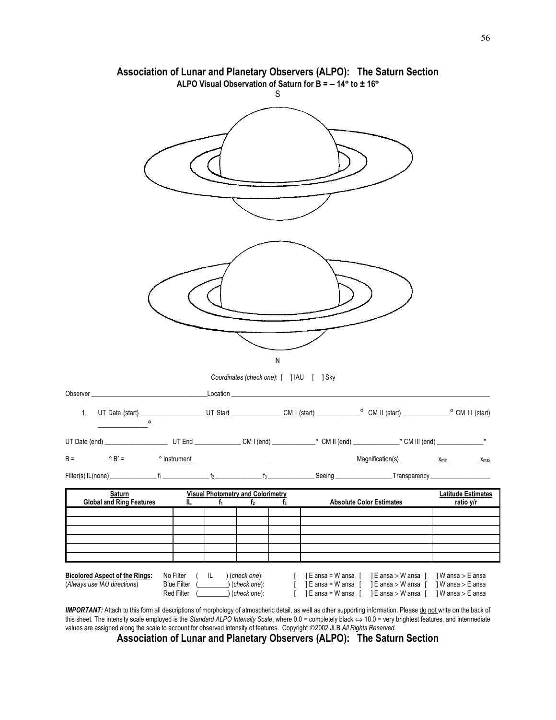|                                                                                                                                                                                                                                               | ALPO Visual Observation of Saturn for B = - 14° to ± 16°    |                                                    |           |                                                                                       | Association of Lunar and Planetary Observers (ALPO): The Saturn Section |                                                          |
|-----------------------------------------------------------------------------------------------------------------------------------------------------------------------------------------------------------------------------------------------|-------------------------------------------------------------|----------------------------------------------------|-----------|---------------------------------------------------------------------------------------|-------------------------------------------------------------------------|----------------------------------------------------------|
|                                                                                                                                                                                                                                               |                                                             |                                                    | S         |                                                                                       |                                                                         |                                                          |
|                                                                                                                                                                                                                                               |                                                             | Coordinates (check one): [ ] IAU [ ] Sky           | ${\sf N}$ |                                                                                       |                                                                         |                                                          |
|                                                                                                                                                                                                                                               |                                                             |                                                    |           |                                                                                       |                                                                         |                                                          |
|                                                                                                                                                                                                                                               |                                                             |                                                    |           |                                                                                       |                                                                         |                                                          |
|                                                                                                                                                                                                                                               |                                                             |                                                    |           |                                                                                       |                                                                         |                                                          |
|                                                                                                                                                                                                                                               |                                                             |                                                    |           |                                                                                       |                                                                         |                                                          |
|                                                                                                                                                                                                                                               |                                                             |                                                    |           |                                                                                       |                                                                         |                                                          |
| Saturn                                                                                                                                                                                                                                        | <b>Visual Photometry and Colorimetry</b>                    |                                                    |           |                                                                                       |                                                                         | <b>Latitude Estimates</b>                                |
| <b>Global and Ring Features</b>                                                                                                                                                                                                               | IL<br>$f_1$                                                 | f <sub>2</sub>                                     | $f_3$     |                                                                                       | <b>Absolute Color Estimates</b>                                         | ratio y/r                                                |
|                                                                                                                                                                                                                                               |                                                             |                                                    |           |                                                                                       |                                                                         |                                                          |
|                                                                                                                                                                                                                                               |                                                             |                                                    |           |                                                                                       |                                                                         |                                                          |
| <b>Bicolored Aspect of the Rings:</b><br>(Always use IAU directions)<br><b>IMPORTANT:</b> Attach to this form all descriptions of mombology of atmospheric detail as well as other supporting information. Please do not write on the back of | No Filter<br>IL.<br><b>Blue Filter</b><br><b>Red Filter</b> | (check one):<br>$)$ (check one):<br>) (check one): | T         | ] E ansa = W ansa [<br>$\textsf{E}$ ansa = W ansa $\textsf{E}$<br>] E ansa = W ansa [ | ] E ansa > W ansa [<br>] E ansa > W ansa [<br>  E ansa > W ansa [       | W ansa > E ansa<br>] W ansa > E ansa<br>1W ansa > E ansa |

*IMPORTANT:* Attach to this form all descriptions of morphology of atmospheric detail, as well as other supporting information. Please do not write on the back of this sheet. The intensity scale employed is the *Standard ALPO Intensity Scale*, where 0.0 = completely black ⇔ 10.0 = very brightest features, and intermediate values are assigned along the scale to account for observed intensity of features. Copyright ©2002 JLB All Rights Reserved.

**Association of Lunar and Planetary Observers (ALPO): The Saturn Section**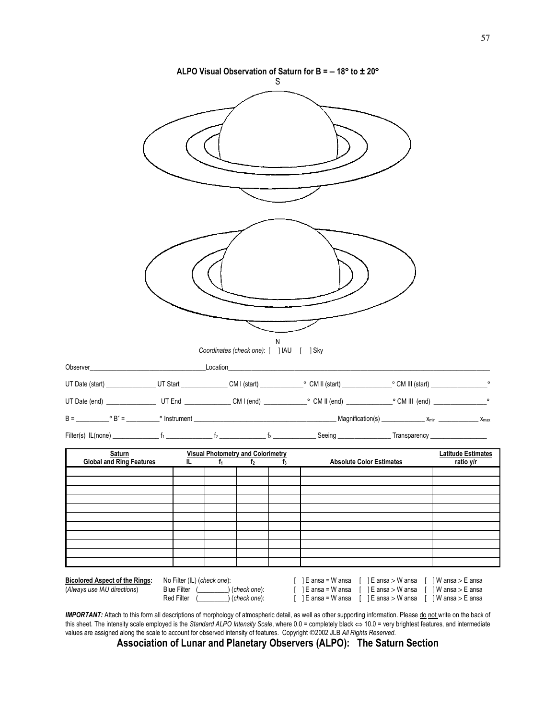|                                                  |   |                                          | S                                             | ALPO Visual Observation of Saturn for B = $-18^{\circ}$ to $\pm 20^{\circ}$ |                                        |
|--------------------------------------------------|---|------------------------------------------|-----------------------------------------------|-----------------------------------------------------------------------------|----------------------------------------|
|                                                  |   |                                          |                                               |                                                                             |                                        |
|                                                  |   |                                          | N<br>Coordinates (check one): [ ] IAU [ ] Sky |                                                                             |                                        |
|                                                  |   |                                          |                                               |                                                                             |                                        |
|                                                  |   |                                          |                                               |                                                                             |                                        |
|                                                  |   |                                          |                                               |                                                                             |                                        |
|                                                  |   |                                          |                                               |                                                                             |                                        |
| <b>Saturn</b><br><b>Global and Ring Features</b> | L | <b>Visual Photometry and Colorimetry</b> | $f_2$ and $f_3$                               | f <sub>3</sub> Absolute Color Estimates                                     | <b>Latitude Estimates</b><br>ratio y/r |
|                                                  |   |                                          |                                               |                                                                             |                                        |
|                                                  |   |                                          |                                               |                                                                             |                                        |
|                                                  |   |                                          |                                               |                                                                             |                                        |
|                                                  |   |                                          |                                               |                                                                             |                                        |
|                                                  |   |                                          |                                               |                                                                             |                                        |
|                                                  |   |                                          |                                               |                                                                             |                                        |

IMPORTANT: Attach to this form all descriptions of morphology of atmospheric detail, as well as other supporting information. Please do not write on the back of this sheet. The intensity scale employed is the *Standard ALPO Intensity Scale*, where 0.0 = completely black ⇔ 10.0 = very brightest features, and intermediate values are assigned along the scale to account for observed intensity of features. Copyright ©2002 JLB All Rights Reserved.

**Association of Lunar and Planetary Observers (ALPO): The Saturn Section**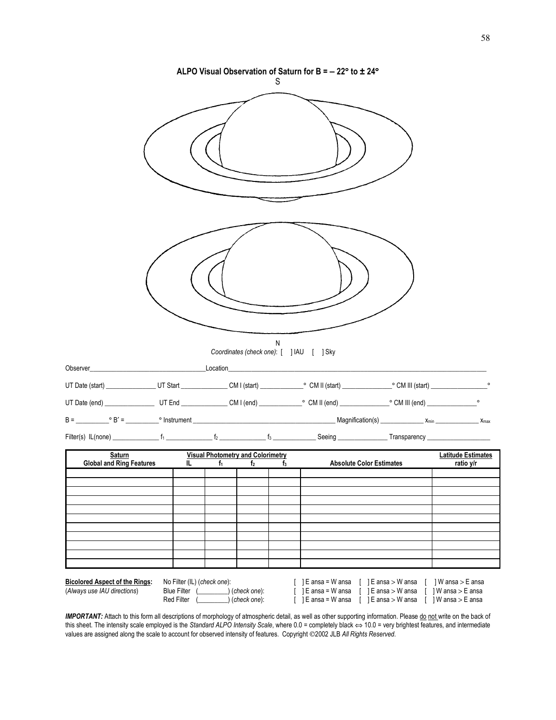|                                                                                                                                            |  |                                          | S | ALPO Visual Observation of Saturn for B = $-22$ ° to $\pm 24$ ° |                           |
|--------------------------------------------------------------------------------------------------------------------------------------------|--|------------------------------------------|---|-----------------------------------------------------------------|---------------------------|
|                                                                                                                                            |  |                                          |   |                                                                 |                           |
|                                                                                                                                            |  |                                          | N | Coordinates (check one): [ ] IAU [ ] Sky                        |                           |
| Observer_                                                                                                                                  |  |                                          |   |                                                                 |                           |
|                                                                                                                                            |  |                                          |   |                                                                 |                           |
|                                                                                                                                            |  |                                          |   |                                                                 |                           |
|                                                                                                                                            |  |                                          |   |                                                                 |                           |
|                                                                                                                                            |  |                                          |   |                                                                 |                           |
| <b>Saturn</b><br>Saturn Saturn Visual Photometry and Colorimetry<br>Global and Ring Features IL $f_1$ $f_2$ $f_3$ Absolute Color Estimates |  | <b>Visual Photometry and Colorimetry</b> |   |                                                                 | <b>Latitude Estimates</b> |
|                                                                                                                                            |  |                                          |   |                                                                 | ratio y/r                 |
|                                                                                                                                            |  |                                          |   |                                                                 |                           |
|                                                                                                                                            |  |                                          |   |                                                                 |                           |
|                                                                                                                                            |  |                                          |   |                                                                 |                           |
|                                                                                                                                            |  |                                          |   |                                                                 |                           |
|                                                                                                                                            |  |                                          |   |                                                                 |                           |
|                                                                                                                                            |  |                                          |   |                                                                 |                           |
|                                                                                                                                            |  |                                          |   |                                                                 |                           |

IMPORTANT: Attach to this form all descriptions of morphology of atmospheric detail, as well as other supporting information. Please do not write on the back of this sheet. The intensity scale employed is the *Standard ALPO Intensity Scale*, where 0.0 = completely black ⇔ 10.0 = very brightest features, and intermediate values are assigned along the scale to account for observed intensity of features. Copyright 2002 JLB *All Rights Reserved*.

**Bicolored Aspect of the Rings:** No Filter (IL) (*check one*): [ ] E ansa = W ansa [ ] E ansa > W ansa [ ] W ansa > E ansa (*Always use IAU directions*) Blue Filter (\_\_\_\_\_\_\_\_\_) (*check one*): [ ] E ansa = W ansa [ ] E ansa > W ansa [ ] W ansa > E ansa Red Filter (\_\_\_\_\_\_\_\_\_) (*check one*): [ ] E ansa = W ansa [ ] E ansa > W ansa [ ] W ansa > E ansa